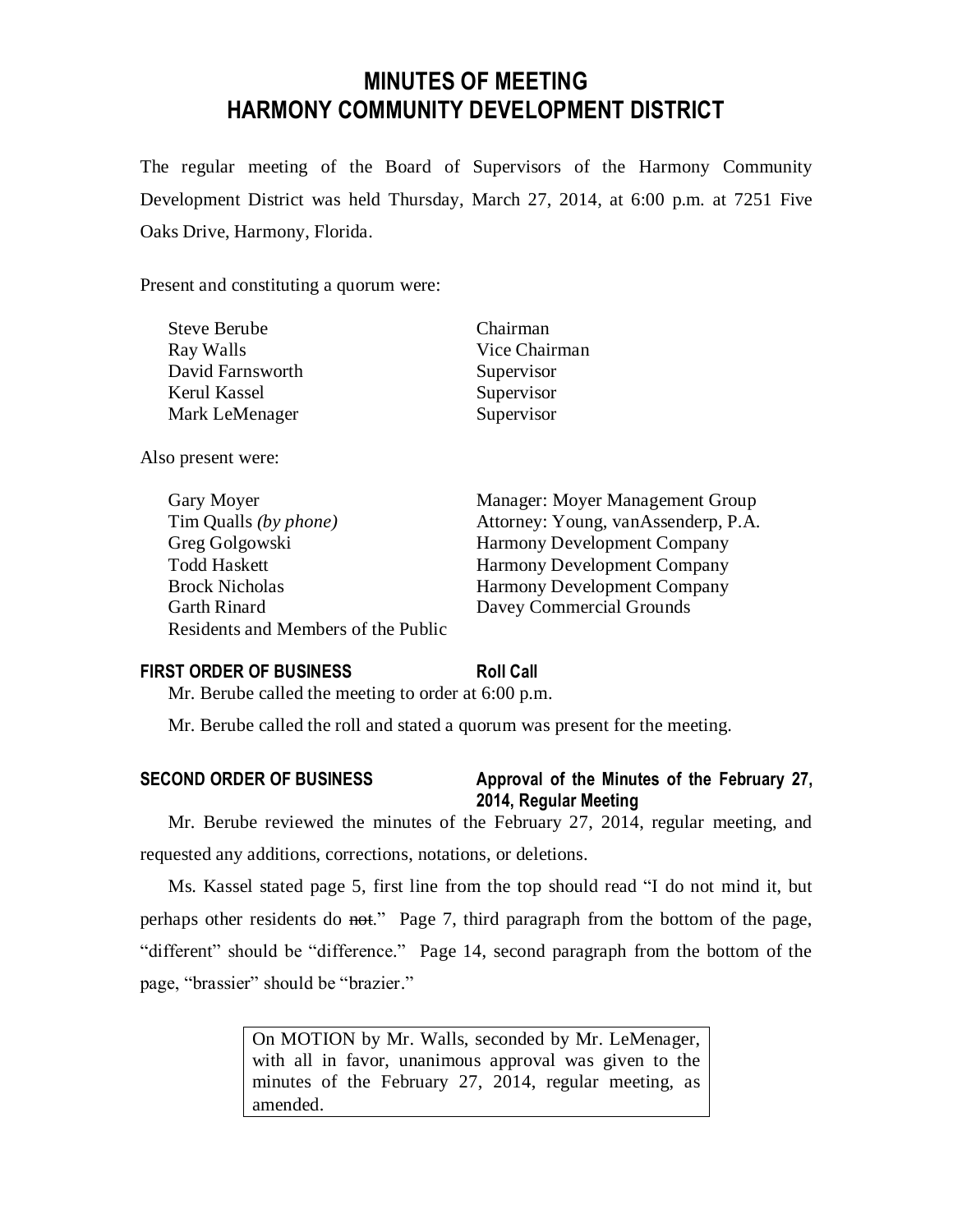# **MINUTES OF MEETING HARMONY COMMUNITY DEVELOPMENT DISTRICT**

The regular meeting of the Board of Supervisors of the Harmony Community Development District was held Thursday, March 27, 2014, at 6:00 p.m. at 7251 Five Oaks Drive, Harmony, Florida.

Present and constituting a quorum were:

| <b>Steve Berube</b> | Chairman      |
|---------------------|---------------|
| Ray Walls           | Vice Chairman |
| David Farnsworth    | Supervisor    |
| Kerul Kassel        | Supervisor    |
| Mark LeMenager      | Supervisor    |
|                     |               |

Also present were:

Gary Moyer **Manager:** Moyer Management Group Tim Qualls *(by phone)* Attorney: Young, vanAssenderp, P.A. Greg Golgowski Harmony Development Company Todd Haskett Harmony Development Company Brock Nicholas Harmony Development Company Garth Rinard Davey Commercial Grounds Residents and Members of the Public

## **FIRST ORDER OF BUSINESS Roll Call**

Mr. Berube called the meeting to order at 6:00 p.m.

Mr. Berube called the roll and stated a quorum was present for the meeting.

## **SECOND ORDER OF BUSINESS Approval of the Minutes of the February 27, 2014, Regular Meeting**

Mr. Berube reviewed the minutes of the February 27, 2014, regular meeting, and requested any additions, corrections, notations, or deletions.

Ms. Kassel stated page 5, first line from the top should read "I do not mind it, but perhaps other residents do not." Page 7, third paragraph from the bottom of the page, "different" should be "difference." Page 14, second paragraph from the bottom of the page, "brassier" should be "brazier."

> On MOTION by Mr. Walls, seconded by Mr. LeMenager, with all in favor, unanimous approval was given to the minutes of the February 27, 2014, regular meeting, as amended.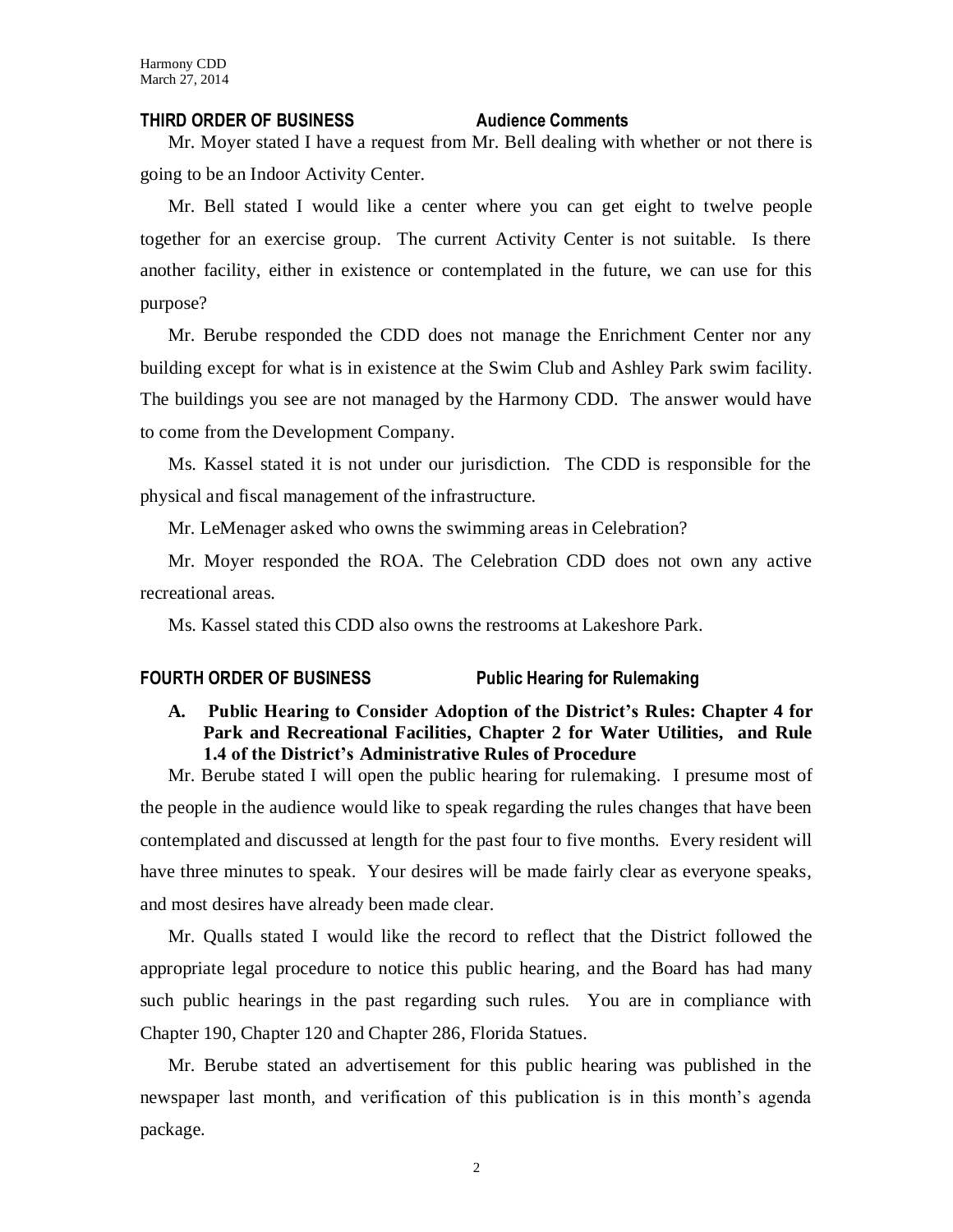#### **THIRD ORDER OF BUSINESS Audience Comments**

Mr. Moyer stated I have a request from Mr. Bell dealing with whether or not there is going to be an Indoor Activity Center.

Mr. Bell stated I would like a center where you can get eight to twelve people together for an exercise group. The current Activity Center is not suitable. Is there another facility, either in existence or contemplated in the future, we can use for this purpose?

Mr. Berube responded the CDD does not manage the Enrichment Center nor any building except for what is in existence at the Swim Club and Ashley Park swim facility. The buildings you see are not managed by the Harmony CDD. The answer would have to come from the Development Company.

Ms. Kassel stated it is not under our jurisdiction. The CDD is responsible for the physical and fiscal management of the infrastructure.

Mr. LeMenager asked who owns the swimming areas in Celebration?

Mr. Moyer responded the ROA. The Celebration CDD does not own any active recreational areas.

Ms. Kassel stated this CDD also owns the restrooms at Lakeshore Park.

## **FOURTH ORDER OF BUSINESS Public Hearing for Rulemaking**

**A. Public Hearing to Consider Adoption of the District's Rules: Chapter 4 for Park and Recreational Facilities, Chapter 2 for Water Utilities, and Rule 1.4 of the District's Administrative Rules of Procedure**

Mr. Berube stated I will open the public hearing for rulemaking. I presume most of the people in the audience would like to speak regarding the rules changes that have been contemplated and discussed at length for the past four to five months. Every resident will have three minutes to speak. Your desires will be made fairly clear as everyone speaks, and most desires have already been made clear.

Mr. Qualls stated I would like the record to reflect that the District followed the appropriate legal procedure to notice this public hearing, and the Board has had many such public hearings in the past regarding such rules. You are in compliance with Chapter 190, Chapter 120 and Chapter 286, Florida Statues.

Mr. Berube stated an advertisement for this public hearing was published in the newspaper last month, and verification of this publication is in this month's agenda package.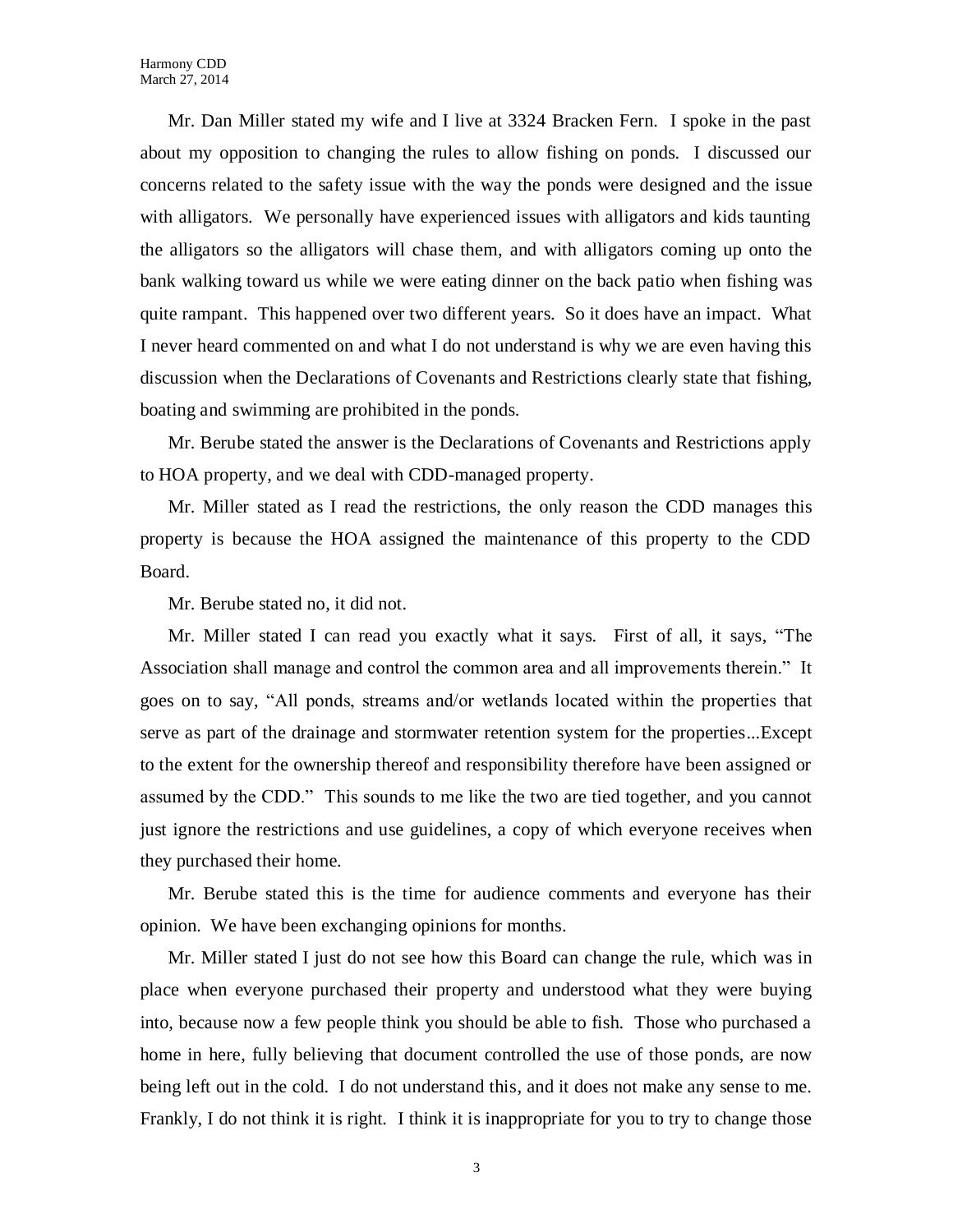Mr. Dan Miller stated my wife and I live at 3324 Bracken Fern. I spoke in the past about my opposition to changing the rules to allow fishing on ponds. I discussed our concerns related to the safety issue with the way the ponds were designed and the issue with alligators. We personally have experienced issues with alligators and kids taunting the alligators so the alligators will chase them, and with alligators coming up onto the bank walking toward us while we were eating dinner on the back patio when fishing was quite rampant. This happened over two different years. So it does have an impact. What I never heard commented on and what I do not understand is why we are even having this discussion when the Declarations of Covenants and Restrictions clearly state that fishing, boating and swimming are prohibited in the ponds.

Mr. Berube stated the answer is the Declarations of Covenants and Restrictions apply to HOA property, and we deal with CDD-managed property.

Mr. Miller stated as I read the restrictions, the only reason the CDD manages this property is because the HOA assigned the maintenance of this property to the CDD Board.

Mr. Berube stated no, it did not.

Mr. Miller stated I can read you exactly what it says. First of all, it says, "The Association shall manage and control the common area and all improvements therein." It goes on to say, "All ponds, streams and/or wetlands located within the properties that serve as part of the drainage and stormwater retention system for the properties...Except to the extent for the ownership thereof and responsibility therefore have been assigned or assumed by the CDD." This sounds to me like the two are tied together, and you cannot just ignore the restrictions and use guidelines, a copy of which everyone receives when they purchased their home.

Mr. Berube stated this is the time for audience comments and everyone has their opinion. We have been exchanging opinions for months.

Mr. Miller stated I just do not see how this Board can change the rule, which was in place when everyone purchased their property and understood what they were buying into, because now a few people think you should be able to fish. Those who purchased a home in here, fully believing that document controlled the use of those ponds, are now being left out in the cold. I do not understand this, and it does not make any sense to me. Frankly, I do not think it is right. I think it is inappropriate for you to try to change those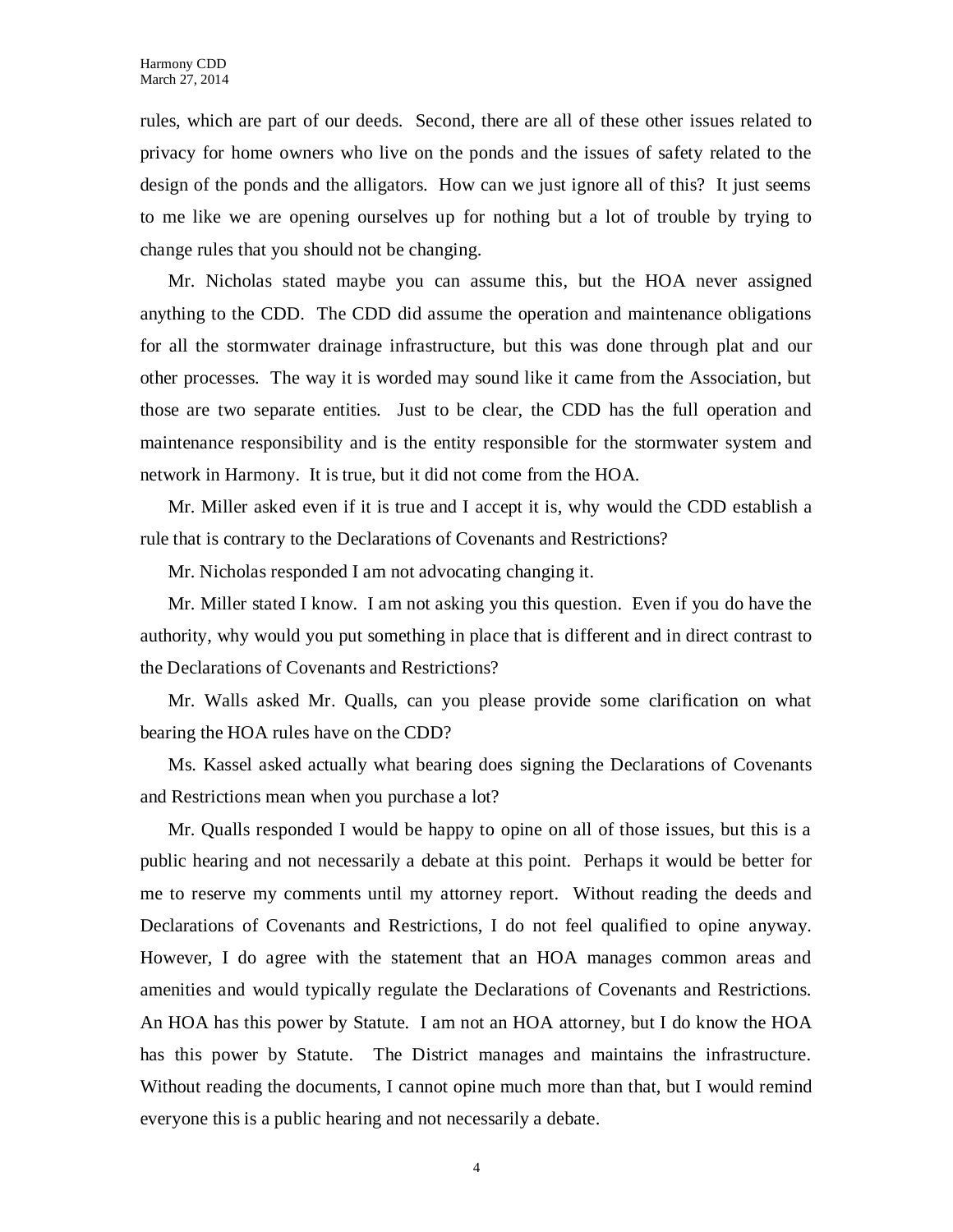rules, which are part of our deeds. Second, there are all of these other issues related to privacy for home owners who live on the ponds and the issues of safety related to the design of the ponds and the alligators. How can we just ignore all of this? It just seems to me like we are opening ourselves up for nothing but a lot of trouble by trying to change rules that you should not be changing.

Mr. Nicholas stated maybe you can assume this, but the HOA never assigned anything to the CDD. The CDD did assume the operation and maintenance obligations for all the stormwater drainage infrastructure, but this was done through plat and our other processes. The way it is worded may sound like it came from the Association, but those are two separate entities. Just to be clear, the CDD has the full operation and maintenance responsibility and is the entity responsible for the stormwater system and network in Harmony. It is true, but it did not come from the HOA.

Mr. Miller asked even if it is true and I accept it is, why would the CDD establish a rule that is contrary to the Declarations of Covenants and Restrictions?

Mr. Nicholas responded I am not advocating changing it.

Mr. Miller stated I know. I am not asking you this question. Even if you do have the authority, why would you put something in place that is different and in direct contrast to the Declarations of Covenants and Restrictions?

Mr. Walls asked Mr. Qualls, can you please provide some clarification on what bearing the HOA rules have on the CDD?

Ms. Kassel asked actually what bearing does signing the Declarations of Covenants and Restrictions mean when you purchase a lot?

Mr. Qualls responded I would be happy to opine on all of those issues, but this is a public hearing and not necessarily a debate at this point. Perhaps it would be better for me to reserve my comments until my attorney report. Without reading the deeds and Declarations of Covenants and Restrictions, I do not feel qualified to opine anyway. However, I do agree with the statement that an HOA manages common areas and amenities and would typically regulate the Declarations of Covenants and Restrictions. An HOA has this power by Statute. I am not an HOA attorney, but I do know the HOA has this power by Statute. The District manages and maintains the infrastructure. Without reading the documents, I cannot opine much more than that, but I would remind everyone this is a public hearing and not necessarily a debate.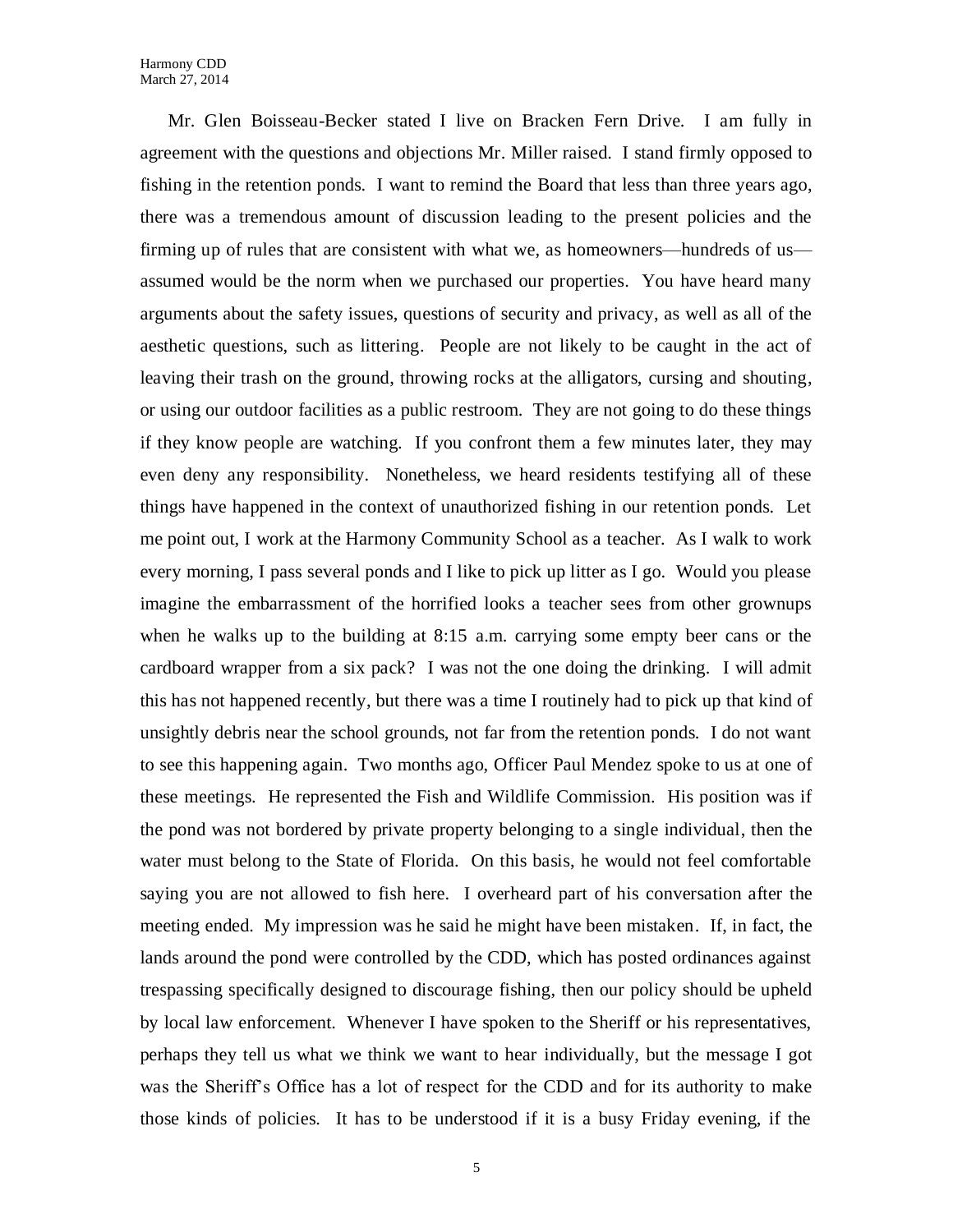Mr. Glen Boisseau-Becker stated I live on Bracken Fern Drive. I am fully in agreement with the questions and objections Mr. Miller raised. I stand firmly opposed to fishing in the retention ponds. I want to remind the Board that less than three years ago, there was a tremendous amount of discussion leading to the present policies and the firming up of rules that are consistent with what we, as homeowners—hundreds of us assumed would be the norm when we purchased our properties. You have heard many arguments about the safety issues, questions of security and privacy, as well as all of the aesthetic questions, such as littering. People are not likely to be caught in the act of leaving their trash on the ground, throwing rocks at the alligators, cursing and shouting, or using our outdoor facilities as a public restroom. They are not going to do these things if they know people are watching. If you confront them a few minutes later, they may even deny any responsibility. Nonetheless, we heard residents testifying all of these things have happened in the context of unauthorized fishing in our retention ponds. Let me point out, I work at the Harmony Community School as a teacher. As I walk to work every morning, I pass several ponds and I like to pick up litter as I go. Would you please imagine the embarrassment of the horrified looks a teacher sees from other grownups when he walks up to the building at 8:15 a.m. carrying some empty beer cans or the cardboard wrapper from a six pack? I was not the one doing the drinking. I will admit this has not happened recently, but there was a time I routinely had to pick up that kind of unsightly debris near the school grounds, not far from the retention ponds. I do not want to see this happening again. Two months ago, Officer Paul Mendez spoke to us at one of these meetings. He represented the Fish and Wildlife Commission. His position was if the pond was not bordered by private property belonging to a single individual, then the water must belong to the State of Florida. On this basis, he would not feel comfortable saying you are not allowed to fish here. I overheard part of his conversation after the meeting ended. My impression was he said he might have been mistaken. If, in fact, the lands around the pond were controlled by the CDD, which has posted ordinances against trespassing specifically designed to discourage fishing, then our policy should be upheld by local law enforcement. Whenever I have spoken to the Sheriff or his representatives, perhaps they tell us what we think we want to hear individually, but the message I got was the Sheriff's Office has a lot of respect for the CDD and for its authority to make those kinds of policies. It has to be understood if it is a busy Friday evening, if the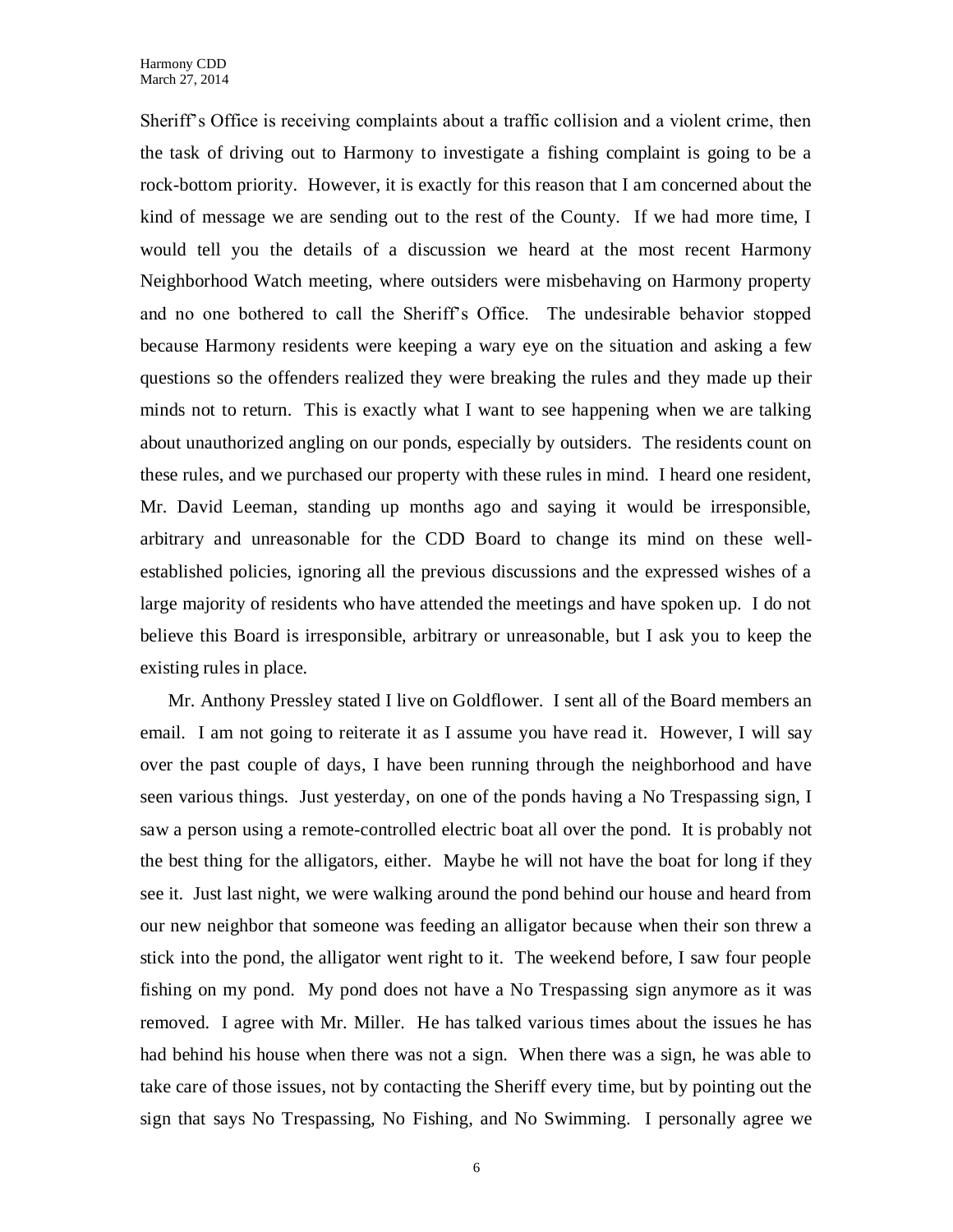Sheriff's Office is receiving complaints about a traffic collision and a violent crime, then the task of driving out to Harmony to investigate a fishing complaint is going to be a rock-bottom priority. However, it is exactly for this reason that I am concerned about the kind of message we are sending out to the rest of the County. If we had more time, I would tell you the details of a discussion we heard at the most recent Harmony Neighborhood Watch meeting, where outsiders were misbehaving on Harmony property and no one bothered to call the Sheriff's Office. The undesirable behavior stopped because Harmony residents were keeping a wary eye on the situation and asking a few questions so the offenders realized they were breaking the rules and they made up their minds not to return. This is exactly what I want to see happening when we are talking about unauthorized angling on our ponds, especially by outsiders. The residents count on these rules, and we purchased our property with these rules in mind. I heard one resident, Mr. David Leeman, standing up months ago and saying it would be irresponsible, arbitrary and unreasonable for the CDD Board to change its mind on these wellestablished policies, ignoring all the previous discussions and the expressed wishes of a large majority of residents who have attended the meetings and have spoken up. I do not believe this Board is irresponsible, arbitrary or unreasonable, but I ask you to keep the existing rules in place.

Mr. Anthony Pressley stated I live on Goldflower. I sent all of the Board members an email. I am not going to reiterate it as I assume you have read it. However, I will say over the past couple of days, I have been running through the neighborhood and have seen various things. Just yesterday, on one of the ponds having a No Trespassing sign, I saw a person using a remote-controlled electric boat all over the pond. It is probably not the best thing for the alligators, either. Maybe he will not have the boat for long if they see it. Just last night, we were walking around the pond behind our house and heard from our new neighbor that someone was feeding an alligator because when their son threw a stick into the pond, the alligator went right to it. The weekend before, I saw four people fishing on my pond. My pond does not have a No Trespassing sign anymore as it was removed. I agree with Mr. Miller. He has talked various times about the issues he has had behind his house when there was not a sign. When there was a sign, he was able to take care of those issues, not by contacting the Sheriff every time, but by pointing out the sign that says No Trespassing, No Fishing, and No Swimming. I personally agree we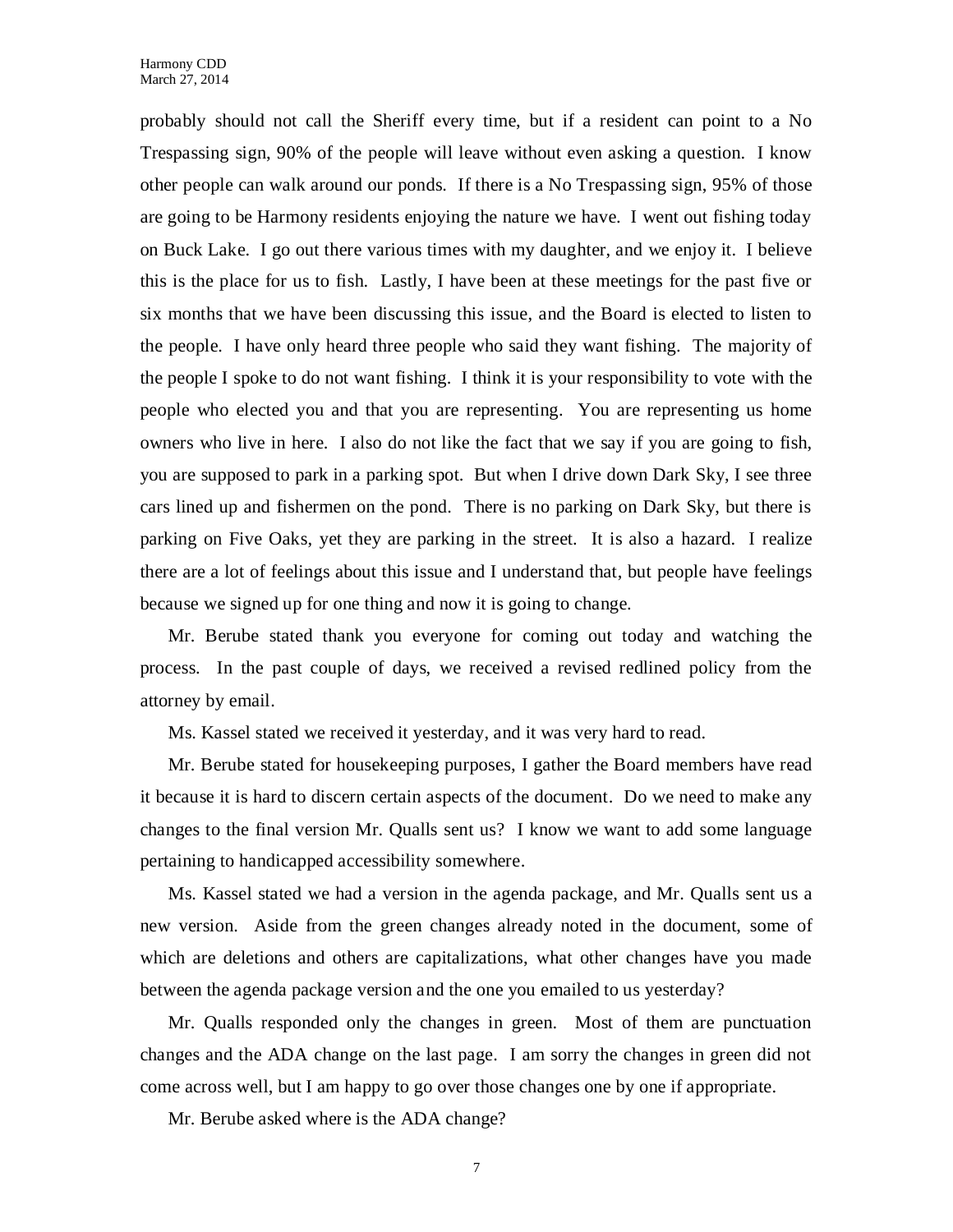probably should not call the Sheriff every time, but if a resident can point to a No Trespassing sign, 90% of the people will leave without even asking a question. I know other people can walk around our ponds. If there is a No Trespassing sign, 95% of those are going to be Harmony residents enjoying the nature we have. I went out fishing today on Buck Lake. I go out there various times with my daughter, and we enjoy it. I believe this is the place for us to fish. Lastly, I have been at these meetings for the past five or six months that we have been discussing this issue, and the Board is elected to listen to the people. I have only heard three people who said they want fishing. The majority of the people I spoke to do not want fishing. I think it is your responsibility to vote with the people who elected you and that you are representing. You are representing us home owners who live in here. I also do not like the fact that we say if you are going to fish, you are supposed to park in a parking spot. But when I drive down Dark Sky, I see three cars lined up and fishermen on the pond. There is no parking on Dark Sky, but there is parking on Five Oaks, yet they are parking in the street. It is also a hazard. I realize there are a lot of feelings about this issue and I understand that, but people have feelings because we signed up for one thing and now it is going to change.

Mr. Berube stated thank you everyone for coming out today and watching the process. In the past couple of days, we received a revised redlined policy from the attorney by email.

Ms. Kassel stated we received it yesterday, and it was very hard to read.

Mr. Berube stated for housekeeping purposes, I gather the Board members have read it because it is hard to discern certain aspects of the document. Do we need to make any changes to the final version Mr. Qualls sent us? I know we want to add some language pertaining to handicapped accessibility somewhere.

Ms. Kassel stated we had a version in the agenda package, and Mr. Qualls sent us a new version. Aside from the green changes already noted in the document, some of which are deletions and others are capitalizations, what other changes have you made between the agenda package version and the one you emailed to us yesterday?

Mr. Qualls responded only the changes in green. Most of them are punctuation changes and the ADA change on the last page. I am sorry the changes in green did not come across well, but I am happy to go over those changes one by one if appropriate.

Mr. Berube asked where is the ADA change?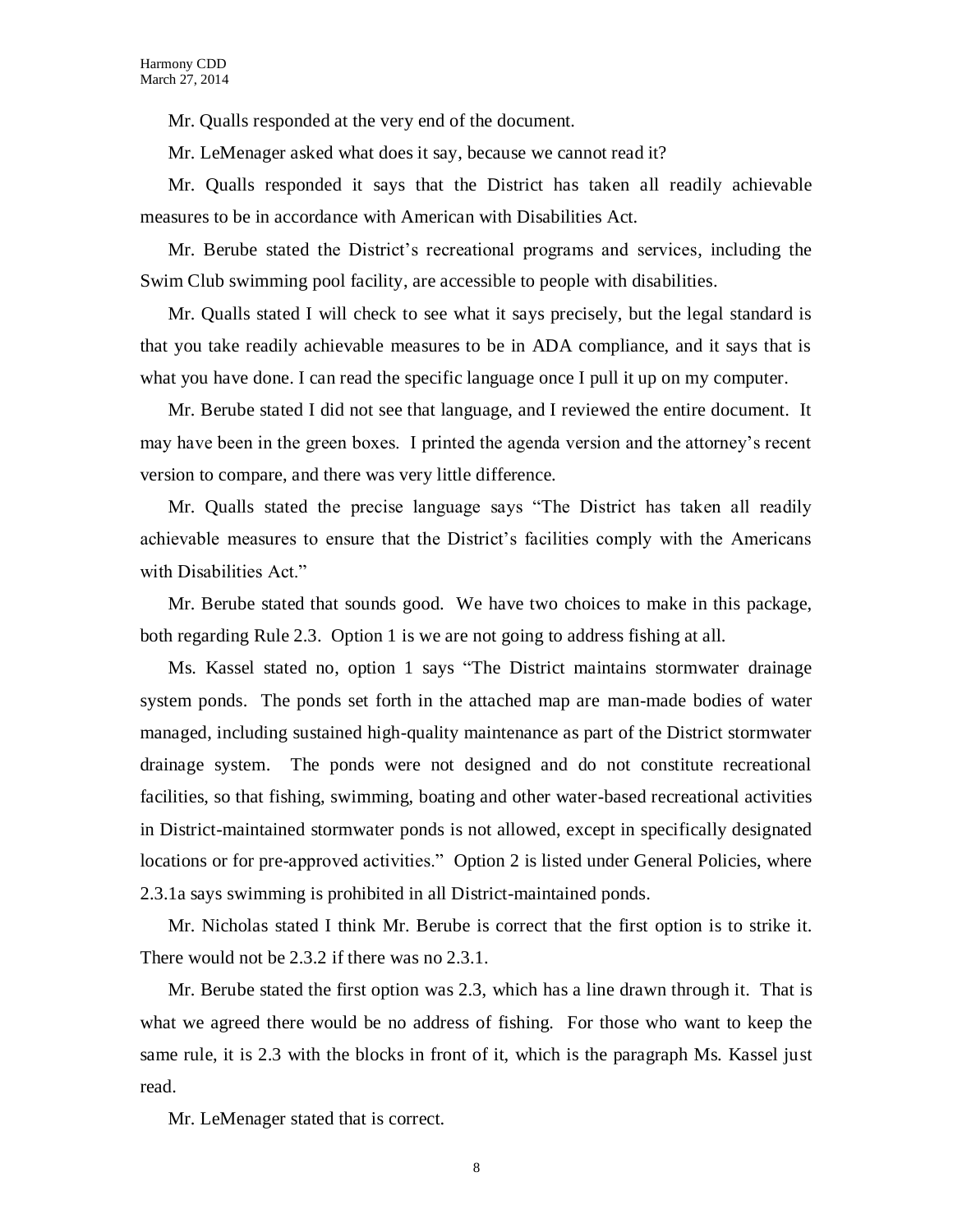Mr. Qualls responded at the very end of the document.

Mr. LeMenager asked what does it say, because we cannot read it?

Mr. Qualls responded it says that the District has taken all readily achievable measures to be in accordance with American with Disabilities Act.

Mr. Berube stated the District's recreational programs and services, including the Swim Club swimming pool facility, are accessible to people with disabilities.

Mr. Qualls stated I will check to see what it says precisely, but the legal standard is that you take readily achievable measures to be in ADA compliance, and it says that is what you have done. I can read the specific language once I pull it up on my computer.

Mr. Berube stated I did not see that language, and I reviewed the entire document. It may have been in the green boxes. I printed the agenda version and the attorney's recent version to compare, and there was very little difference.

Mr. Qualls stated the precise language says "The District has taken all readily achievable measures to ensure that the District's facilities comply with the Americans with Disabilities Act."

Mr. Berube stated that sounds good. We have two choices to make in this package, both regarding Rule 2.3. Option 1 is we are not going to address fishing at all.

Ms. Kassel stated no, option 1 says "The District maintains stormwater drainage system ponds. The ponds set forth in the attached map are man-made bodies of water managed, including sustained high-quality maintenance as part of the District stormwater drainage system. The ponds were not designed and do not constitute recreational facilities, so that fishing, swimming, boating and other water-based recreational activities in District-maintained stormwater ponds is not allowed, except in specifically designated locations or for pre-approved activities." Option 2 is listed under General Policies, where 2.3.1a says swimming is prohibited in all District-maintained ponds.

Mr. Nicholas stated I think Mr. Berube is correct that the first option is to strike it. There would not be 2.3.2 if there was no 2.3.1.

Mr. Berube stated the first option was 2.3, which has a line drawn through it. That is what we agreed there would be no address of fishing. For those who want to keep the same rule, it is 2.3 with the blocks in front of it, which is the paragraph Ms. Kassel just read.

Mr. LeMenager stated that is correct.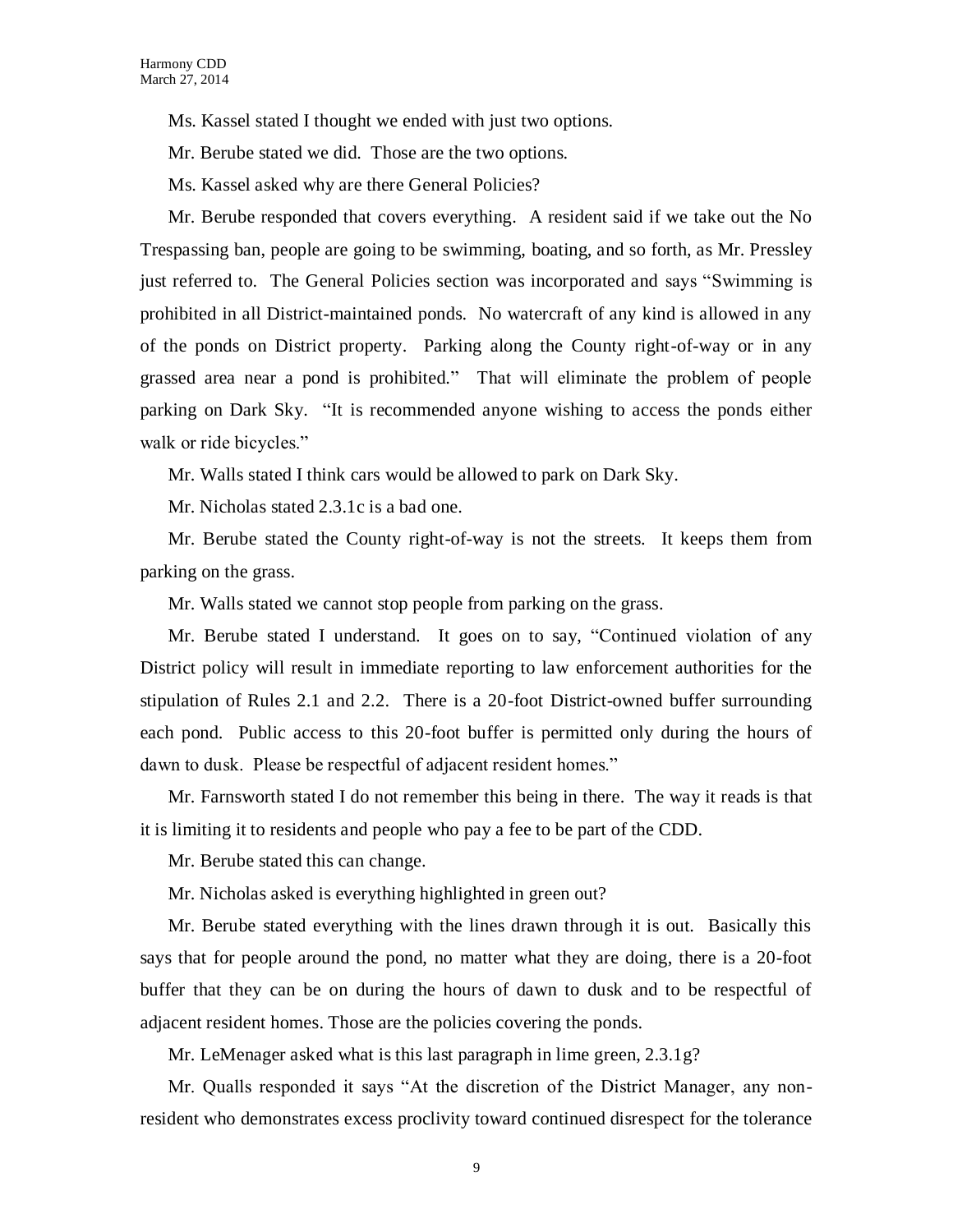Ms. Kassel stated I thought we ended with just two options.

Mr. Berube stated we did. Those are the two options.

Ms. Kassel asked why are there General Policies?

Mr. Berube responded that covers everything. A resident said if we take out the No Trespassing ban, people are going to be swimming, boating, and so forth, as Mr. Pressley just referred to. The General Policies section was incorporated and says "Swimming is prohibited in all District-maintained ponds. No watercraft of any kind is allowed in any of the ponds on District property. Parking along the County right-of-way or in any grassed area near a pond is prohibited." That will eliminate the problem of people parking on Dark Sky. "It is recommended anyone wishing to access the ponds either walk or ride bicycles."

Mr. Walls stated I think cars would be allowed to park on Dark Sky.

Mr. Nicholas stated 2.3.1c is a bad one.

Mr. Berube stated the County right-of-way is not the streets. It keeps them from parking on the grass.

Mr. Walls stated we cannot stop people from parking on the grass.

Mr. Berube stated I understand. It goes on to say, "Continued violation of any District policy will result in immediate reporting to law enforcement authorities for the stipulation of Rules 2.1 and 2.2. There is a 20-foot District-owned buffer surrounding each pond. Public access to this 20-foot buffer is permitted only during the hours of dawn to dusk. Please be respectful of adjacent resident homes."

Mr. Farnsworth stated I do not remember this being in there. The way it reads is that it is limiting it to residents and people who pay a fee to be part of the CDD.

Mr. Berube stated this can change.

Mr. Nicholas asked is everything highlighted in green out?

Mr. Berube stated everything with the lines drawn through it is out. Basically this says that for people around the pond, no matter what they are doing, there is a 20-foot buffer that they can be on during the hours of dawn to dusk and to be respectful of adjacent resident homes. Those are the policies covering the ponds.

Mr. LeMenager asked what is this last paragraph in lime green, 2.3.1g?

Mr. Qualls responded it says "At the discretion of the District Manager, any nonresident who demonstrates excess proclivity toward continued disrespect for the tolerance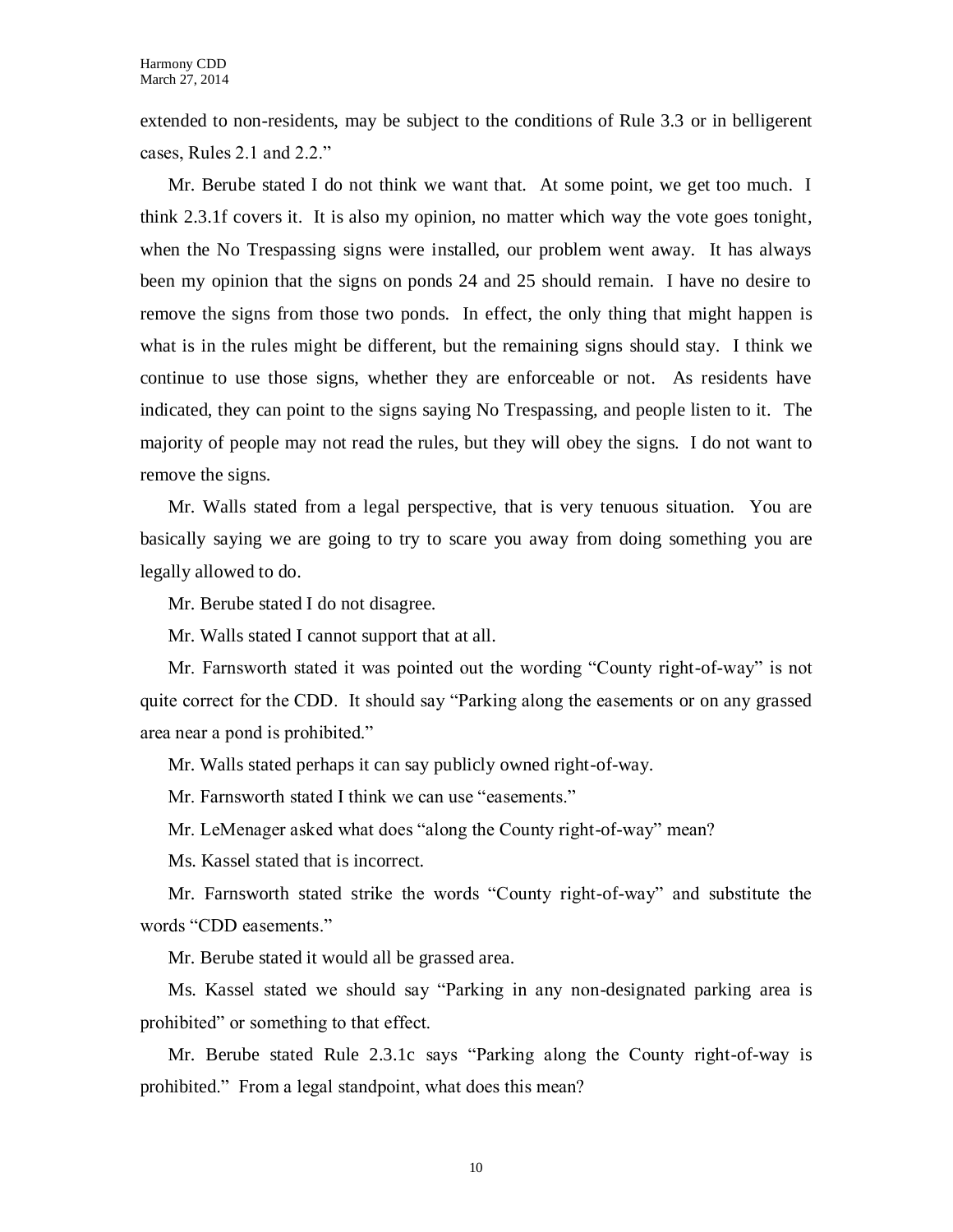extended to non-residents, may be subject to the conditions of Rule 3.3 or in belligerent cases, Rules 2.1 and 2.2."

Mr. Berube stated I do not think we want that. At some point, we get too much. I think 2.3.1f covers it. It is also my opinion, no matter which way the vote goes tonight, when the No Trespassing signs were installed, our problem went away. It has always been my opinion that the signs on ponds 24 and 25 should remain. I have no desire to remove the signs from those two ponds. In effect, the only thing that might happen is what is in the rules might be different, but the remaining signs should stay. I think we continue to use those signs, whether they are enforceable or not. As residents have indicated, they can point to the signs saying No Trespassing, and people listen to it. The majority of people may not read the rules, but they will obey the signs. I do not want to remove the signs.

Mr. Walls stated from a legal perspective, that is very tenuous situation. You are basically saying we are going to try to scare you away from doing something you are legally allowed to do.

Mr. Berube stated I do not disagree.

Mr. Walls stated I cannot support that at all.

Mr. Farnsworth stated it was pointed out the wording "County right-of-way" is not quite correct for the CDD. It should say "Parking along the easements or on any grassed area near a pond is prohibited."

Mr. Walls stated perhaps it can say publicly owned right-of-way.

Mr. Farnsworth stated I think we can use "easements."

Mr. LeMenager asked what does "along the County right-of-way" mean?

Ms. Kassel stated that is incorrect.

Mr. Farnsworth stated strike the words "County right-of-way" and substitute the words "CDD easements."

Mr. Berube stated it would all be grassed area.

Ms. Kassel stated we should say "Parking in any non-designated parking area is prohibited" or something to that effect.

Mr. Berube stated Rule 2.3.1c says "Parking along the County right-of-way is prohibited." From a legal standpoint, what does this mean?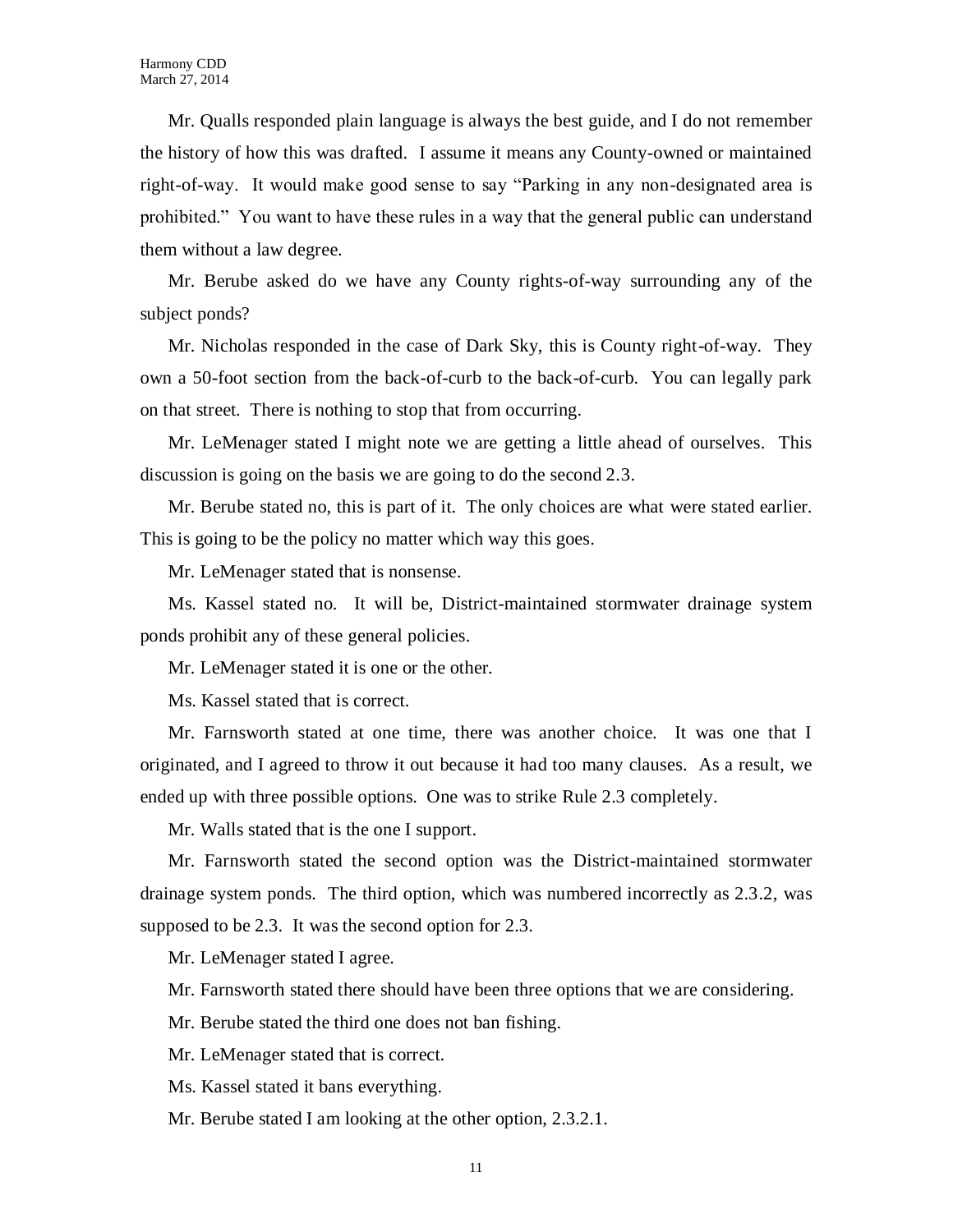Mr. Qualls responded plain language is always the best guide, and I do not remember the history of how this was drafted. I assume it means any County-owned or maintained right-of-way. It would make good sense to say "Parking in any non-designated area is prohibited." You want to have these rules in a way that the general public can understand them without a law degree.

Mr. Berube asked do we have any County rights-of-way surrounding any of the subject ponds?

Mr. Nicholas responded in the case of Dark Sky, this is County right-of-way. They own a 50-foot section from the back-of-curb to the back-of-curb. You can legally park on that street. There is nothing to stop that from occurring.

Mr. LeMenager stated I might note we are getting a little ahead of ourselves. This discussion is going on the basis we are going to do the second 2.3.

Mr. Berube stated no, this is part of it. The only choices are what were stated earlier. This is going to be the policy no matter which way this goes.

Mr. LeMenager stated that is nonsense.

Ms. Kassel stated no. It will be, District-maintained stormwater drainage system ponds prohibit any of these general policies.

Mr. LeMenager stated it is one or the other.

Ms. Kassel stated that is correct.

Mr. Farnsworth stated at one time, there was another choice. It was one that I originated, and I agreed to throw it out because it had too many clauses. As a result, we ended up with three possible options. One was to strike Rule 2.3 completely.

Mr. Walls stated that is the one I support.

Mr. Farnsworth stated the second option was the District-maintained stormwater drainage system ponds. The third option, which was numbered incorrectly as 2.3.2, was supposed to be 2.3. It was the second option for 2.3.

Mr. LeMenager stated I agree.

Mr. Farnsworth stated there should have been three options that we are considering.

Mr. Berube stated the third one does not ban fishing.

Mr. LeMenager stated that is correct.

Ms. Kassel stated it bans everything.

Mr. Berube stated I am looking at the other option, 2.3.2.1.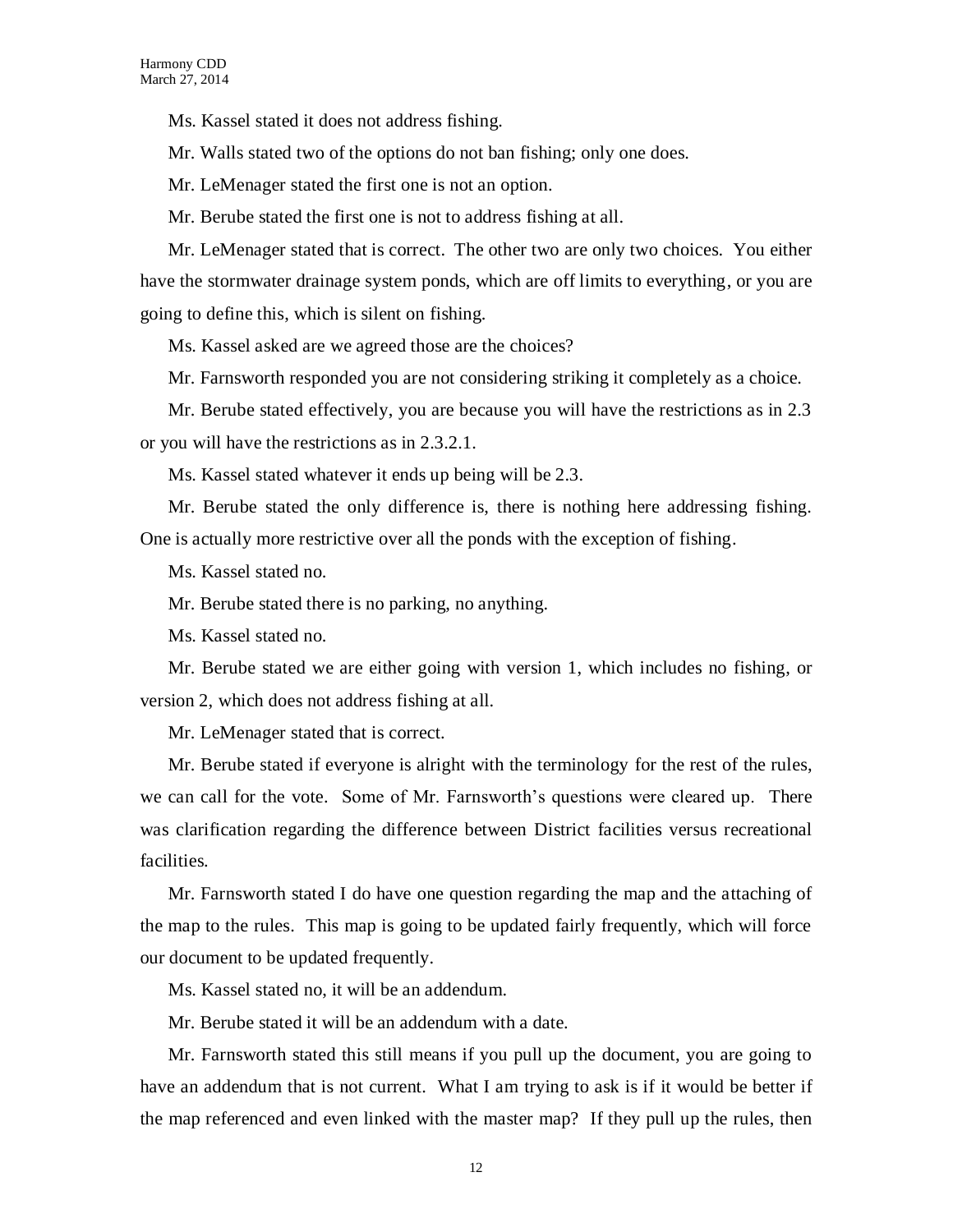Ms. Kassel stated it does not address fishing.

Mr. Walls stated two of the options do not ban fishing; only one does.

Mr. LeMenager stated the first one is not an option.

Mr. Berube stated the first one is not to address fishing at all.

Mr. LeMenager stated that is correct. The other two are only two choices. You either have the stormwater drainage system ponds, which are off limits to everything, or you are going to define this, which is silent on fishing.

Ms. Kassel asked are we agreed those are the choices?

Mr. Farnsworth responded you are not considering striking it completely as a choice.

Mr. Berube stated effectively, you are because you will have the restrictions as in 2.3 or you will have the restrictions as in 2.3.2.1.

Ms. Kassel stated whatever it ends up being will be 2.3.

Mr. Berube stated the only difference is, there is nothing here addressing fishing. One is actually more restrictive over all the ponds with the exception of fishing.

Ms. Kassel stated no.

Mr. Berube stated there is no parking, no anything.

Ms. Kassel stated no.

Mr. Berube stated we are either going with version 1, which includes no fishing, or version 2, which does not address fishing at all.

Mr. LeMenager stated that is correct.

Mr. Berube stated if everyone is alright with the terminology for the rest of the rules, we can call for the vote. Some of Mr. Farnsworth's questions were cleared up. There was clarification regarding the difference between District facilities versus recreational facilities.

Mr. Farnsworth stated I do have one question regarding the map and the attaching of the map to the rules. This map is going to be updated fairly frequently, which will force our document to be updated frequently.

Ms. Kassel stated no, it will be an addendum.

Mr. Berube stated it will be an addendum with a date.

Mr. Farnsworth stated this still means if you pull up the document, you are going to have an addendum that is not current. What I am trying to ask is if it would be better if the map referenced and even linked with the master map? If they pull up the rules, then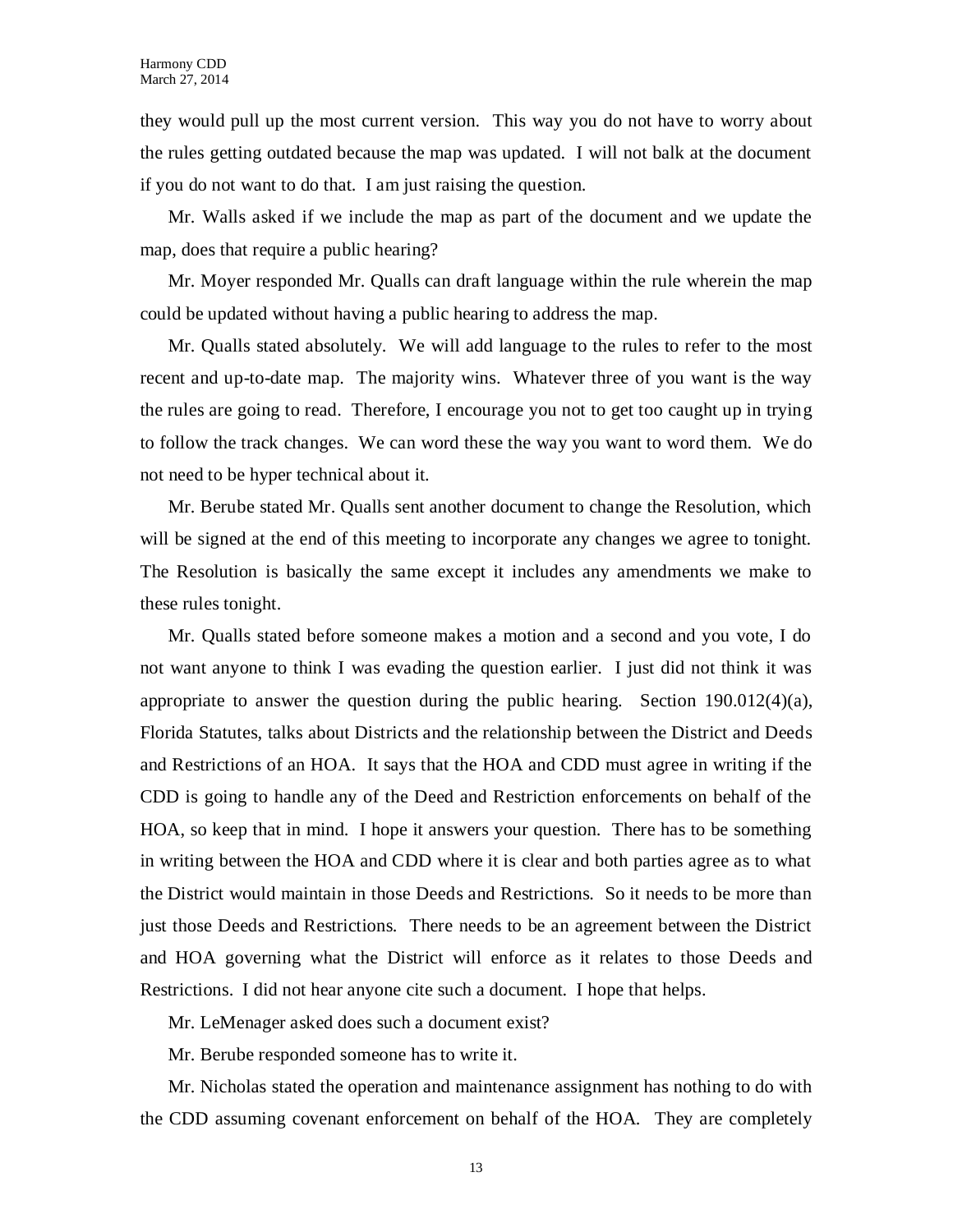they would pull up the most current version. This way you do not have to worry about the rules getting outdated because the map was updated. I will not balk at the document if you do not want to do that. I am just raising the question.

Mr. Walls asked if we include the map as part of the document and we update the map, does that require a public hearing?

Mr. Moyer responded Mr. Qualls can draft language within the rule wherein the map could be updated without having a public hearing to address the map.

Mr. Qualls stated absolutely. We will add language to the rules to refer to the most recent and up-to-date map. The majority wins. Whatever three of you want is the way the rules are going to read. Therefore, I encourage you not to get too caught up in trying to follow the track changes. We can word these the way you want to word them. We do not need to be hyper technical about it.

Mr. Berube stated Mr. Qualls sent another document to change the Resolution, which will be signed at the end of this meeting to incorporate any changes we agree to tonight. The Resolution is basically the same except it includes any amendments we make to these rules tonight.

Mr. Qualls stated before someone makes a motion and a second and you vote, I do not want anyone to think I was evading the question earlier. I just did not think it was appropriate to answer the question during the public hearing. Section  $190.012(4)(a)$ , Florida Statutes, talks about Districts and the relationship between the District and Deeds and Restrictions of an HOA. It says that the HOA and CDD must agree in writing if the CDD is going to handle any of the Deed and Restriction enforcements on behalf of the HOA, so keep that in mind. I hope it answers your question. There has to be something in writing between the HOA and CDD where it is clear and both parties agree as to what the District would maintain in those Deeds and Restrictions. So it needs to be more than just those Deeds and Restrictions. There needs to be an agreement between the District and HOA governing what the District will enforce as it relates to those Deeds and Restrictions. I did not hear anyone cite such a document. I hope that helps.

Mr. LeMenager asked does such a document exist?

Mr. Berube responded someone has to write it.

Mr. Nicholas stated the operation and maintenance assignment has nothing to do with the CDD assuming covenant enforcement on behalf of the HOA. They are completely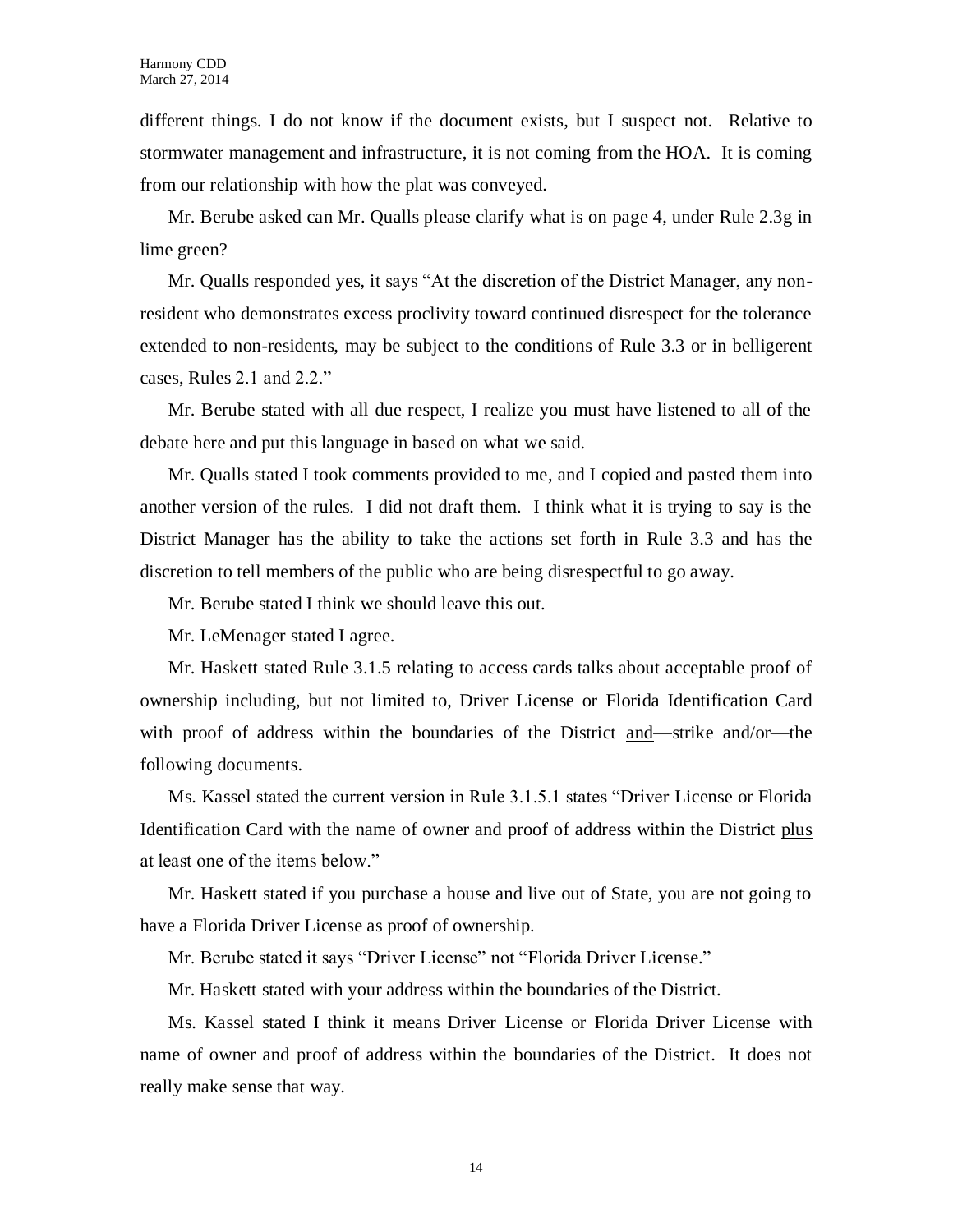different things. I do not know if the document exists, but I suspect not. Relative to stormwater management and infrastructure, it is not coming from the HOA. It is coming from our relationship with how the plat was conveyed.

Mr. Berube asked can Mr. Qualls please clarify what is on page 4, under Rule 2.3g in lime green?

Mr. Qualls responded yes, it says "At the discretion of the District Manager, any nonresident who demonstrates excess proclivity toward continued disrespect for the tolerance extended to non-residents, may be subject to the conditions of Rule 3.3 or in belligerent cases, Rules 2.1 and 2.2."

Mr. Berube stated with all due respect, I realize you must have listened to all of the debate here and put this language in based on what we said.

Mr. Qualls stated I took comments provided to me, and I copied and pasted them into another version of the rules. I did not draft them. I think what it is trying to say is the District Manager has the ability to take the actions set forth in Rule 3.3 and has the discretion to tell members of the public who are being disrespectful to go away.

Mr. Berube stated I think we should leave this out.

Mr. LeMenager stated I agree.

Mr. Haskett stated Rule 3.1.5 relating to access cards talks about acceptable proof of ownership including, but not limited to, Driver License or Florida Identification Card with proof of address within the boundaries of the District and—strike and/or—the following documents.

Ms. Kassel stated the current version in Rule 3.1.5.1 states "Driver License or Florida Identification Card with the name of owner and proof of address within the District plus at least one of the items below."

Mr. Haskett stated if you purchase a house and live out of State, you are not going to have a Florida Driver License as proof of ownership.

Mr. Berube stated it says "Driver License" not "Florida Driver License."

Mr. Haskett stated with your address within the boundaries of the District.

Ms. Kassel stated I think it means Driver License or Florida Driver License with name of owner and proof of address within the boundaries of the District. It does not really make sense that way.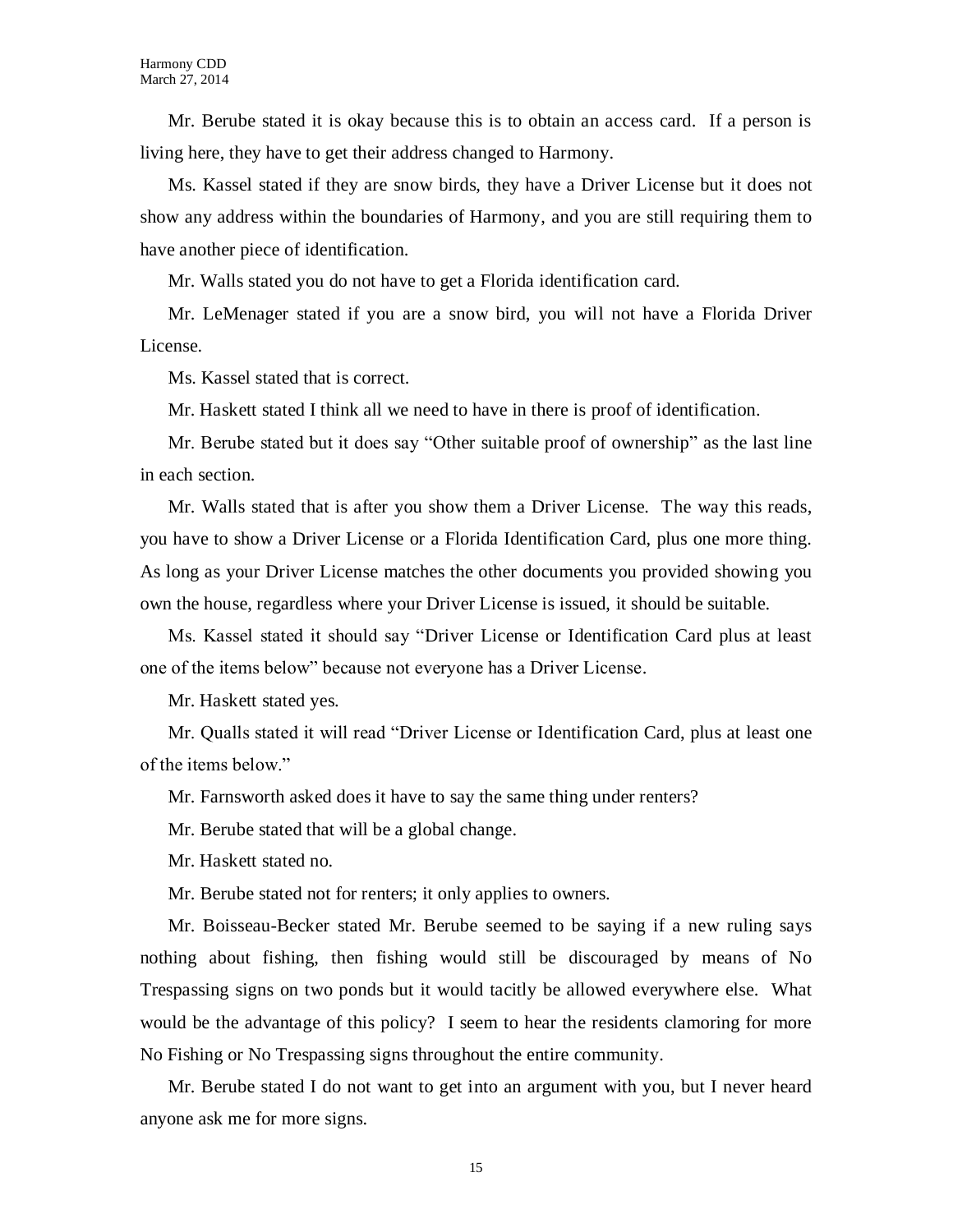Mr. Berube stated it is okay because this is to obtain an access card. If a person is living here, they have to get their address changed to Harmony.

Ms. Kassel stated if they are snow birds, they have a Driver License but it does not show any address within the boundaries of Harmony, and you are still requiring them to have another piece of identification.

Mr. Walls stated you do not have to get a Florida identification card.

Mr. LeMenager stated if you are a snow bird, you will not have a Florida Driver License.

Ms. Kassel stated that is correct.

Mr. Haskett stated I think all we need to have in there is proof of identification.

Mr. Berube stated but it does say "Other suitable proof of ownership" as the last line in each section.

Mr. Walls stated that is after you show them a Driver License. The way this reads, you have to show a Driver License or a Florida Identification Card, plus one more thing. As long as your Driver License matches the other documents you provided showing you own the house, regardless where your Driver License is issued, it should be suitable.

Ms. Kassel stated it should say "Driver License or Identification Card plus at least one of the items below" because not everyone has a Driver License.

Mr. Haskett stated yes.

Mr. Qualls stated it will read "Driver License or Identification Card, plus at least one of the items below."

Mr. Farnsworth asked does it have to say the same thing under renters?

Mr. Berube stated that will be a global change.

Mr. Haskett stated no.

Mr. Berube stated not for renters; it only applies to owners.

Mr. Boisseau-Becker stated Mr. Berube seemed to be saying if a new ruling says nothing about fishing, then fishing would still be discouraged by means of No Trespassing signs on two ponds but it would tacitly be allowed everywhere else. What would be the advantage of this policy? I seem to hear the residents clamoring for more No Fishing or No Trespassing signs throughout the entire community.

Mr. Berube stated I do not want to get into an argument with you, but I never heard anyone ask me for more signs.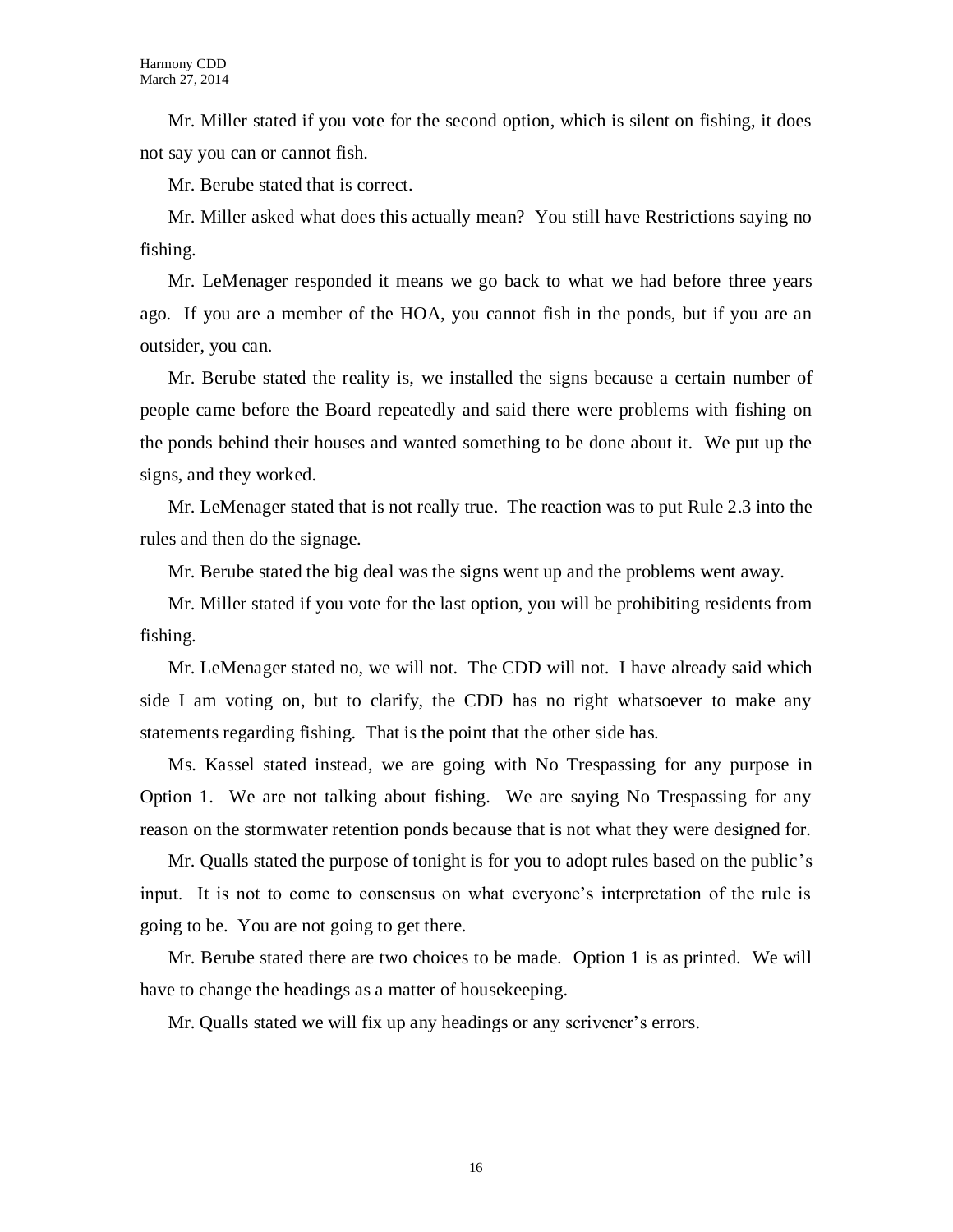Mr. Miller stated if you vote for the second option, which is silent on fishing, it does not say you can or cannot fish.

Mr. Berube stated that is correct.

Mr. Miller asked what does this actually mean? You still have Restrictions saying no fishing.

Mr. LeMenager responded it means we go back to what we had before three years ago. If you are a member of the HOA, you cannot fish in the ponds, but if you are an outsider, you can.

Mr. Berube stated the reality is, we installed the signs because a certain number of people came before the Board repeatedly and said there were problems with fishing on the ponds behind their houses and wanted something to be done about it. We put up the signs, and they worked.

Mr. LeMenager stated that is not really true. The reaction was to put Rule 2.3 into the rules and then do the signage.

Mr. Berube stated the big deal was the signs went up and the problems went away.

Mr. Miller stated if you vote for the last option, you will be prohibiting residents from fishing.

Mr. LeMenager stated no, we will not. The CDD will not. I have already said which side I am voting on, but to clarify, the CDD has no right whatsoever to make any statements regarding fishing. That is the point that the other side has.

Ms. Kassel stated instead, we are going with No Trespassing for any purpose in Option 1. We are not talking about fishing. We are saying No Trespassing for any reason on the stormwater retention ponds because that is not what they were designed for.

Mr. Qualls stated the purpose of tonight is for you to adopt rules based on the public's input. It is not to come to consensus on what everyone's interpretation of the rule is going to be. You are not going to get there.

Mr. Berube stated there are two choices to be made. Option 1 is as printed. We will have to change the headings as a matter of housekeeping.

Mr. Qualls stated we will fix up any headings or any scrivener's errors.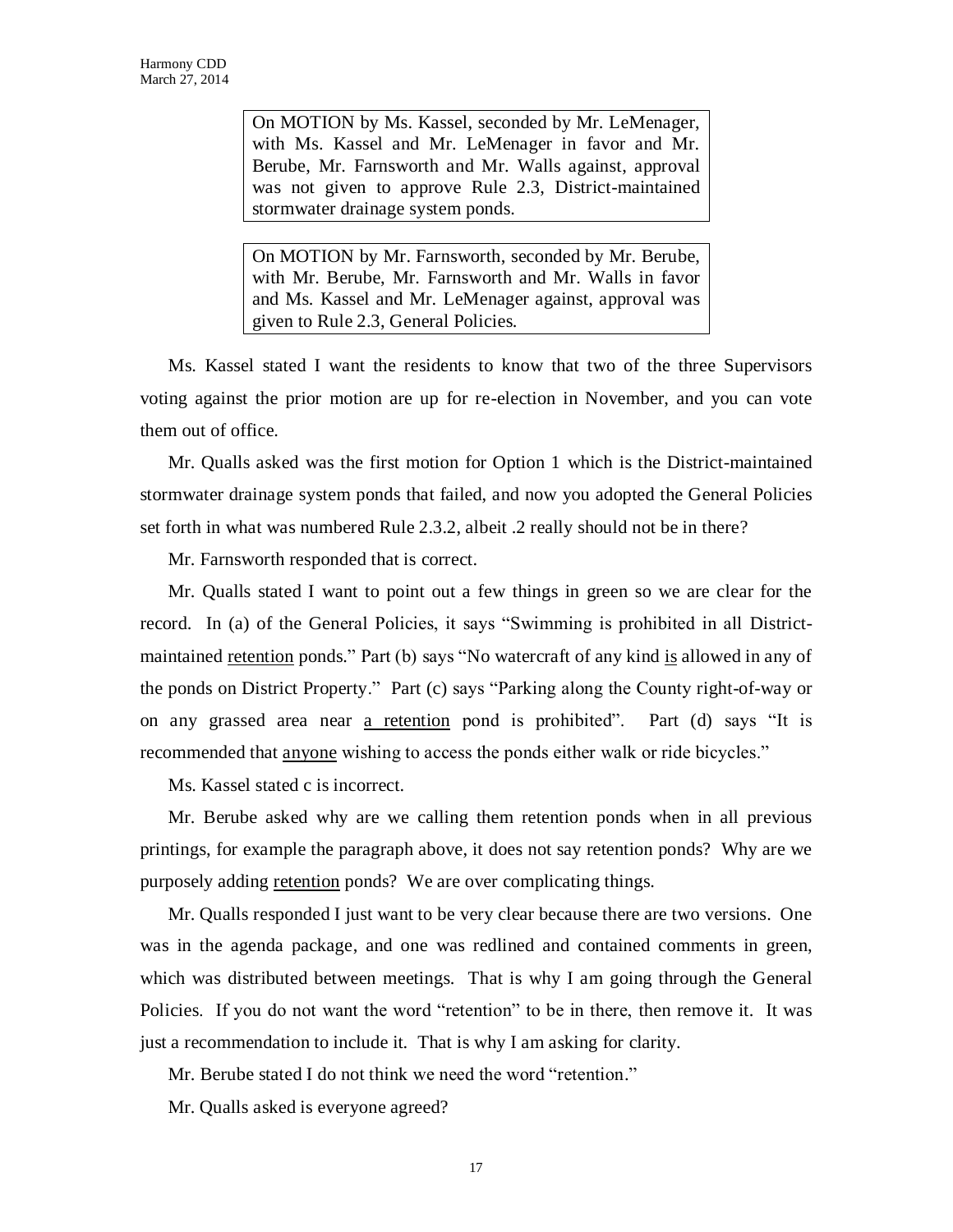On MOTION by Ms. Kassel, seconded by Mr. LeMenager, with Ms. Kassel and Mr. LeMenager in favor and Mr. Berube, Mr. Farnsworth and Mr. Walls against, approval was not given to approve Rule 2.3, District-maintained stormwater drainage system ponds.

On MOTION by Mr. Farnsworth, seconded by Mr. Berube, with Mr. Berube, Mr. Farnsworth and Mr. Walls in favor and Ms. Kassel and Mr. LeMenager against, approval was given to Rule 2.3, General Policies.

Ms. Kassel stated I want the residents to know that two of the three Supervisors voting against the prior motion are up for re-election in November, and you can vote them out of office.

Mr. Qualls asked was the first motion for Option 1 which is the District-maintained stormwater drainage system ponds that failed, and now you adopted the General Policies set forth in what was numbered Rule 2.3.2, albeit .2 really should not be in there?

Mr. Farnsworth responded that is correct.

Mr. Qualls stated I want to point out a few things in green so we are clear for the record. In (a) of the General Policies, it says "Swimming is prohibited in all Districtmaintained retention ponds." Part (b) says "No watercraft of any kind is allowed in any of the ponds on District Property." Part (c) says "Parking along the County right-of-way or on any grassed area near a retention pond is prohibited". Part (d) says "It is recommended that anyone wishing to access the ponds either walk or ride bicycles."

Ms. Kassel stated c is incorrect.

Mr. Berube asked why are we calling them retention ponds when in all previous printings, for example the paragraph above, it does not say retention ponds? Why are we purposely adding retention ponds? We are over complicating things.

Mr. Qualls responded I just want to be very clear because there are two versions. One was in the agenda package, and one was redlined and contained comments in green, which was distributed between meetings. That is why I am going through the General Policies. If you do not want the word "retention" to be in there, then remove it. It was just a recommendation to include it. That is why I am asking for clarity.

Mr. Berube stated I do not think we need the word "retention."

Mr. Qualls asked is everyone agreed?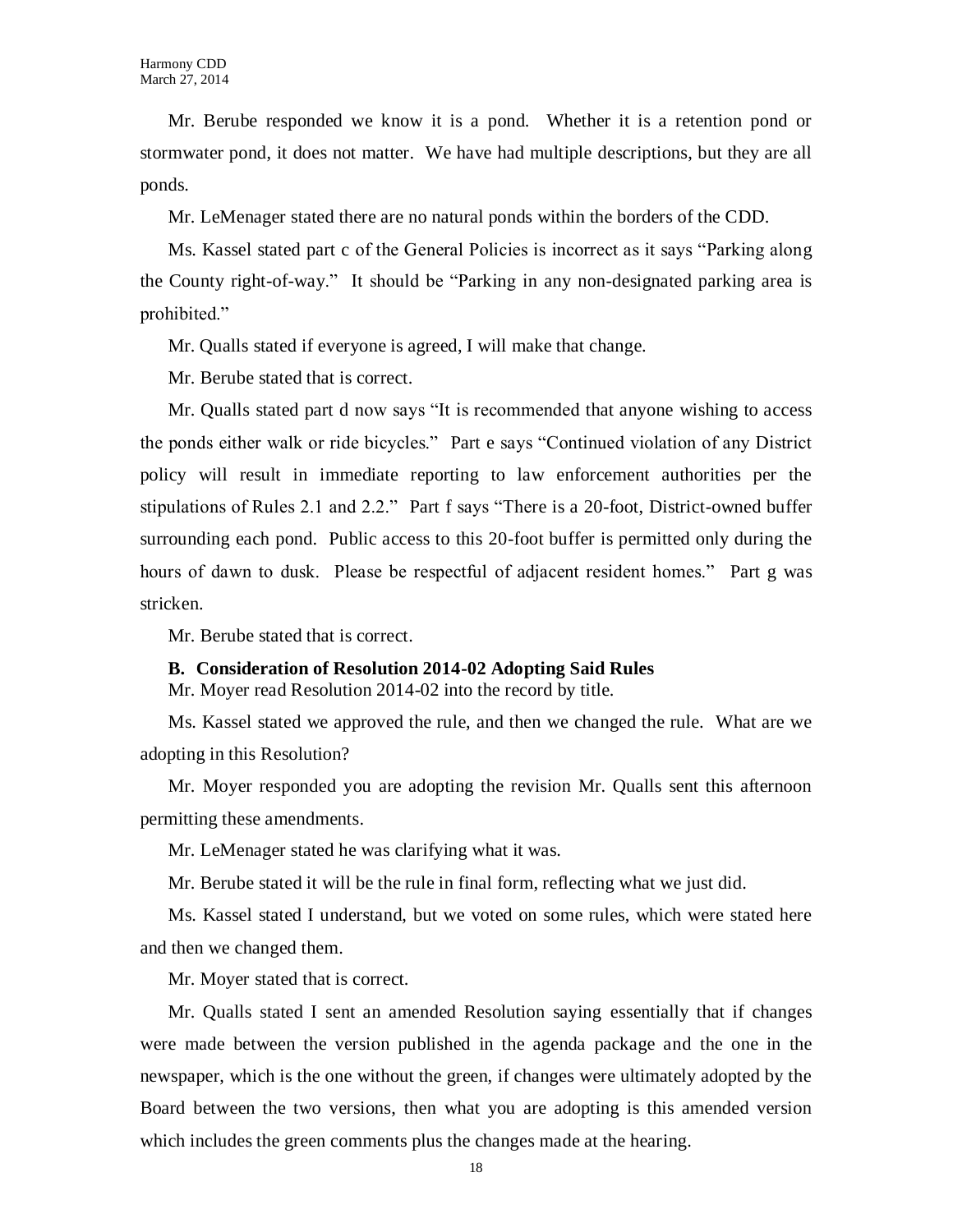Mr. Berube responded we know it is a pond. Whether it is a retention pond or stormwater pond, it does not matter. We have had multiple descriptions, but they are all ponds.

Mr. LeMenager stated there are no natural ponds within the borders of the CDD.

Ms. Kassel stated part c of the General Policies is incorrect as it says "Parking along the County right-of-way." It should be "Parking in any non-designated parking area is prohibited."

Mr. Qualls stated if everyone is agreed, I will make that change.

Mr. Berube stated that is correct.

Mr. Qualls stated part d now says "It is recommended that anyone wishing to access the ponds either walk or ride bicycles." Part e says "Continued violation of any District policy will result in immediate reporting to law enforcement authorities per the stipulations of Rules 2.1 and 2.2." Part f says "There is a 20-foot, District-owned buffer surrounding each pond. Public access to this 20-foot buffer is permitted only during the hours of dawn to dusk. Please be respectful of adjacent resident homes." Part g was stricken.

Mr. Berube stated that is correct.

#### **B. Consideration of Resolution 2014-02 Adopting Said Rules**

Mr. Moyer read Resolution 2014-02 into the record by title.

Ms. Kassel stated we approved the rule, and then we changed the rule. What are we adopting in this Resolution?

Mr. Moyer responded you are adopting the revision Mr. Qualls sent this afternoon permitting these amendments.

Mr. LeMenager stated he was clarifying what it was.

Mr. Berube stated it will be the rule in final form, reflecting what we just did.

Ms. Kassel stated I understand, but we voted on some rules, which were stated here and then we changed them.

Mr. Moyer stated that is correct.

Mr. Qualls stated I sent an amended Resolution saying essentially that if changes were made between the version published in the agenda package and the one in the newspaper, which is the one without the green, if changes were ultimately adopted by the Board between the two versions, then what you are adopting is this amended version which includes the green comments plus the changes made at the hearing.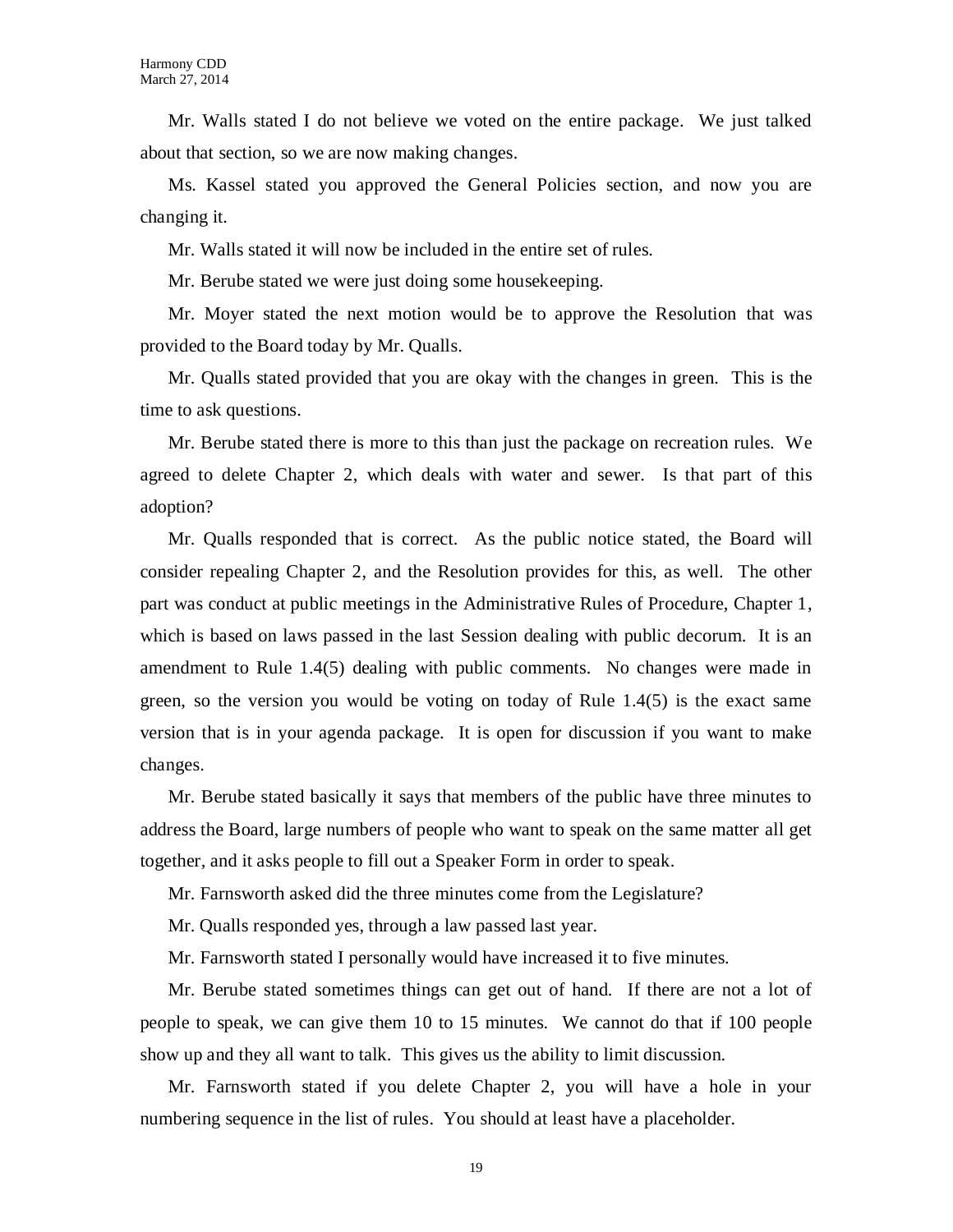Mr. Walls stated I do not believe we voted on the entire package. We just talked about that section, so we are now making changes.

Ms. Kassel stated you approved the General Policies section, and now you are changing it.

Mr. Walls stated it will now be included in the entire set of rules.

Mr. Berube stated we were just doing some housekeeping.

Mr. Moyer stated the next motion would be to approve the Resolution that was provided to the Board today by Mr. Qualls.

Mr. Qualls stated provided that you are okay with the changes in green. This is the time to ask questions.

Mr. Berube stated there is more to this than just the package on recreation rules. We agreed to delete Chapter 2, which deals with water and sewer. Is that part of this adoption?

Mr. Qualls responded that is correct. As the public notice stated, the Board will consider repealing Chapter 2, and the Resolution provides for this, as well. The other part was conduct at public meetings in the Administrative Rules of Procedure, Chapter 1, which is based on laws passed in the last Session dealing with public decorum. It is an amendment to Rule 1.4(5) dealing with public comments. No changes were made in green, so the version you would be voting on today of Rule 1.4(5) is the exact same version that is in your agenda package. It is open for discussion if you want to make changes.

Mr. Berube stated basically it says that members of the public have three minutes to address the Board, large numbers of people who want to speak on the same matter all get together, and it asks people to fill out a Speaker Form in order to speak.

Mr. Farnsworth asked did the three minutes come from the Legislature?

Mr. Qualls responded yes, through a law passed last year.

Mr. Farnsworth stated I personally would have increased it to five minutes.

Mr. Berube stated sometimes things can get out of hand. If there are not a lot of people to speak, we can give them 10 to 15 minutes. We cannot do that if 100 people show up and they all want to talk. This gives us the ability to limit discussion.

Mr. Farnsworth stated if you delete Chapter 2, you will have a hole in your numbering sequence in the list of rules. You should at least have a placeholder.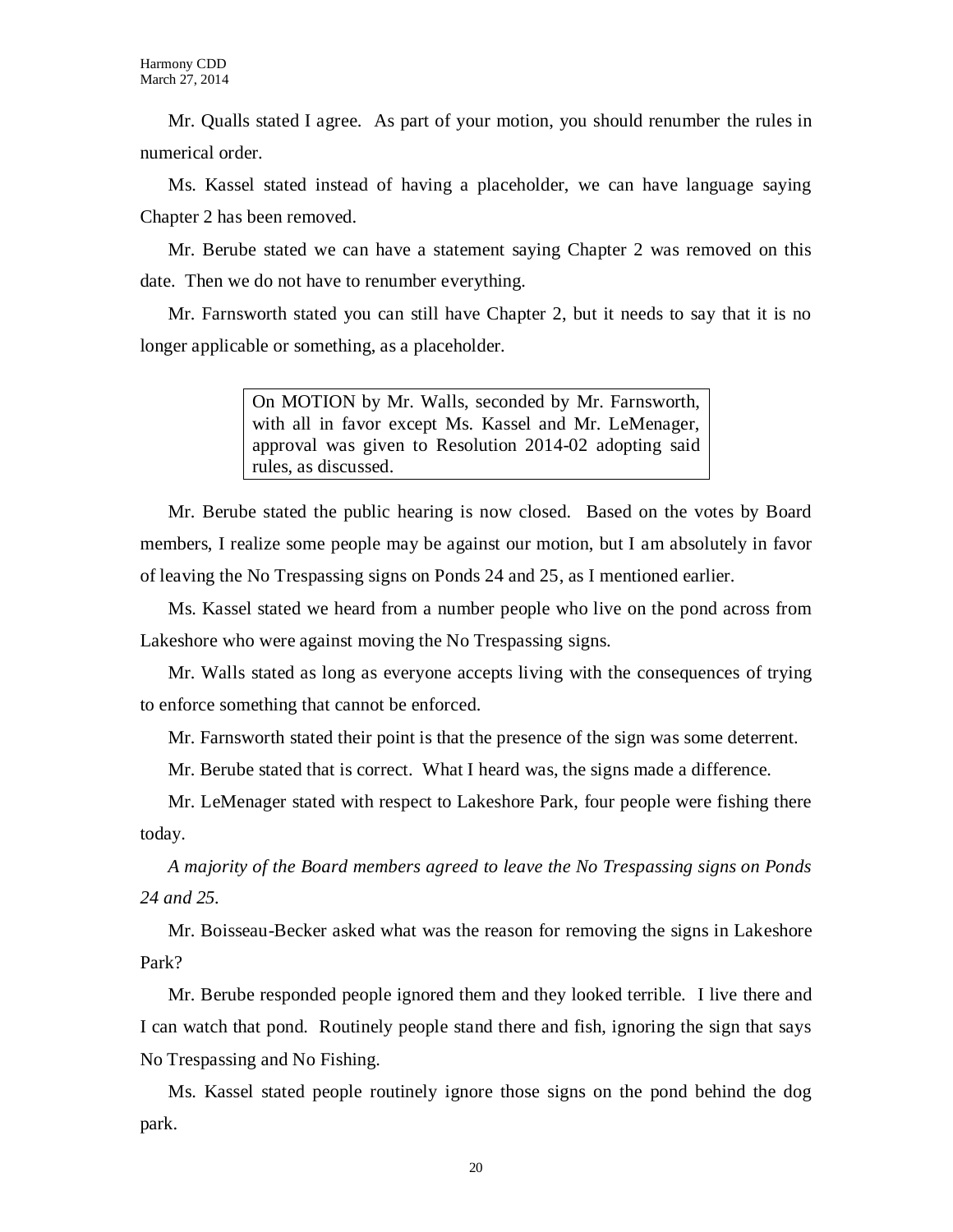Mr. Qualls stated I agree. As part of your motion, you should renumber the rules in numerical order.

Ms. Kassel stated instead of having a placeholder, we can have language saying Chapter 2 has been removed.

Mr. Berube stated we can have a statement saying Chapter 2 was removed on this date. Then we do not have to renumber everything.

Mr. Farnsworth stated you can still have Chapter 2, but it needs to say that it is no longer applicable or something, as a placeholder.

> On MOTION by Mr. Walls, seconded by Mr. Farnsworth, with all in favor except Ms. Kassel and Mr. LeMenager, approval was given to Resolution 2014-02 adopting said rules, as discussed.

Mr. Berube stated the public hearing is now closed. Based on the votes by Board members, I realize some people may be against our motion, but I am absolutely in favor of leaving the No Trespassing signs on Ponds 24 and 25, as I mentioned earlier.

Ms. Kassel stated we heard from a number people who live on the pond across from Lakeshore who were against moving the No Trespassing signs.

Mr. Walls stated as long as everyone accepts living with the consequences of trying to enforce something that cannot be enforced.

Mr. Farnsworth stated their point is that the presence of the sign was some deterrent.

Mr. Berube stated that is correct. What I heard was, the signs made a difference.

Mr. LeMenager stated with respect to Lakeshore Park, four people were fishing there today.

*A majority of the Board members agreed to leave the No Trespassing signs on Ponds 24 and 25.*

Mr. Boisseau-Becker asked what was the reason for removing the signs in Lakeshore Park?

Mr. Berube responded people ignored them and they looked terrible. I live there and I can watch that pond. Routinely people stand there and fish, ignoring the sign that says No Trespassing and No Fishing.

Ms. Kassel stated people routinely ignore those signs on the pond behind the dog park.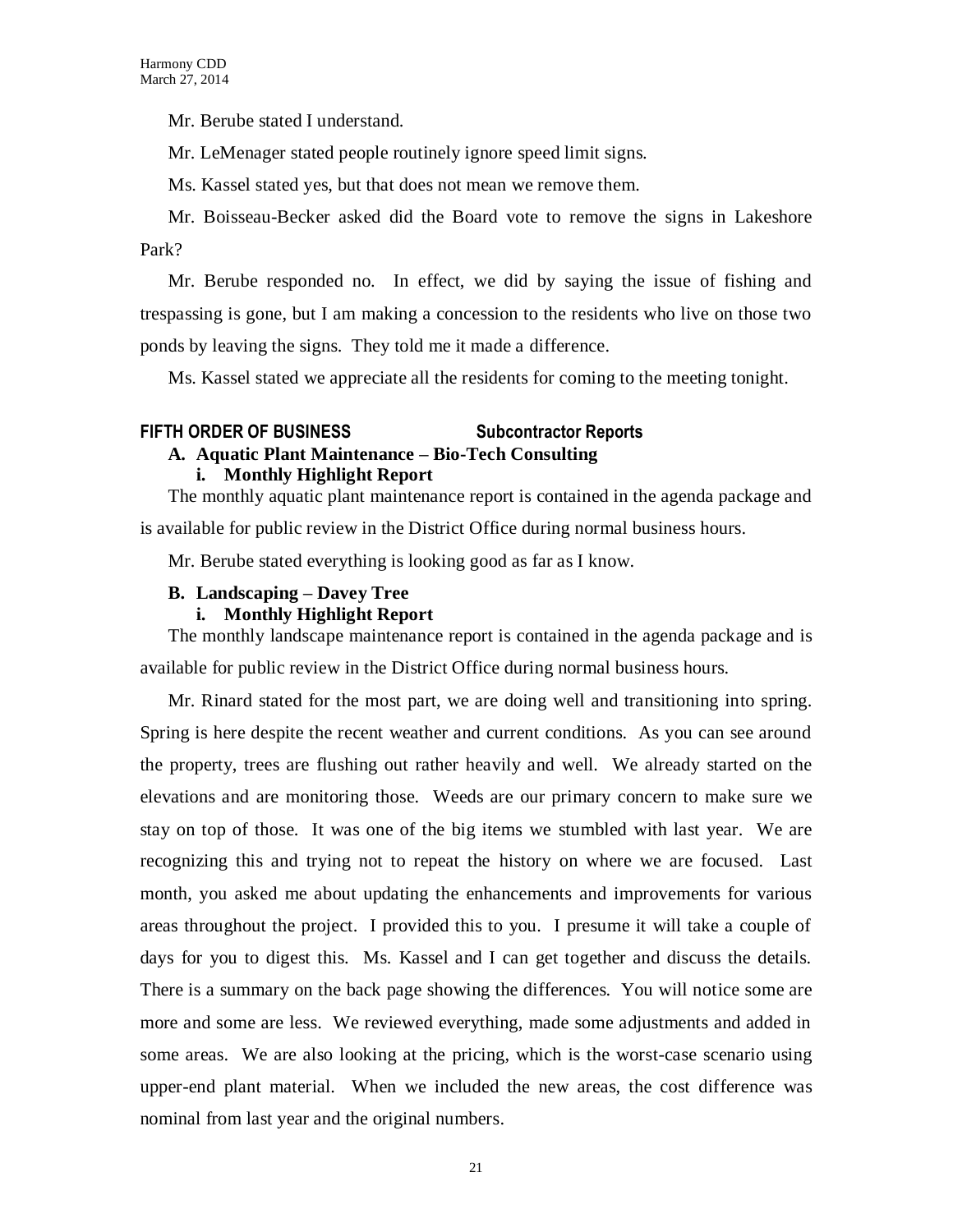Mr. Berube stated I understand.

Mr. LeMenager stated people routinely ignore speed limit signs.

Ms. Kassel stated yes, but that does not mean we remove them.

Mr. Boisseau-Becker asked did the Board vote to remove the signs in Lakeshore Park?

Mr. Berube responded no. In effect, we did by saying the issue of fishing and trespassing is gone, but I am making a concession to the residents who live on those two ponds by leaving the signs. They told me it made a difference.

Ms. Kassel stated we appreciate all the residents for coming to the meeting tonight.

## **FIFTH ORDER OF BUSINESS Subcontractor Reports**

### **A. Aquatic Plant Maintenance – Bio-Tech Consulting**

#### **i. Monthly Highlight Report**

The monthly aquatic plant maintenance report is contained in the agenda package and is available for public review in the District Office during normal business hours.

Mr. Berube stated everything is looking good as far as I know.

### **B. Landscaping – Davey Tree**

#### **i. Monthly Highlight Report**

The monthly landscape maintenance report is contained in the agenda package and is available for public review in the District Office during normal business hours.

Mr. Rinard stated for the most part, we are doing well and transitioning into spring. Spring is here despite the recent weather and current conditions. As you can see around the property, trees are flushing out rather heavily and well. We already started on the elevations and are monitoring those. Weeds are our primary concern to make sure we stay on top of those. It was one of the big items we stumbled with last year. We are recognizing this and trying not to repeat the history on where we are focused. Last month, you asked me about updating the enhancements and improvements for various areas throughout the project. I provided this to you. I presume it will take a couple of days for you to digest this. Ms. Kassel and I can get together and discuss the details. There is a summary on the back page showing the differences. You will notice some are more and some are less. We reviewed everything, made some adjustments and added in some areas. We are also looking at the pricing, which is the worst-case scenario using upper-end plant material. When we included the new areas, the cost difference was nominal from last year and the original numbers.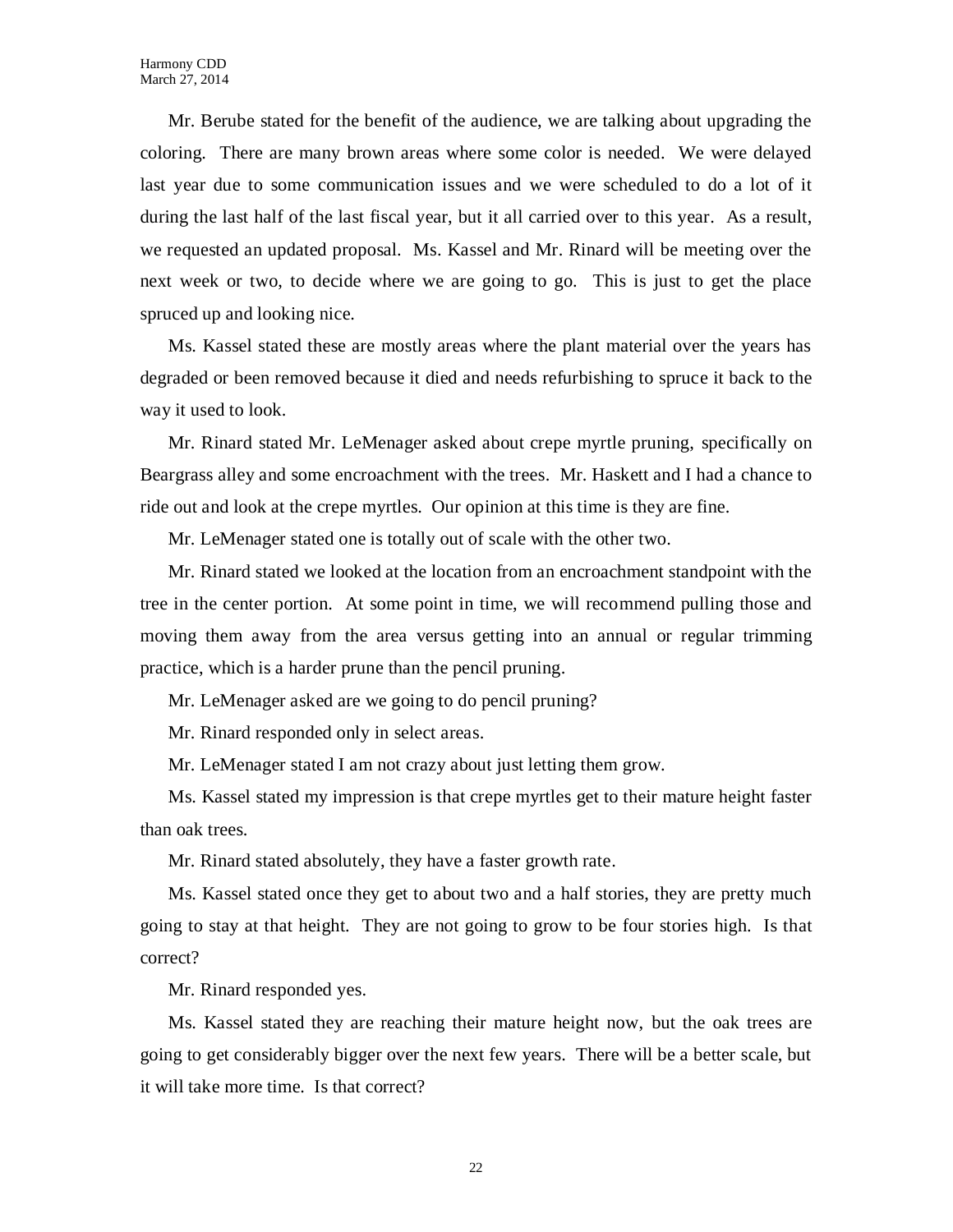Mr. Berube stated for the benefit of the audience, we are talking about upgrading the coloring. There are many brown areas where some color is needed. We were delayed last year due to some communication issues and we were scheduled to do a lot of it during the last half of the last fiscal year, but it all carried over to this year. As a result, we requested an updated proposal. Ms. Kassel and Mr. Rinard will be meeting over the next week or two, to decide where we are going to go. This is just to get the place spruced up and looking nice.

Ms. Kassel stated these are mostly areas where the plant material over the years has degraded or been removed because it died and needs refurbishing to spruce it back to the way it used to look.

Mr. Rinard stated Mr. LeMenager asked about crepe myrtle pruning, specifically on Beargrass alley and some encroachment with the trees. Mr. Haskett and I had a chance to ride out and look at the crepe myrtles. Our opinion at this time is they are fine.

Mr. LeMenager stated one is totally out of scale with the other two.

Mr. Rinard stated we looked at the location from an encroachment standpoint with the tree in the center portion. At some point in time, we will recommend pulling those and moving them away from the area versus getting into an annual or regular trimming practice, which is a harder prune than the pencil pruning.

Mr. LeMenager asked are we going to do pencil pruning?

Mr. Rinard responded only in select areas.

Mr. LeMenager stated I am not crazy about just letting them grow.

Ms. Kassel stated my impression is that crepe myrtles get to their mature height faster than oak trees.

Mr. Rinard stated absolutely, they have a faster growth rate.

Ms. Kassel stated once they get to about two and a half stories, they are pretty much going to stay at that height. They are not going to grow to be four stories high. Is that correct?

Mr. Rinard responded yes.

Ms. Kassel stated they are reaching their mature height now, but the oak trees are going to get considerably bigger over the next few years. There will be a better scale, but it will take more time. Is that correct?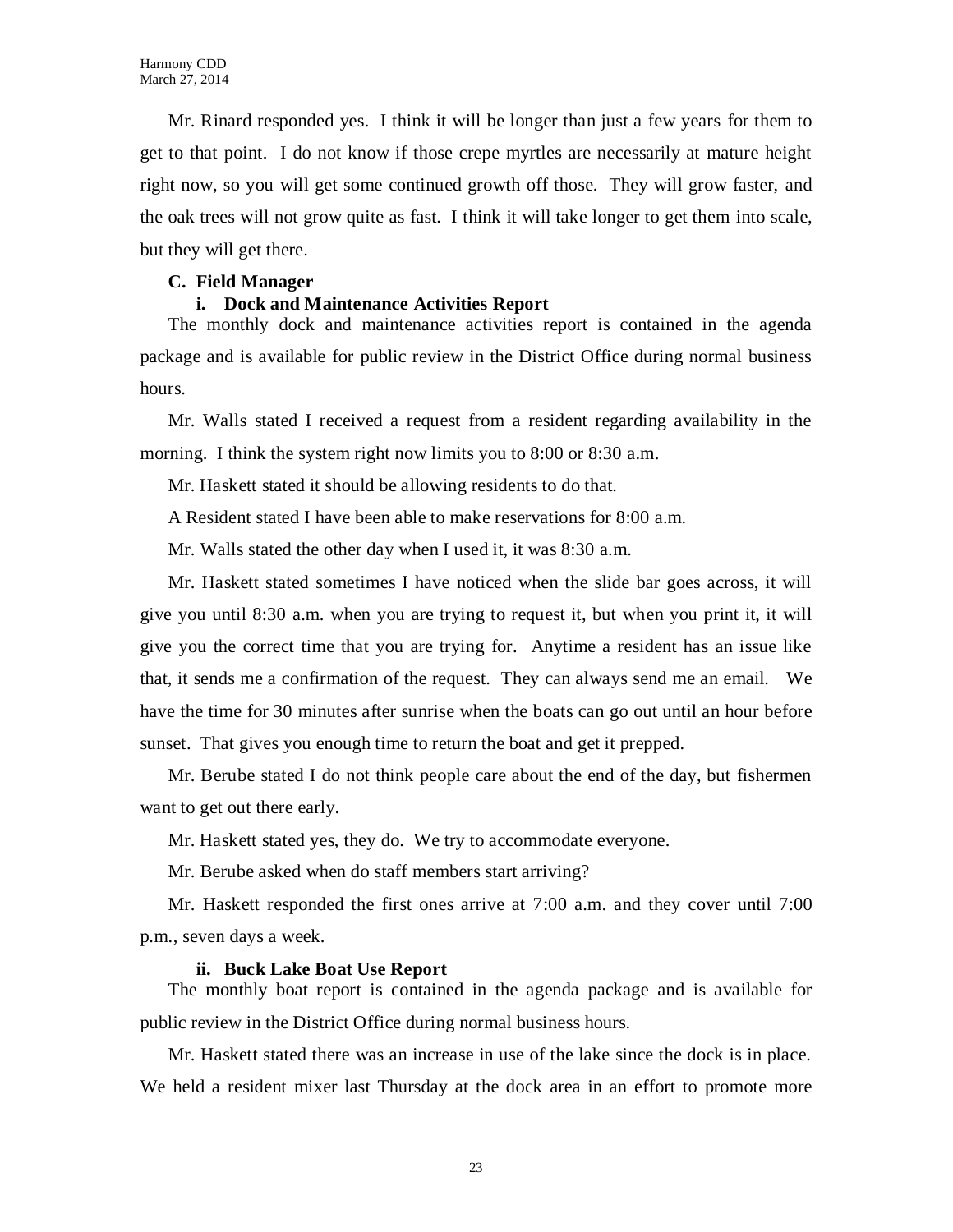Mr. Rinard responded yes. I think it will be longer than just a few years for them to get to that point. I do not know if those crepe myrtles are necessarily at mature height right now, so you will get some continued growth off those. They will grow faster, and the oak trees will not grow quite as fast. I think it will take longer to get them into scale, but they will get there.

### **C. Field Manager**

#### **i. Dock and Maintenance Activities Report**

The monthly dock and maintenance activities report is contained in the agenda package and is available for public review in the District Office during normal business hours.

Mr. Walls stated I received a request from a resident regarding availability in the morning. I think the system right now limits you to 8:00 or 8:30 a.m.

Mr. Haskett stated it should be allowing residents to do that.

A Resident stated I have been able to make reservations for 8:00 a.m.

Mr. Walls stated the other day when I used it, it was 8:30 a.m.

Mr. Haskett stated sometimes I have noticed when the slide bar goes across, it will give you until 8:30 a.m. when you are trying to request it, but when you print it, it will give you the correct time that you are trying for. Anytime a resident has an issue like that, it sends me a confirmation of the request. They can always send me an email. We have the time for 30 minutes after sunrise when the boats can go out until an hour before sunset. That gives you enough time to return the boat and get it prepped.

Mr. Berube stated I do not think people care about the end of the day, but fishermen want to get out there early.

Mr. Haskett stated yes, they do. We try to accommodate everyone.

Mr. Berube asked when do staff members start arriving?

Mr. Haskett responded the first ones arrive at 7:00 a.m. and they cover until 7:00 p.m., seven days a week.

#### **ii. Buck Lake Boat Use Report**

The monthly boat report is contained in the agenda package and is available for public review in the District Office during normal business hours.

Mr. Haskett stated there was an increase in use of the lake since the dock is in place. We held a resident mixer last Thursday at the dock area in an effort to promote more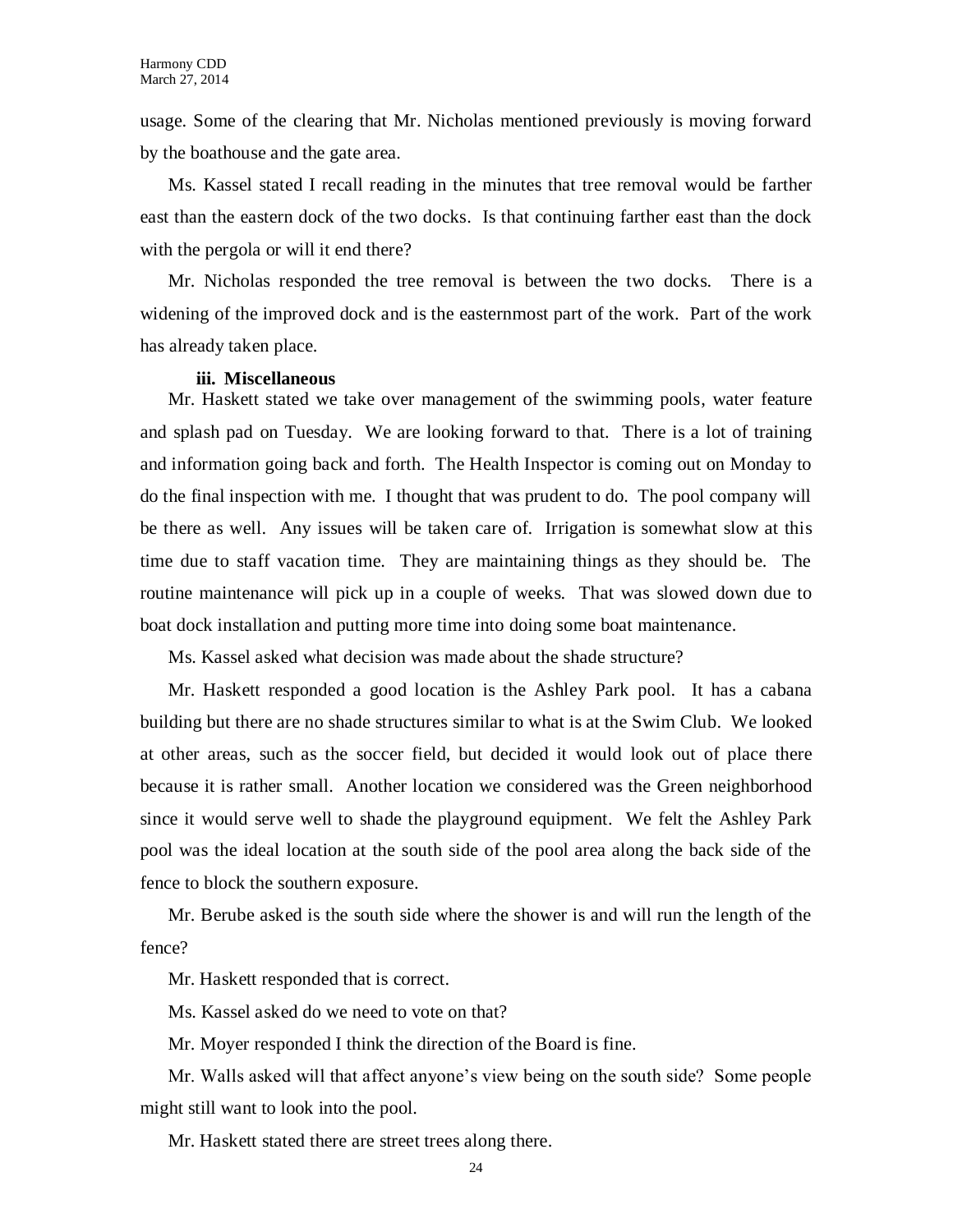usage. Some of the clearing that Mr. Nicholas mentioned previously is moving forward by the boathouse and the gate area.

Ms. Kassel stated I recall reading in the minutes that tree removal would be farther east than the eastern dock of the two docks. Is that continuing farther east than the dock with the pergola or will it end there?

Mr. Nicholas responded the tree removal is between the two docks. There is a widening of the improved dock and is the easternmost part of the work. Part of the work has already taken place.

#### **iii. Miscellaneous**

Mr. Haskett stated we take over management of the swimming pools, water feature and splash pad on Tuesday. We are looking forward to that. There is a lot of training and information going back and forth. The Health Inspector is coming out on Monday to do the final inspection with me. I thought that was prudent to do. The pool company will be there as well. Any issues will be taken care of. Irrigation is somewhat slow at this time due to staff vacation time. They are maintaining things as they should be. The routine maintenance will pick up in a couple of weeks. That was slowed down due to boat dock installation and putting more time into doing some boat maintenance.

Ms. Kassel asked what decision was made about the shade structure?

Mr. Haskett responded a good location is the Ashley Park pool. It has a cabana building but there are no shade structures similar to what is at the Swim Club. We looked at other areas, such as the soccer field, but decided it would look out of place there because it is rather small. Another location we considered was the Green neighborhood since it would serve well to shade the playground equipment. We felt the Ashley Park pool was the ideal location at the south side of the pool area along the back side of the fence to block the southern exposure.

Mr. Berube asked is the south side where the shower is and will run the length of the fence?

Mr. Haskett responded that is correct.

Ms. Kassel asked do we need to vote on that?

Mr. Moyer responded I think the direction of the Board is fine.

Mr. Walls asked will that affect anyone's view being on the south side? Some people might still want to look into the pool.

Mr. Haskett stated there are street trees along there.

24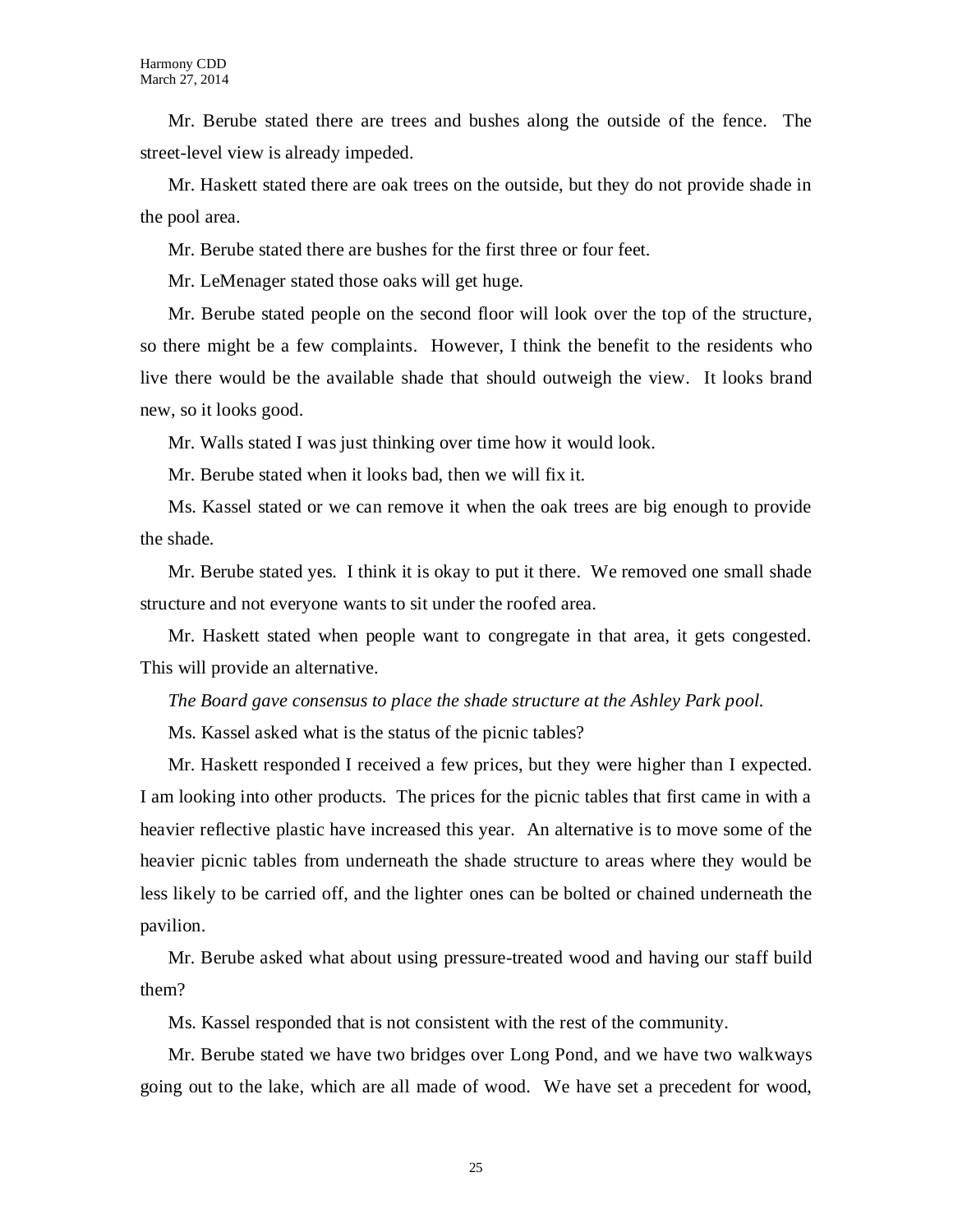Mr. Berube stated there are trees and bushes along the outside of the fence. The street-level view is already impeded.

Mr. Haskett stated there are oak trees on the outside, but they do not provide shade in the pool area.

Mr. Berube stated there are bushes for the first three or four feet.

Mr. LeMenager stated those oaks will get huge.

Mr. Berube stated people on the second floor will look over the top of the structure, so there might be a few complaints. However, I think the benefit to the residents who live there would be the available shade that should outweigh the view. It looks brand new, so it looks good.

Mr. Walls stated I was just thinking over time how it would look.

Mr. Berube stated when it looks bad, then we will fix it.

Ms. Kassel stated or we can remove it when the oak trees are big enough to provide the shade.

Mr. Berube stated yes. I think it is okay to put it there. We removed one small shade structure and not everyone wants to sit under the roofed area.

Mr. Haskett stated when people want to congregate in that area, it gets congested. This will provide an alternative.

*The Board gave consensus to place the shade structure at the Ashley Park pool.*

Ms. Kassel asked what is the status of the picnic tables?

Mr. Haskett responded I received a few prices, but they were higher than I expected. I am looking into other products. The prices for the picnic tables that first came in with a heavier reflective plastic have increased this year. An alternative is to move some of the heavier picnic tables from underneath the shade structure to areas where they would be less likely to be carried off, and the lighter ones can be bolted or chained underneath the pavilion.

Mr. Berube asked what about using pressure-treated wood and having our staff build them?

Ms. Kassel responded that is not consistent with the rest of the community.

Mr. Berube stated we have two bridges over Long Pond, and we have two walkways going out to the lake, which are all made of wood. We have set a precedent for wood,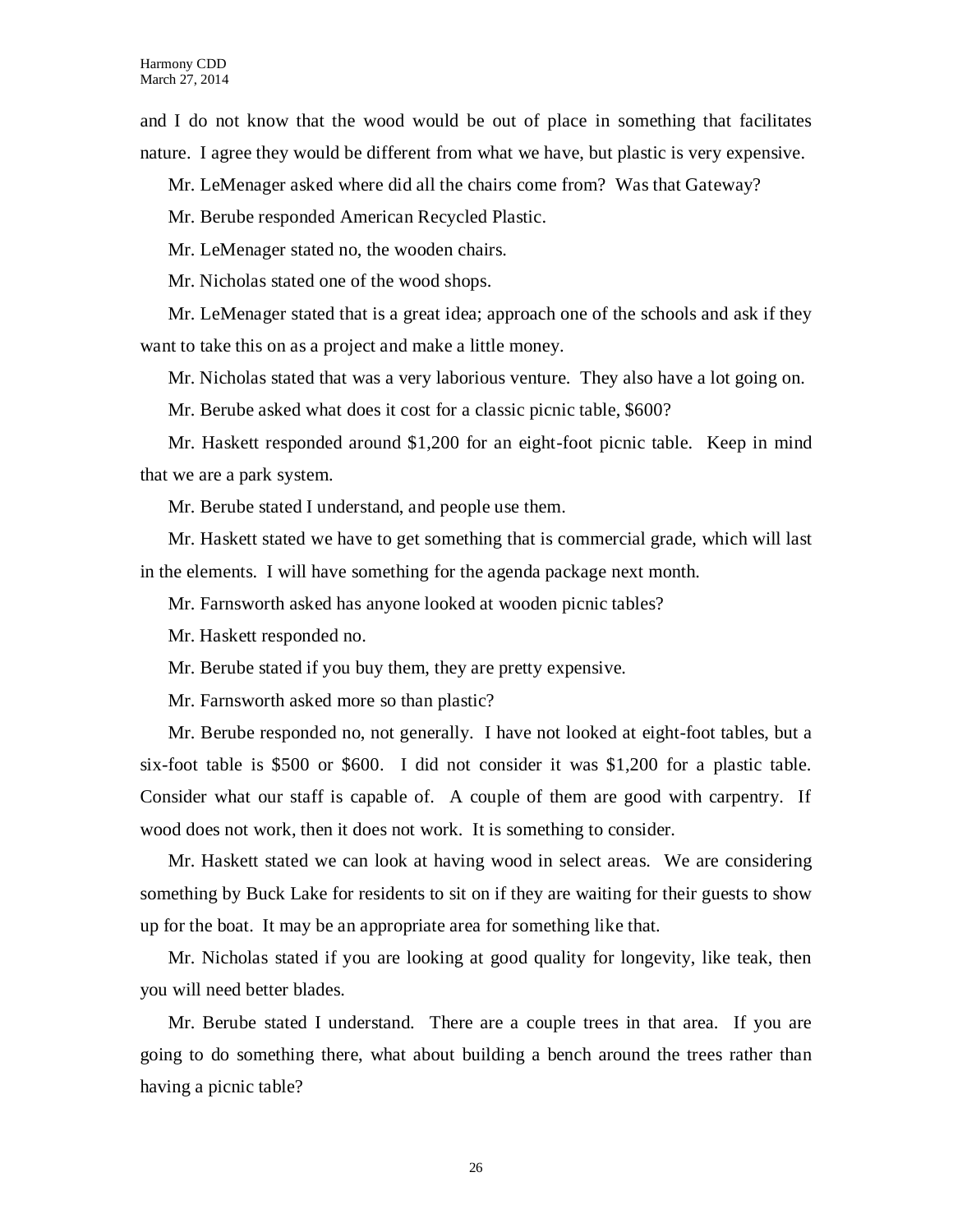and I do not know that the wood would be out of place in something that facilitates nature. I agree they would be different from what we have, but plastic is very expensive.

Mr. LeMenager asked where did all the chairs come from? Was that Gateway?

Mr. Berube responded American Recycled Plastic.

Mr. LeMenager stated no, the wooden chairs.

Mr. Nicholas stated one of the wood shops.

Mr. LeMenager stated that is a great idea; approach one of the schools and ask if they want to take this on as a project and make a little money.

Mr. Nicholas stated that was a very laborious venture. They also have a lot going on.

Mr. Berube asked what does it cost for a classic picnic table, \$600?

Mr. Haskett responded around \$1,200 for an eight-foot picnic table. Keep in mind that we are a park system.

Mr. Berube stated I understand, and people use them.

Mr. Haskett stated we have to get something that is commercial grade, which will last in the elements. I will have something for the agenda package next month.

Mr. Farnsworth asked has anyone looked at wooden picnic tables?

Mr. Haskett responded no.

Mr. Berube stated if you buy them, they are pretty expensive.

Mr. Farnsworth asked more so than plastic?

Mr. Berube responded no, not generally. I have not looked at eight-foot tables, but a six-foot table is \$500 or \$600. I did not consider it was \$1,200 for a plastic table. Consider what our staff is capable of. A couple of them are good with carpentry. If wood does not work, then it does not work. It is something to consider.

Mr. Haskett stated we can look at having wood in select areas. We are considering something by Buck Lake for residents to sit on if they are waiting for their guests to show up for the boat. It may be an appropriate area for something like that.

Mr. Nicholas stated if you are looking at good quality for longevity, like teak, then you will need better blades.

Mr. Berube stated I understand. There are a couple trees in that area. If you are going to do something there, what about building a bench around the trees rather than having a picnic table?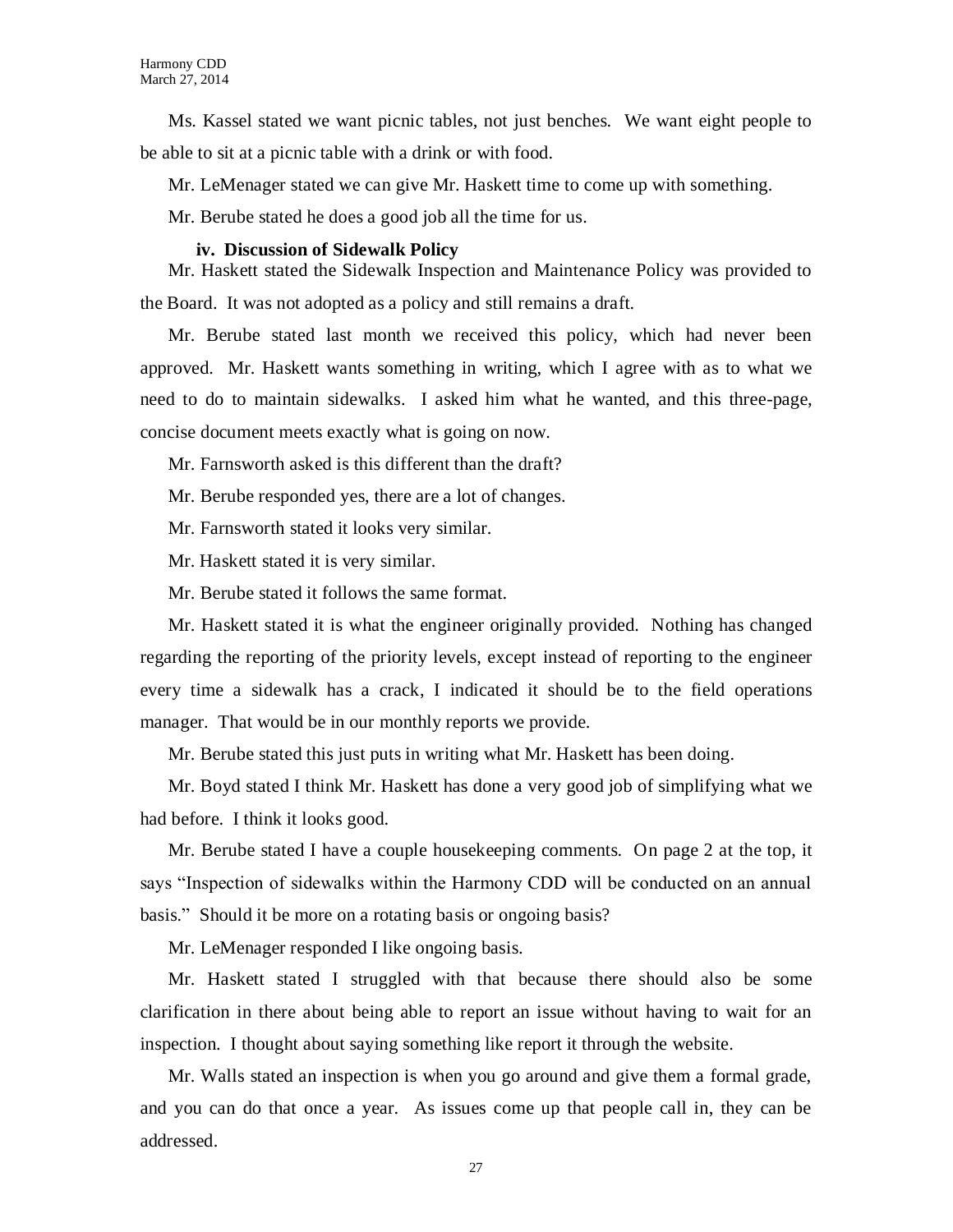Ms. Kassel stated we want picnic tables, not just benches. We want eight people to be able to sit at a picnic table with a drink or with food.

Mr. LeMenager stated we can give Mr. Haskett time to come up with something.

Mr. Berube stated he does a good job all the time for us.

#### **iv. Discussion of Sidewalk Policy**

Mr. Haskett stated the Sidewalk Inspection and Maintenance Policy was provided to the Board. It was not adopted as a policy and still remains a draft.

Mr. Berube stated last month we received this policy, which had never been approved. Mr. Haskett wants something in writing, which I agree with as to what we need to do to maintain sidewalks. I asked him what he wanted, and this three-page, concise document meets exactly what is going on now.

Mr. Farnsworth asked is this different than the draft?

Mr. Berube responded yes, there are a lot of changes.

Mr. Farnsworth stated it looks very similar.

Mr. Haskett stated it is very similar.

Mr. Berube stated it follows the same format.

Mr. Haskett stated it is what the engineer originally provided. Nothing has changed regarding the reporting of the priority levels, except instead of reporting to the engineer every time a sidewalk has a crack, I indicated it should be to the field operations manager. That would be in our monthly reports we provide.

Mr. Berube stated this just puts in writing what Mr. Haskett has been doing.

Mr. Boyd stated I think Mr. Haskett has done a very good job of simplifying what we had before. I think it looks good.

Mr. Berube stated I have a couple housekeeping comments. On page 2 at the top, it says "Inspection of sidewalks within the Harmony CDD will be conducted on an annual basis." Should it be more on a rotating basis or ongoing basis?

Mr. LeMenager responded I like ongoing basis.

Mr. Haskett stated I struggled with that because there should also be some clarification in there about being able to report an issue without having to wait for an inspection. I thought about saying something like report it through the website.

Mr. Walls stated an inspection is when you go around and give them a formal grade, and you can do that once a year. As issues come up that people call in, they can be addressed.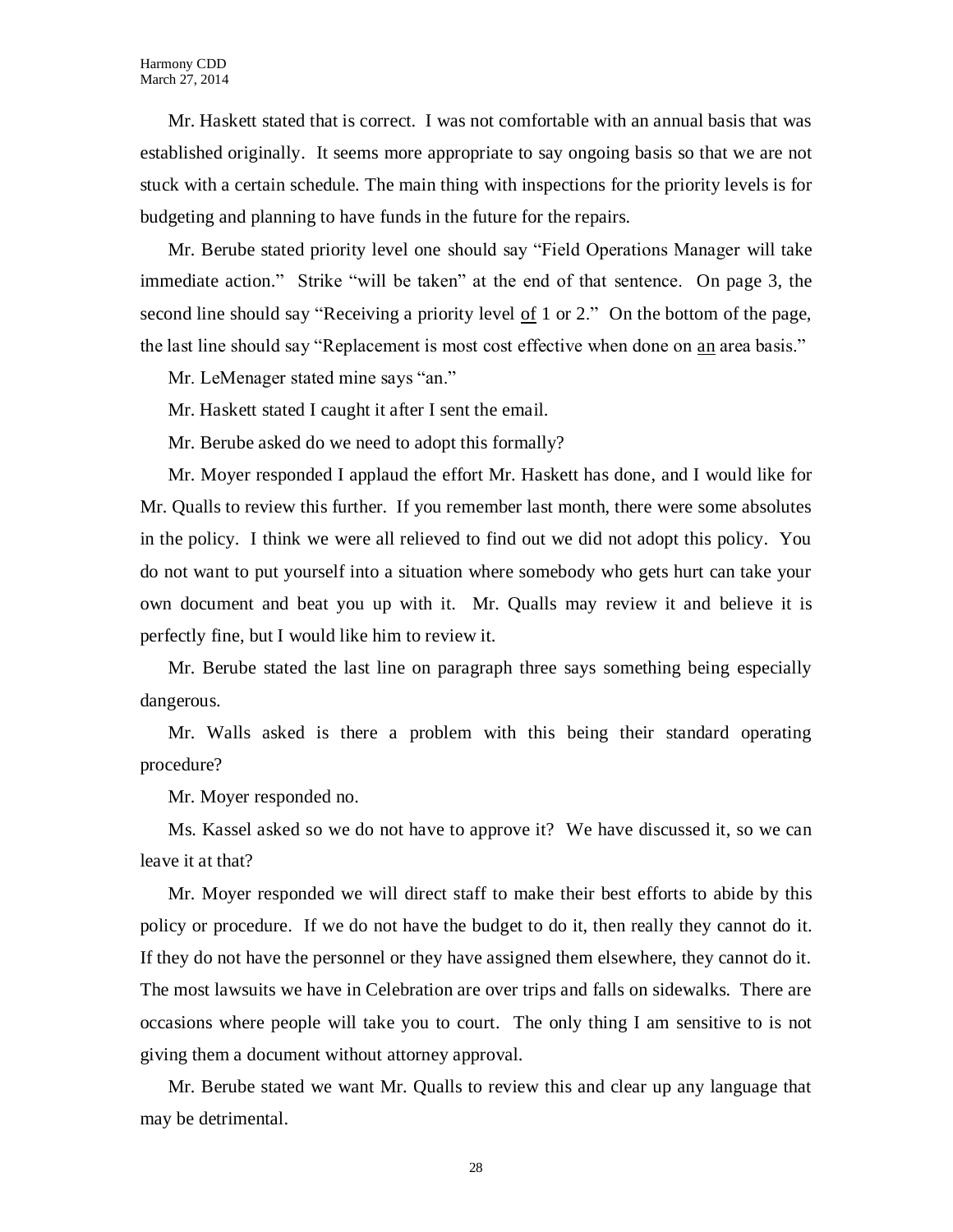Mr. Haskett stated that is correct. I was not comfortable with an annual basis that was established originally. It seems more appropriate to say ongoing basis so that we are not stuck with a certain schedule. The main thing with inspections for the priority levels is for budgeting and planning to have funds in the future for the repairs.

Mr. Berube stated priority level one should say "Field Operations Manager will take immediate action." Strike "will be taken" at the end of that sentence. On page 3, the second line should say "Receiving a priority level of 1 or 2." On the bottom of the page, the last line should say "Replacement is most cost effective when done on an area basis."

Mr. LeMenager stated mine says "an."

Mr. Haskett stated I caught it after I sent the email.

Mr. Berube asked do we need to adopt this formally?

Mr. Moyer responded I applaud the effort Mr. Haskett has done, and I would like for Mr. Qualls to review this further. If you remember last month, there were some absolutes in the policy. I think we were all relieved to find out we did not adopt this policy. You do not want to put yourself into a situation where somebody who gets hurt can take your own document and beat you up with it. Mr. Qualls may review it and believe it is perfectly fine, but I would like him to review it.

Mr. Berube stated the last line on paragraph three says something being especially dangerous.

Mr. Walls asked is there a problem with this being their standard operating procedure?

Mr. Moyer responded no.

Ms. Kassel asked so we do not have to approve it? We have discussed it, so we can leave it at that?

Mr. Moyer responded we will direct staff to make their best efforts to abide by this policy or procedure. If we do not have the budget to do it, then really they cannot do it. If they do not have the personnel or they have assigned them elsewhere, they cannot do it. The most lawsuits we have in Celebration are over trips and falls on sidewalks. There are occasions where people will take you to court. The only thing I am sensitive to is not giving them a document without attorney approval.

Mr. Berube stated we want Mr. Qualls to review this and clear up any language that may be detrimental.

28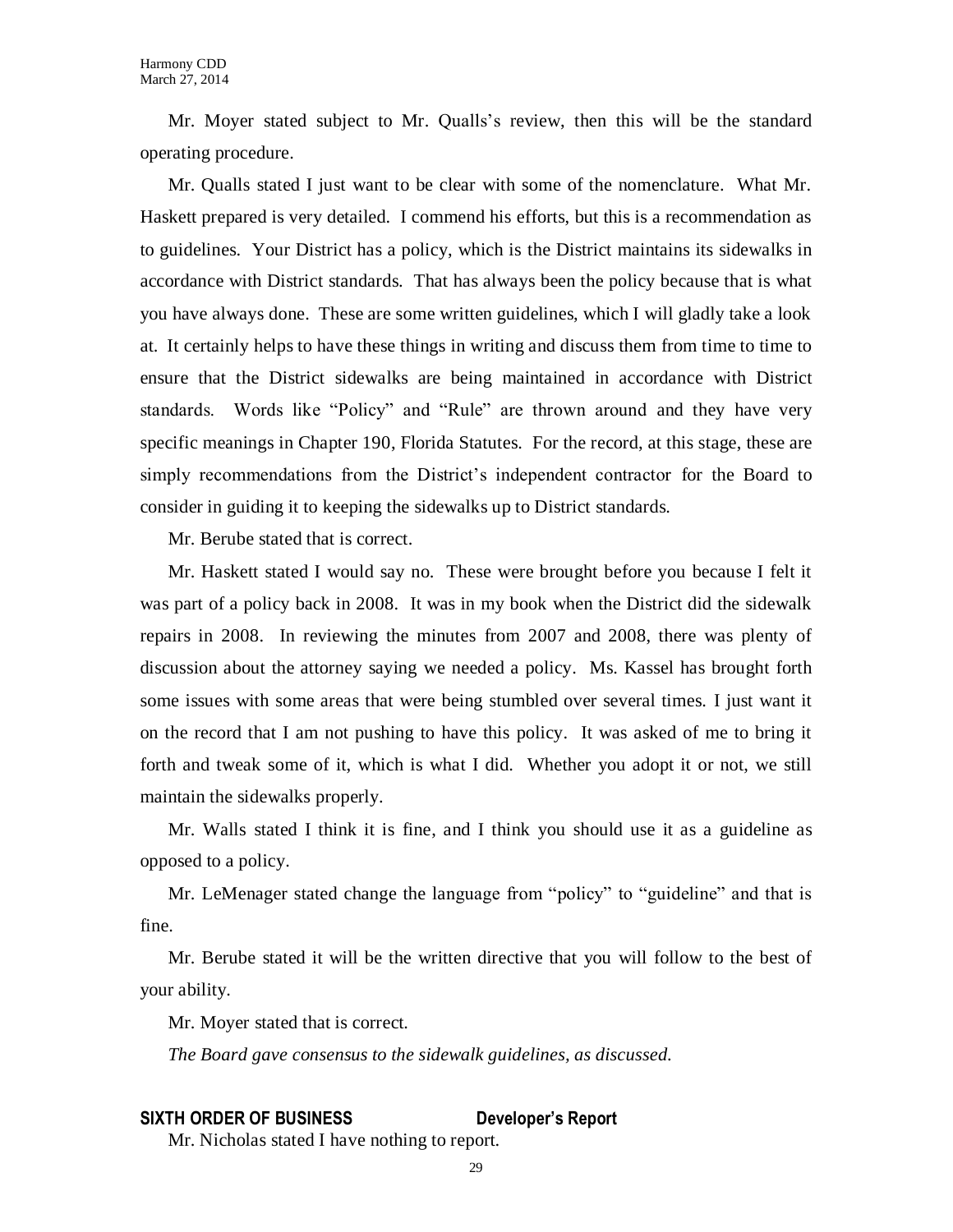Mr. Moyer stated subject to Mr. Qualls's review, then this will be the standard operating procedure.

Mr. Qualls stated I just want to be clear with some of the nomenclature. What Mr. Haskett prepared is very detailed. I commend his efforts, but this is a recommendation as to guidelines. Your District has a policy, which is the District maintains its sidewalks in accordance with District standards. That has always been the policy because that is what you have always done. These are some written guidelines, which I will gladly take a look at. It certainly helps to have these things in writing and discuss them from time to time to ensure that the District sidewalks are being maintained in accordance with District standards. Words like "Policy" and "Rule" are thrown around and they have very specific meanings in Chapter 190, Florida Statutes. For the record, at this stage, these are simply recommendations from the District's independent contractor for the Board to consider in guiding it to keeping the sidewalks up to District standards.

Mr. Berube stated that is correct.

Mr. Haskett stated I would say no. These were brought before you because I felt it was part of a policy back in 2008. It was in my book when the District did the sidewalk repairs in 2008. In reviewing the minutes from 2007 and 2008, there was plenty of discussion about the attorney saying we needed a policy. Ms. Kassel has brought forth some issues with some areas that were being stumbled over several times. I just want it on the record that I am not pushing to have this policy. It was asked of me to bring it forth and tweak some of it, which is what I did. Whether you adopt it or not, we still maintain the sidewalks properly.

Mr. Walls stated I think it is fine, and I think you should use it as a guideline as opposed to a policy.

Mr. LeMenager stated change the language from "policy" to "guideline" and that is fine.

Mr. Berube stated it will be the written directive that you will follow to the best of your ability.

Mr. Moyer stated that is correct.

*The Board gave consensus to the sidewalk guidelines, as discussed.*

#### **SIXTH ORDER OF BUSINESS Developer's Report**

Mr. Nicholas stated I have nothing to report.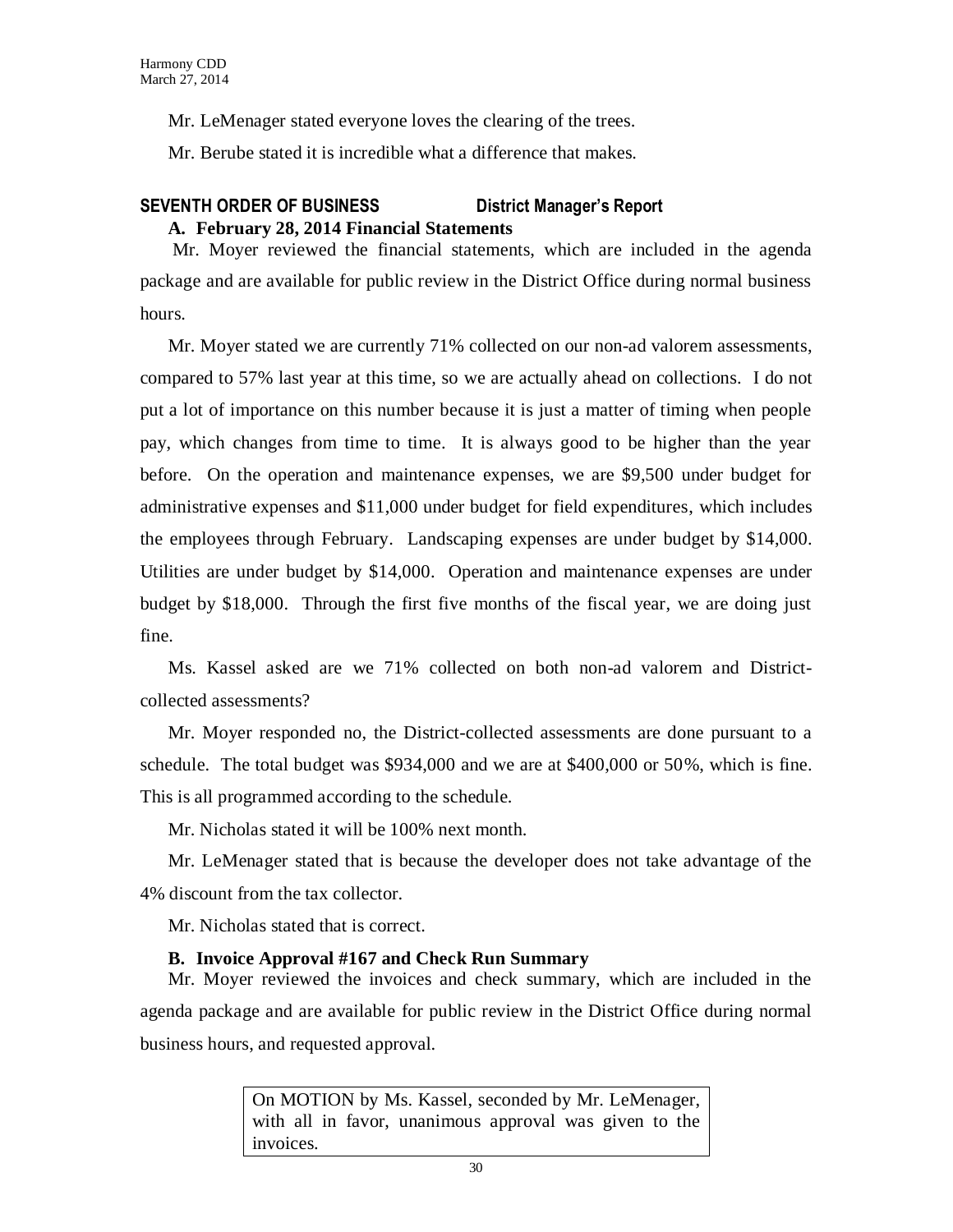Mr. LeMenager stated everyone loves the clearing of the trees.

Mr. Berube stated it is incredible what a difference that makes.

## **SEVENTH ORDER OF BUSINESS District Manager's Report A. February 28, 2014 Financial Statements**

Mr. Moyer reviewed the financial statements, which are included in the agenda package and are available for public review in the District Office during normal business hours.

Mr. Moyer stated we are currently 71% collected on our non-ad valorem assessments, compared to 57% last year at this time, so we are actually ahead on collections. I do not put a lot of importance on this number because it is just a matter of timing when people pay, which changes from time to time. It is always good to be higher than the year before. On the operation and maintenance expenses, we are \$9,500 under budget for administrative expenses and \$11,000 under budget for field expenditures, which includes the employees through February. Landscaping expenses are under budget by \$14,000. Utilities are under budget by \$14,000. Operation and maintenance expenses are under budget by \$18,000. Through the first five months of the fiscal year, we are doing just fine.

Ms. Kassel asked are we 71% collected on both non-ad valorem and Districtcollected assessments?

Mr. Moyer responded no, the District-collected assessments are done pursuant to a schedule. The total budget was \$934,000 and we are at \$400,000 or 50%, which is fine. This is all programmed according to the schedule.

Mr. Nicholas stated it will be 100% next month.

Mr. LeMenager stated that is because the developer does not take advantage of the 4% discount from the tax collector.

Mr. Nicholas stated that is correct.

## **B. Invoice Approval #167 and Check Run Summary**

Mr. Moyer reviewed the invoices and check summary, which are included in the agenda package and are available for public review in the District Office during normal business hours, and requested approval.

> On MOTION by Ms. Kassel, seconded by Mr. LeMenager, with all in favor, unanimous approval was given to the invoices.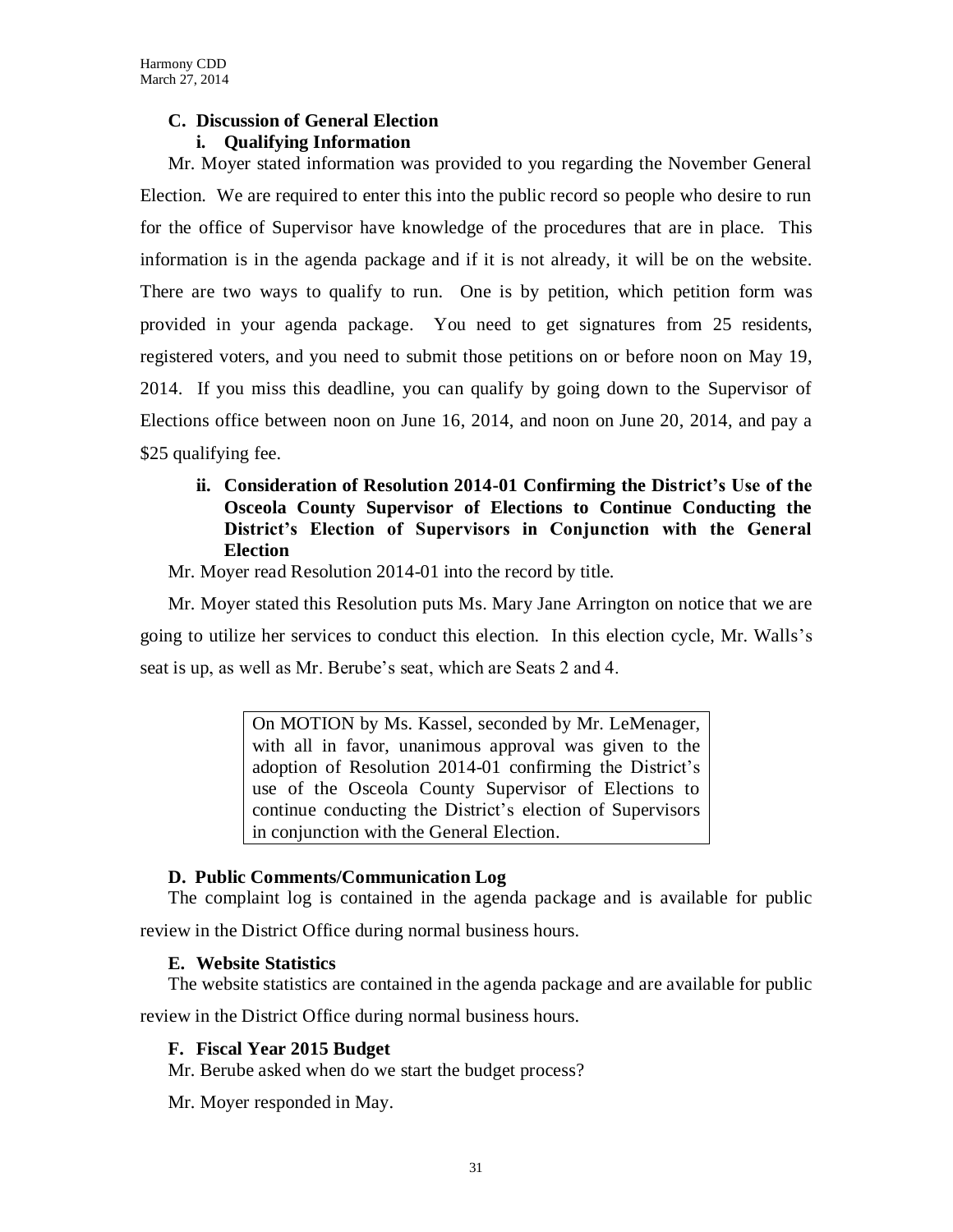## **C. Discussion of General Election i. Qualifying Information**

Mr. Moyer stated information was provided to you regarding the November General Election. We are required to enter this into the public record so people who desire to run for the office of Supervisor have knowledge of the procedures that are in place. This information is in the agenda package and if it is not already, it will be on the website. There are two ways to qualify to run. One is by petition, which petition form was provided in your agenda package. You need to get signatures from 25 residents, registered voters, and you need to submit those petitions on or before noon on May 19, 2014. If you miss this deadline, you can qualify by going down to the Supervisor of Elections office between noon on June 16, 2014, and noon on June 20, 2014, and pay a \$25 qualifying fee.

## **ii. Consideration of Resolution 2014-01 Confirming the District's Use of the Osceola County Supervisor of Elections to Continue Conducting the District's Election of Supervisors in Conjunction with the General Election**

Mr. Moyer read Resolution 2014-01 into the record by title.

Mr. Moyer stated this Resolution puts Ms. Mary Jane Arrington on notice that we are going to utilize her services to conduct this election. In this election cycle, Mr. Walls's seat is up, as well as Mr. Berube's seat, which are Seats 2 and 4.

> On MOTION by Ms. Kassel, seconded by Mr. LeMenager, with all in favor, unanimous approval was given to the adoption of Resolution 2014-01 confirming the District's use of the Osceola County Supervisor of Elections to continue conducting the District's election of Supervisors in conjunction with the General Election.

## **D. Public Comments/Communication Log**

The complaint log is contained in the agenda package and is available for public

review in the District Office during normal business hours.

## **E. Website Statistics**

The website statistics are contained in the agenda package and are available for public

review in the District Office during normal business hours.

## **F. Fiscal Year 2015 Budget**

Mr. Berube asked when do we start the budget process?

Mr. Moyer responded in May.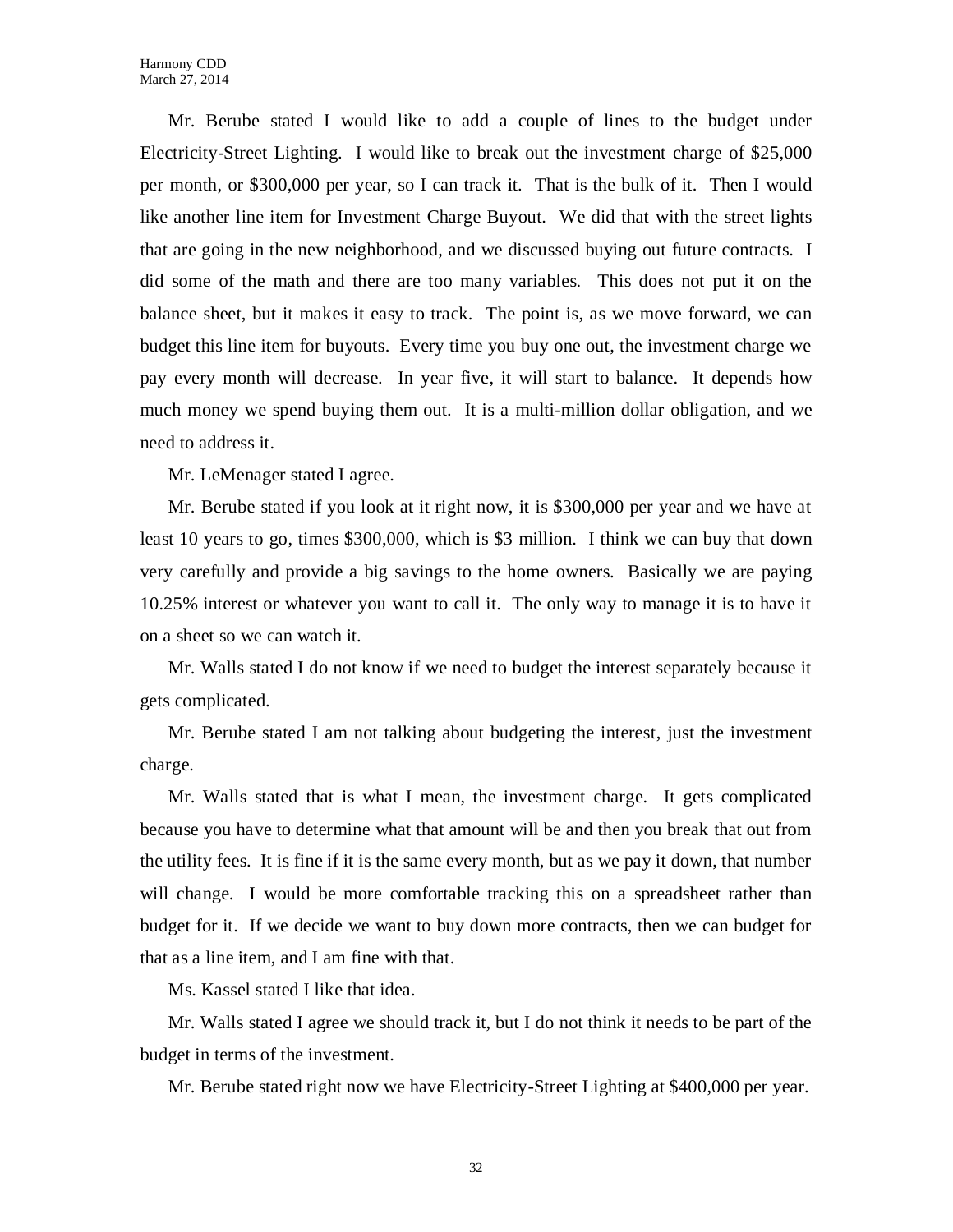Mr. Berube stated I would like to add a couple of lines to the budget under Electricity-Street Lighting. I would like to break out the investment charge of \$25,000 per month, or \$300,000 per year, so I can track it. That is the bulk of it. Then I would like another line item for Investment Charge Buyout. We did that with the street lights that are going in the new neighborhood, and we discussed buying out future contracts. I did some of the math and there are too many variables. This does not put it on the balance sheet, but it makes it easy to track. The point is, as we move forward, we can budget this line item for buyouts. Every time you buy one out, the investment charge we pay every month will decrease. In year five, it will start to balance. It depends how much money we spend buying them out. It is a multi-million dollar obligation, and we need to address it.

Mr. LeMenager stated I agree.

Mr. Berube stated if you look at it right now, it is \$300,000 per year and we have at least 10 years to go, times \$300,000, which is \$3 million. I think we can buy that down very carefully and provide a big savings to the home owners. Basically we are paying 10.25% interest or whatever you want to call it. The only way to manage it is to have it on a sheet so we can watch it.

Mr. Walls stated I do not know if we need to budget the interest separately because it gets complicated.

Mr. Berube stated I am not talking about budgeting the interest, just the investment charge.

Mr. Walls stated that is what I mean, the investment charge. It gets complicated because you have to determine what that amount will be and then you break that out from the utility fees. It is fine if it is the same every month, but as we pay it down, that number will change. I would be more comfortable tracking this on a spreadsheet rather than budget for it. If we decide we want to buy down more contracts, then we can budget for that as a line item, and I am fine with that.

Ms. Kassel stated I like that idea.

Mr. Walls stated I agree we should track it, but I do not think it needs to be part of the budget in terms of the investment.

Mr. Berube stated right now we have Electricity-Street Lighting at \$400,000 per year.

32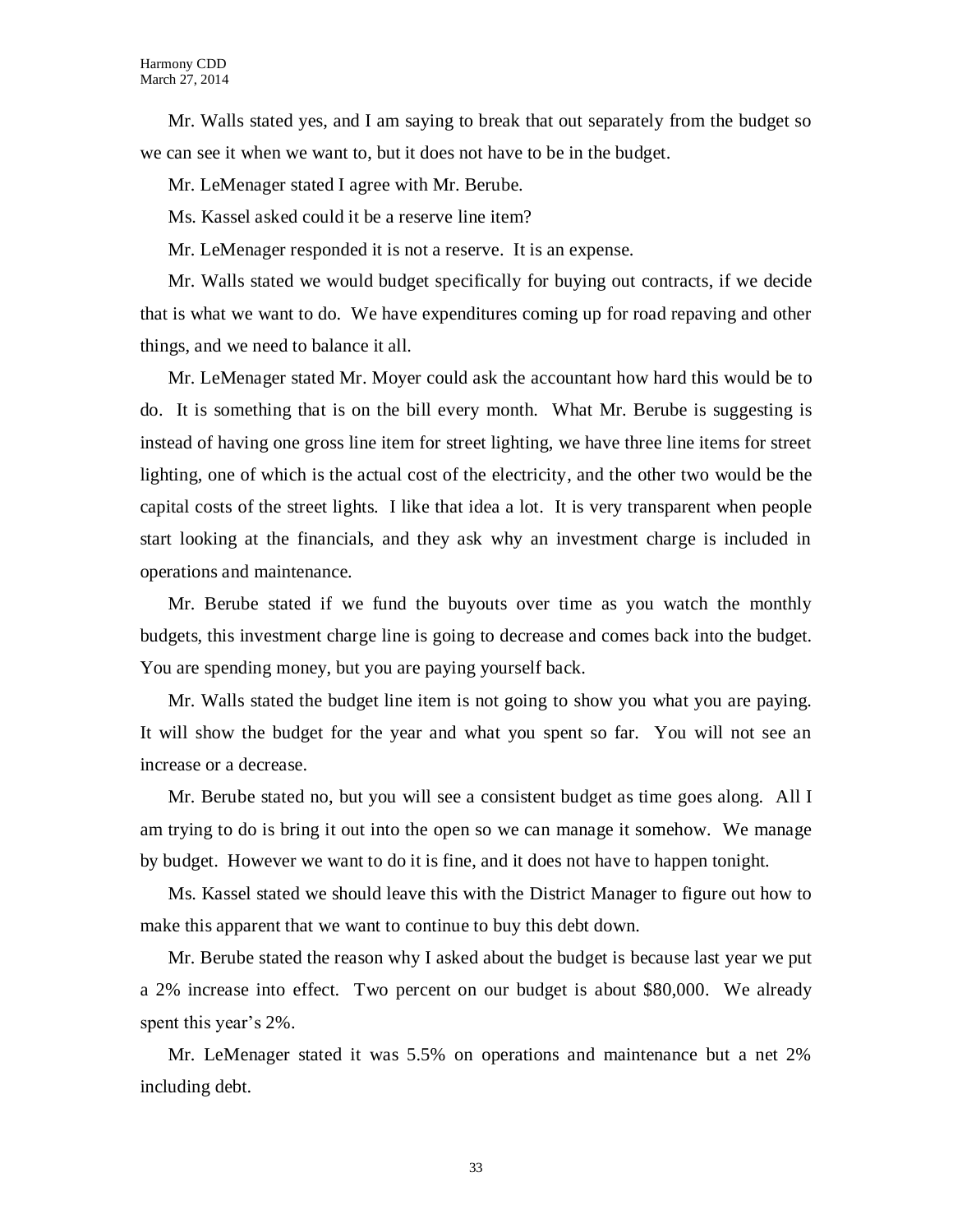Mr. Walls stated yes, and I am saying to break that out separately from the budget so we can see it when we want to, but it does not have to be in the budget.

Mr. LeMenager stated I agree with Mr. Berube.

Ms. Kassel asked could it be a reserve line item?

Mr. LeMenager responded it is not a reserve. It is an expense.

Mr. Walls stated we would budget specifically for buying out contracts, if we decide that is what we want to do. We have expenditures coming up for road repaving and other things, and we need to balance it all.

Mr. LeMenager stated Mr. Moyer could ask the accountant how hard this would be to do. It is something that is on the bill every month. What Mr. Berube is suggesting is instead of having one gross line item for street lighting, we have three line items for street lighting, one of which is the actual cost of the electricity, and the other two would be the capital costs of the street lights. I like that idea a lot. It is very transparent when people start looking at the financials, and they ask why an investment charge is included in operations and maintenance.

Mr. Berube stated if we fund the buyouts over time as you watch the monthly budgets, this investment charge line is going to decrease and comes back into the budget. You are spending money, but you are paying yourself back.

Mr. Walls stated the budget line item is not going to show you what you are paying. It will show the budget for the year and what you spent so far. You will not see an increase or a decrease.

Mr. Berube stated no, but you will see a consistent budget as time goes along. All I am trying to do is bring it out into the open so we can manage it somehow. We manage by budget. However we want to do it is fine, and it does not have to happen tonight.

Ms. Kassel stated we should leave this with the District Manager to figure out how to make this apparent that we want to continue to buy this debt down.

Mr. Berube stated the reason why I asked about the budget is because last year we put a 2% increase into effect. Two percent on our budget is about \$80,000. We already spent this year's 2%.

Mr. LeMenager stated it was 5.5% on operations and maintenance but a net 2% including debt.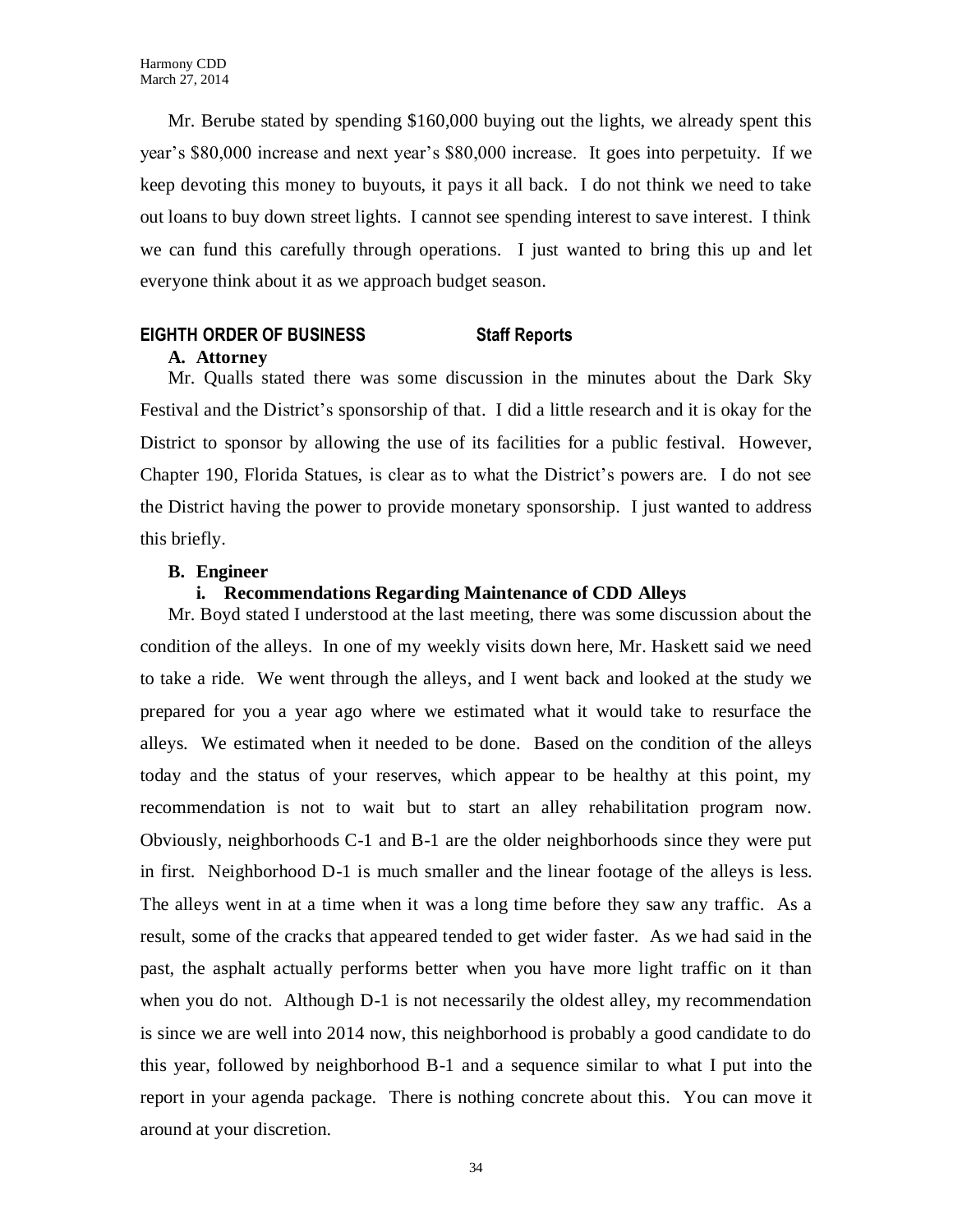Mr. Berube stated by spending \$160,000 buying out the lights, we already spent this year's \$80,000 increase and next year's \$80,000 increase. It goes into perpetuity. If we keep devoting this money to buyouts, it pays it all back. I do not think we need to take out loans to buy down street lights. I cannot see spending interest to save interest. I think we can fund this carefully through operations. I just wanted to bring this up and let everyone think about it as we approach budget season.

## **EIGHTH ORDER OF BUSINESS Staff Reports**

#### **A. Attorney**

Mr. Qualls stated there was some discussion in the minutes about the Dark Sky Festival and the District's sponsorship of that. I did a little research and it is okay for the District to sponsor by allowing the use of its facilities for a public festival. However, Chapter 190, Florida Statues, is clear as to what the District's powers are. I do not see the District having the power to provide monetary sponsorship. I just wanted to address this briefly.

### **B. Engineer**

## **i. Recommendations Regarding Maintenance of CDD Alleys**

Mr. Boyd stated I understood at the last meeting, there was some discussion about the condition of the alleys. In one of my weekly visits down here, Mr. Haskett said we need to take a ride. We went through the alleys, and I went back and looked at the study we prepared for you a year ago where we estimated what it would take to resurface the alleys. We estimated when it needed to be done. Based on the condition of the alleys today and the status of your reserves, which appear to be healthy at this point, my recommendation is not to wait but to start an alley rehabilitation program now. Obviously, neighborhoods C-1 and B-1 are the older neighborhoods since they were put in first. Neighborhood D-1 is much smaller and the linear footage of the alleys is less. The alleys went in at a time when it was a long time before they saw any traffic. As a result, some of the cracks that appeared tended to get wider faster. As we had said in the past, the asphalt actually performs better when you have more light traffic on it than when you do not. Although D-1 is not necessarily the oldest alley, my recommendation is since we are well into 2014 now, this neighborhood is probably a good candidate to do this year, followed by neighborhood B-1 and a sequence similar to what I put into the report in your agenda package. There is nothing concrete about this. You can move it around at your discretion.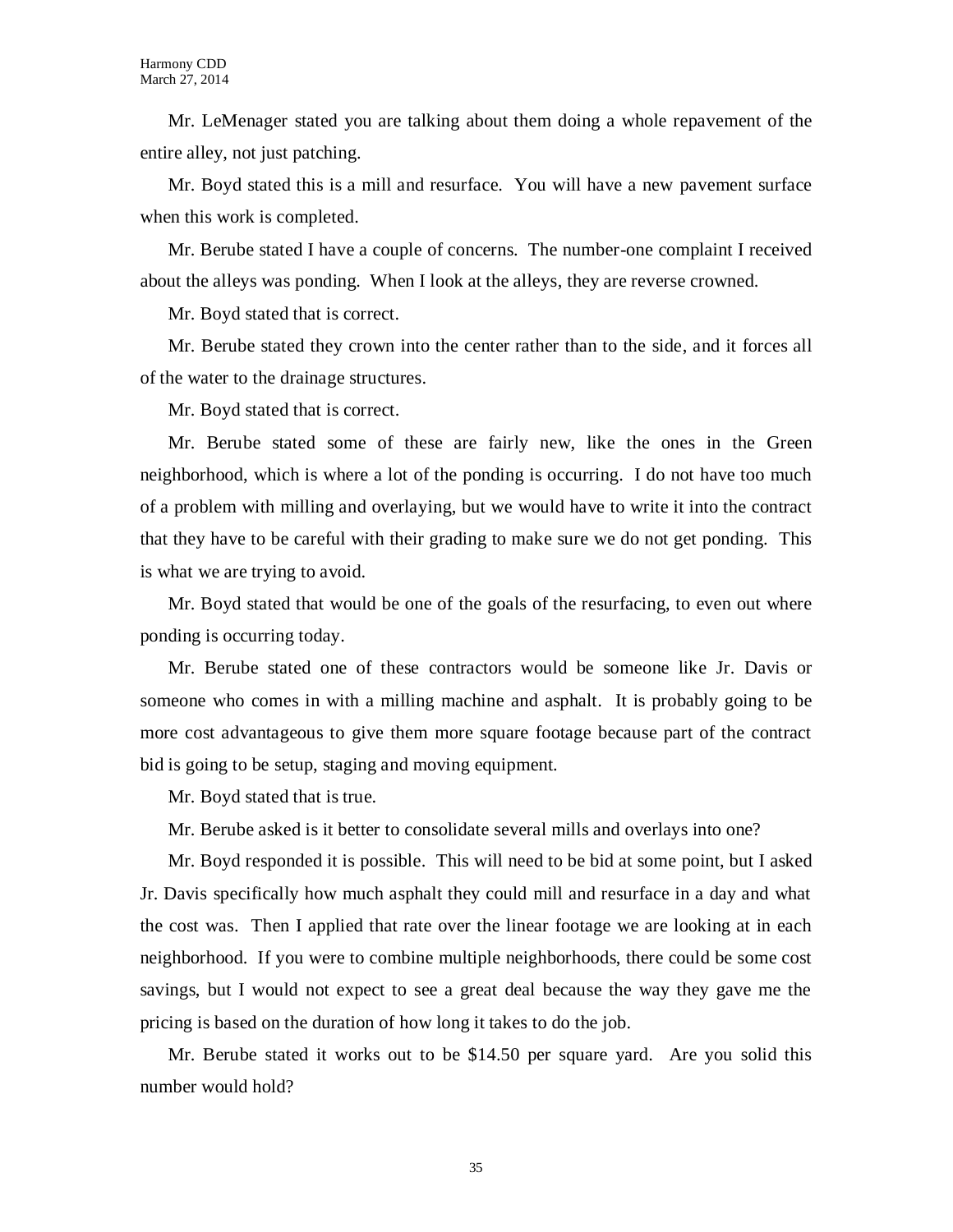Mr. LeMenager stated you are talking about them doing a whole repavement of the entire alley, not just patching.

Mr. Boyd stated this is a mill and resurface. You will have a new pavement surface when this work is completed.

Mr. Berube stated I have a couple of concerns. The number-one complaint I received about the alleys was ponding. When I look at the alleys, they are reverse crowned.

Mr. Boyd stated that is correct.

Mr. Berube stated they crown into the center rather than to the side, and it forces all of the water to the drainage structures.

Mr. Boyd stated that is correct.

Mr. Berube stated some of these are fairly new, like the ones in the Green neighborhood, which is where a lot of the ponding is occurring. I do not have too much of a problem with milling and overlaying, but we would have to write it into the contract that they have to be careful with their grading to make sure we do not get ponding. This is what we are trying to avoid.

Mr. Boyd stated that would be one of the goals of the resurfacing, to even out where ponding is occurring today.

Mr. Berube stated one of these contractors would be someone like Jr. Davis or someone who comes in with a milling machine and asphalt. It is probably going to be more cost advantageous to give them more square footage because part of the contract bid is going to be setup, staging and moving equipment.

Mr. Boyd stated that is true.

Mr. Berube asked is it better to consolidate several mills and overlays into one?

Mr. Boyd responded it is possible. This will need to be bid at some point, but I asked Jr. Davis specifically how much asphalt they could mill and resurface in a day and what the cost was. Then I applied that rate over the linear footage we are looking at in each neighborhood. If you were to combine multiple neighborhoods, there could be some cost savings, but I would not expect to see a great deal because the way they gave me the pricing is based on the duration of how long it takes to do the job.

Mr. Berube stated it works out to be \$14.50 per square yard. Are you solid this number would hold?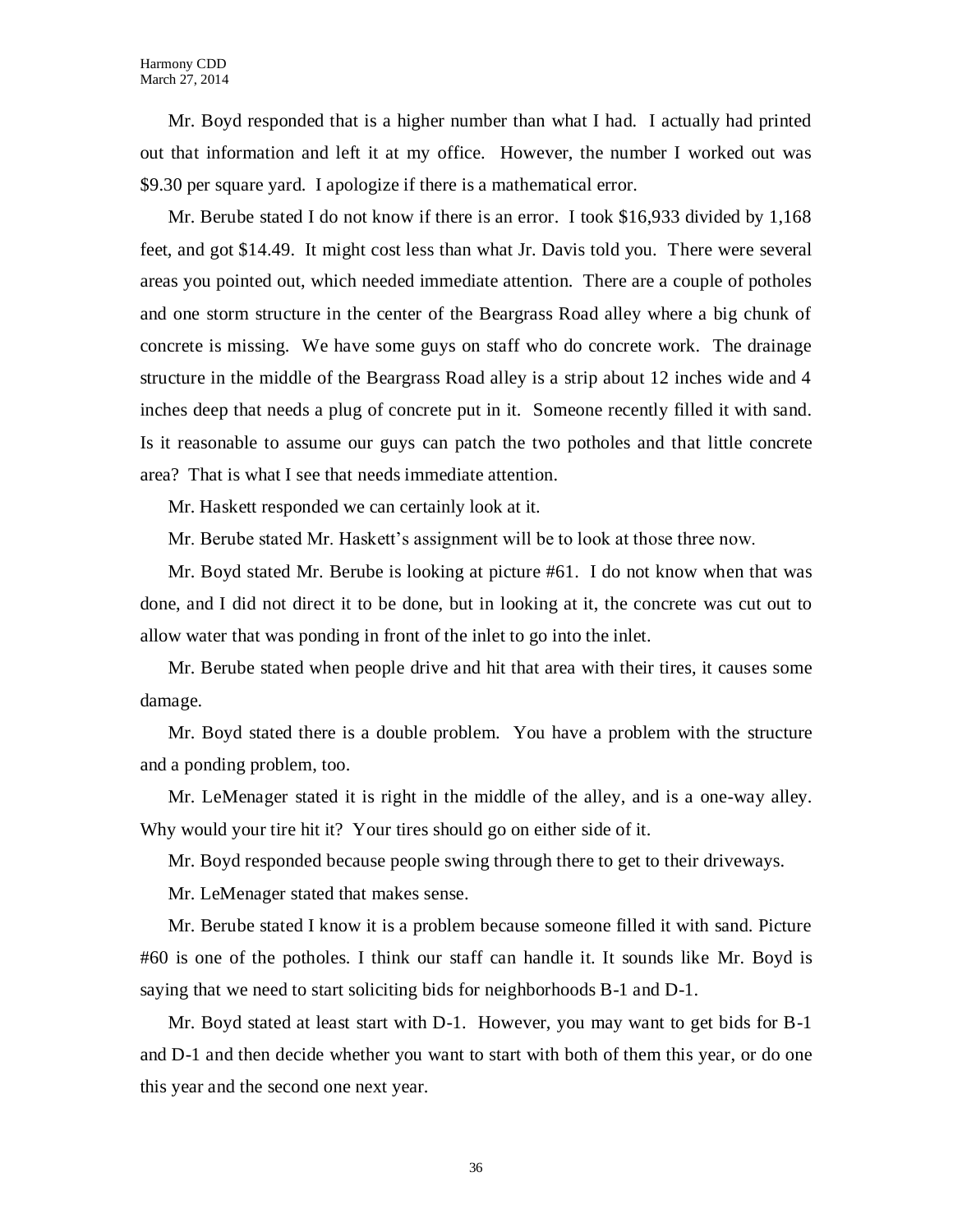Mr. Boyd responded that is a higher number than what I had. I actually had printed out that information and left it at my office. However, the number I worked out was \$9.30 per square yard. I apologize if there is a mathematical error.

Mr. Berube stated I do not know if there is an error. I took \$16,933 divided by 1,168 feet, and got \$14.49. It might cost less than what Jr. Davis told you. There were several areas you pointed out, which needed immediate attention. There are a couple of potholes and one storm structure in the center of the Beargrass Road alley where a big chunk of concrete is missing. We have some guys on staff who do concrete work. The drainage structure in the middle of the Beargrass Road alley is a strip about 12 inches wide and 4 inches deep that needs a plug of concrete put in it. Someone recently filled it with sand. Is it reasonable to assume our guys can patch the two potholes and that little concrete area? That is what I see that needs immediate attention.

Mr. Haskett responded we can certainly look at it.

Mr. Berube stated Mr. Haskett's assignment will be to look at those three now.

Mr. Boyd stated Mr. Berube is looking at picture #61. I do not know when that was done, and I did not direct it to be done, but in looking at it, the concrete was cut out to allow water that was ponding in front of the inlet to go into the inlet.

Mr. Berube stated when people drive and hit that area with their tires, it causes some damage.

Mr. Boyd stated there is a double problem. You have a problem with the structure and a ponding problem, too.

Mr. LeMenager stated it is right in the middle of the alley, and is a one-way alley. Why would your tire hit it? Your tires should go on either side of it.

Mr. Boyd responded because people swing through there to get to their driveways.

Mr. LeMenager stated that makes sense.

Mr. Berube stated I know it is a problem because someone filled it with sand. Picture #60 is one of the potholes. I think our staff can handle it. It sounds like Mr. Boyd is saying that we need to start soliciting bids for neighborhoods B-1 and D-1.

Mr. Boyd stated at least start with D-1. However, you may want to get bids for B-1 and D-1 and then decide whether you want to start with both of them this year, or do one this year and the second one next year.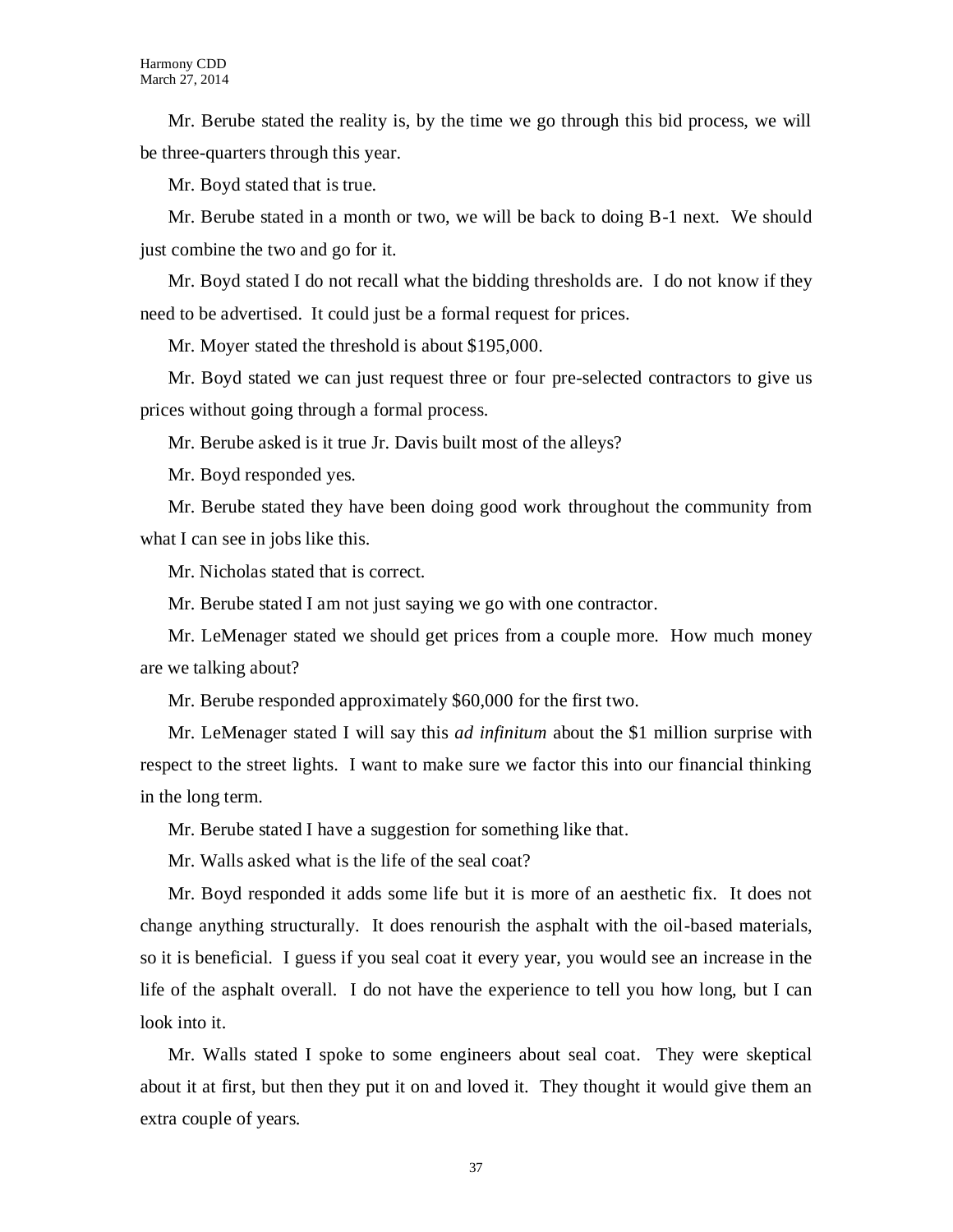Mr. Berube stated the reality is, by the time we go through this bid process, we will be three-quarters through this year.

Mr. Boyd stated that is true.

Mr. Berube stated in a month or two, we will be back to doing B-1 next. We should just combine the two and go for it.

Mr. Boyd stated I do not recall what the bidding thresholds are. I do not know if they need to be advertised. It could just be a formal request for prices.

Mr. Moyer stated the threshold is about \$195,000.

Mr. Boyd stated we can just request three or four pre-selected contractors to give us prices without going through a formal process.

Mr. Berube asked is it true Jr. Davis built most of the alleys?

Mr. Boyd responded yes.

Mr. Berube stated they have been doing good work throughout the community from what I can see in jobs like this.

Mr. Nicholas stated that is correct.

Mr. Berube stated I am not just saying we go with one contractor.

Mr. LeMenager stated we should get prices from a couple more. How much money are we talking about?

Mr. Berube responded approximately \$60,000 for the first two.

Mr. LeMenager stated I will say this *ad infinitum* about the \$1 million surprise with respect to the street lights. I want to make sure we factor this into our financial thinking in the long term.

Mr. Berube stated I have a suggestion for something like that.

Mr. Walls asked what is the life of the seal coat?

Mr. Boyd responded it adds some life but it is more of an aesthetic fix. It does not change anything structurally. It does renourish the asphalt with the oil-based materials, so it is beneficial. I guess if you seal coat it every year, you would see an increase in the life of the asphalt overall. I do not have the experience to tell you how long, but I can look into it.

Mr. Walls stated I spoke to some engineers about seal coat. They were skeptical about it at first, but then they put it on and loved it. They thought it would give them an extra couple of years.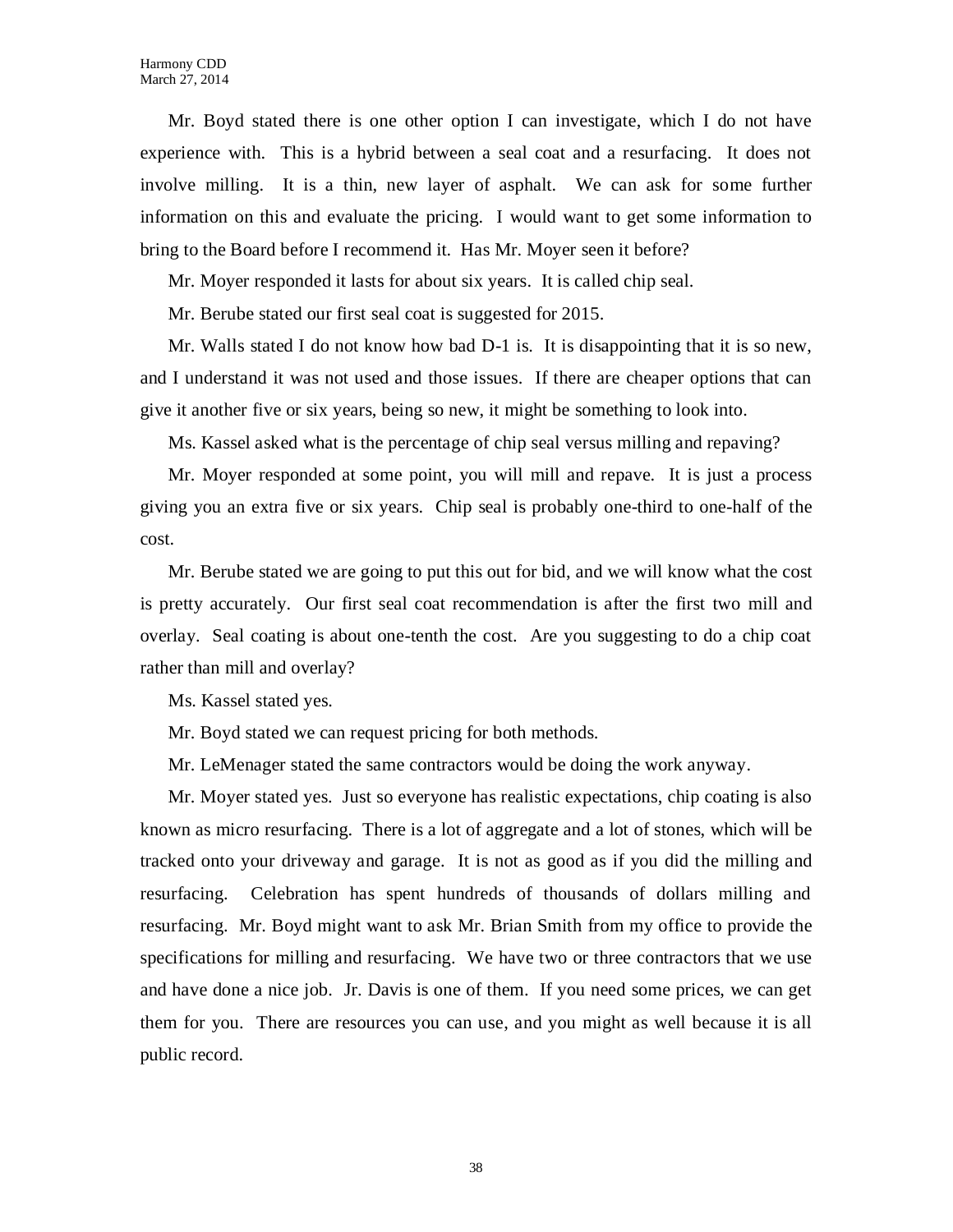Mr. Boyd stated there is one other option I can investigate, which I do not have experience with. This is a hybrid between a seal coat and a resurfacing. It does not involve milling. It is a thin, new layer of asphalt. We can ask for some further information on this and evaluate the pricing. I would want to get some information to bring to the Board before I recommend it. Has Mr. Moyer seen it before?

Mr. Moyer responded it lasts for about six years. It is called chip seal.

Mr. Berube stated our first seal coat is suggested for 2015.

Mr. Walls stated I do not know how bad  $D-1$  is. It is disappointing that it is so new, and I understand it was not used and those issues. If there are cheaper options that can give it another five or six years, being so new, it might be something to look into.

Ms. Kassel asked what is the percentage of chip seal versus milling and repaving?

Mr. Moyer responded at some point, you will mill and repave. It is just a process giving you an extra five or six years. Chip seal is probably one-third to one-half of the cost.

Mr. Berube stated we are going to put this out for bid, and we will know what the cost is pretty accurately. Our first seal coat recommendation is after the first two mill and overlay. Seal coating is about one-tenth the cost. Are you suggesting to do a chip coat rather than mill and overlay?

Ms. Kassel stated yes.

Mr. Boyd stated we can request pricing for both methods.

Mr. LeMenager stated the same contractors would be doing the work anyway.

Mr. Moyer stated yes. Just so everyone has realistic expectations, chip coating is also known as micro resurfacing. There is a lot of aggregate and a lot of stones, which will be tracked onto your driveway and garage. It is not as good as if you did the milling and resurfacing. Celebration has spent hundreds of thousands of dollars milling and resurfacing. Mr. Boyd might want to ask Mr. Brian Smith from my office to provide the specifications for milling and resurfacing. We have two or three contractors that we use and have done a nice job. Jr. Davis is one of them. If you need some prices, we can get them for you. There are resources you can use, and you might as well because it is all public record.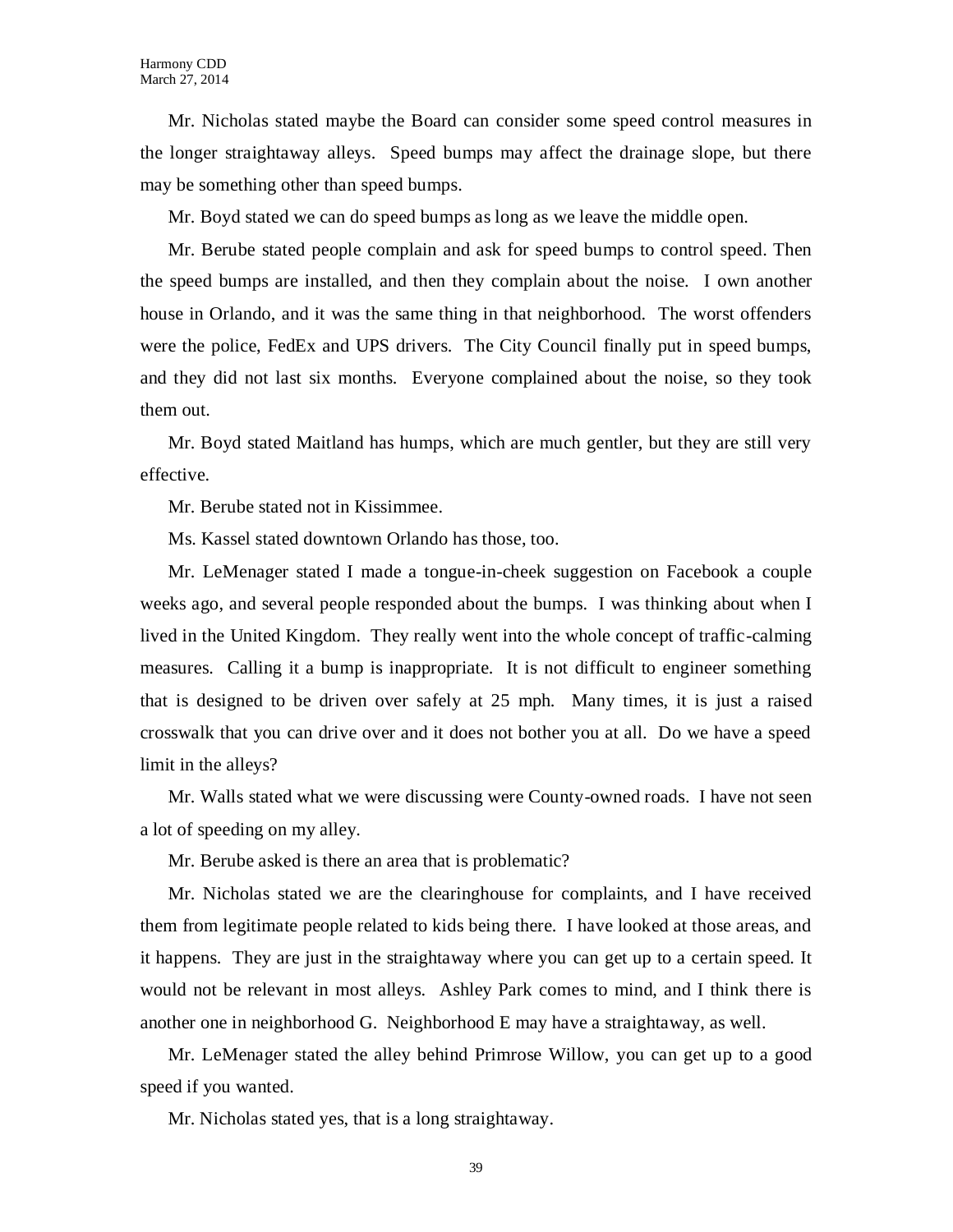Mr. Nicholas stated maybe the Board can consider some speed control measures in the longer straightaway alleys. Speed bumps may affect the drainage slope, but there may be something other than speed bumps.

Mr. Boyd stated we can do speed bumps as long as we leave the middle open.

Mr. Berube stated people complain and ask for speed bumps to control speed. Then the speed bumps are installed, and then they complain about the noise. I own another house in Orlando, and it was the same thing in that neighborhood. The worst offenders were the police, FedEx and UPS drivers. The City Council finally put in speed bumps, and they did not last six months. Everyone complained about the noise, so they took them out.

Mr. Boyd stated Maitland has humps, which are much gentler, but they are still very effective.

Mr. Berube stated not in Kissimmee.

Ms. Kassel stated downtown Orlando has those, too.

Mr. LeMenager stated I made a tongue-in-cheek suggestion on Facebook a couple weeks ago, and several people responded about the bumps. I was thinking about when I lived in the United Kingdom. They really went into the whole concept of traffic-calming measures. Calling it a bump is inappropriate. It is not difficult to engineer something that is designed to be driven over safely at 25 mph. Many times, it is just a raised crosswalk that you can drive over and it does not bother you at all. Do we have a speed limit in the alleys?

Mr. Walls stated what we were discussing were County-owned roads. I have not seen a lot of speeding on my alley.

Mr. Berube asked is there an area that is problematic?

Mr. Nicholas stated we are the clearinghouse for complaints, and I have received them from legitimate people related to kids being there. I have looked at those areas, and it happens. They are just in the straightaway where you can get up to a certain speed. It would not be relevant in most alleys. Ashley Park comes to mind, and I think there is another one in neighborhood G. Neighborhood E may have a straightaway, as well.

Mr. LeMenager stated the alley behind Primrose Willow, you can get up to a good speed if you wanted.

Mr. Nicholas stated yes, that is a long straightaway.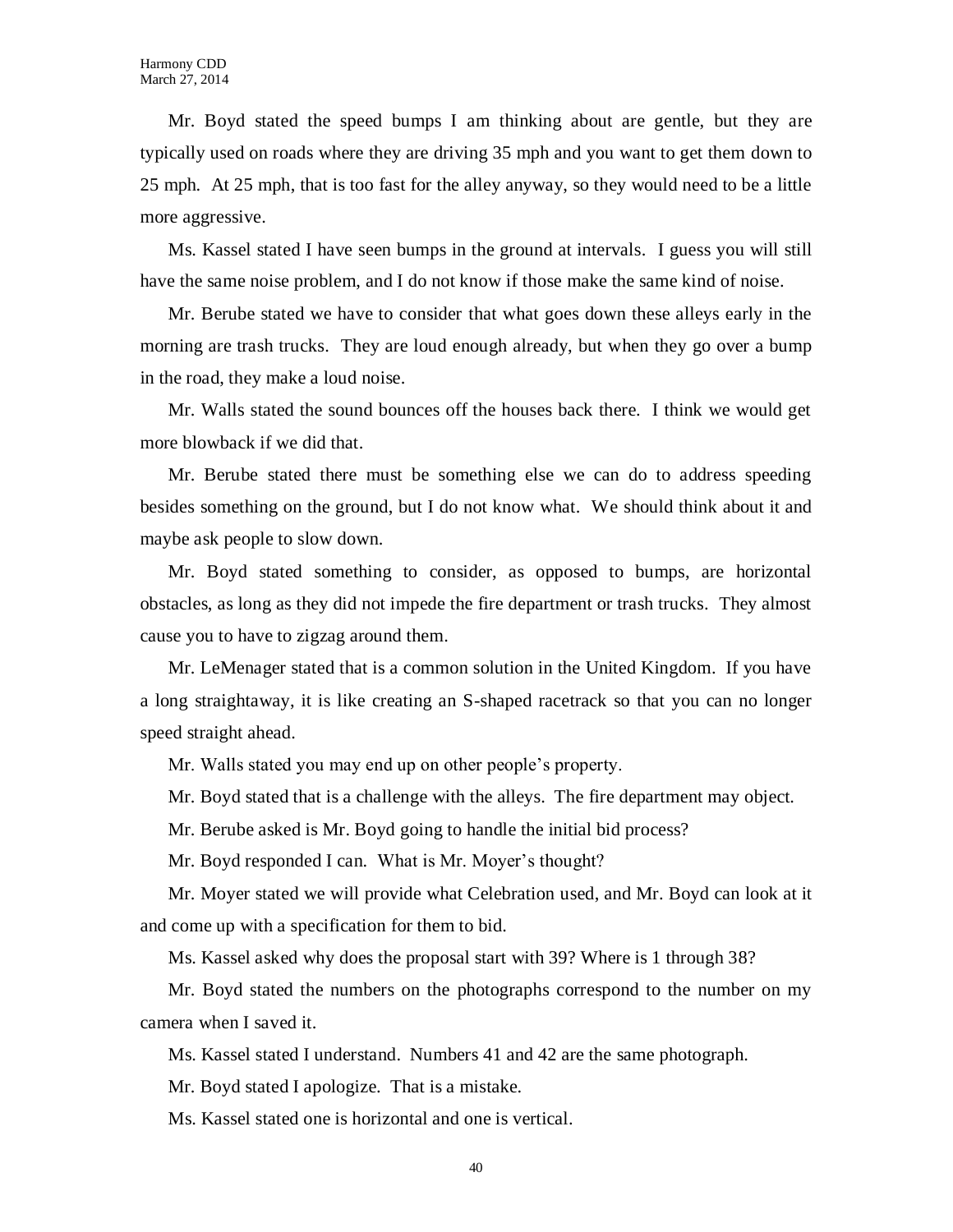Mr. Boyd stated the speed bumps I am thinking about are gentle, but they are typically used on roads where they are driving 35 mph and you want to get them down to 25 mph. At 25 mph, that is too fast for the alley anyway, so they would need to be a little more aggressive.

Ms. Kassel stated I have seen bumps in the ground at intervals. I guess you will still have the same noise problem, and I do not know if those make the same kind of noise.

Mr. Berube stated we have to consider that what goes down these alleys early in the morning are trash trucks. They are loud enough already, but when they go over a bump in the road, they make a loud noise.

Mr. Walls stated the sound bounces off the houses back there. I think we would get more blowback if we did that.

Mr. Berube stated there must be something else we can do to address speeding besides something on the ground, but I do not know what. We should think about it and maybe ask people to slow down.

Mr. Boyd stated something to consider, as opposed to bumps, are horizontal obstacles, as long as they did not impede the fire department or trash trucks. They almost cause you to have to zigzag around them.

Mr. LeMenager stated that is a common solution in the United Kingdom. If you have a long straightaway, it is like creating an S-shaped racetrack so that you can no longer speed straight ahead.

Mr. Walls stated you may end up on other people's property.

Mr. Boyd stated that is a challenge with the alleys. The fire department may object.

Mr. Berube asked is Mr. Boyd going to handle the initial bid process?

Mr. Boyd responded I can. What is Mr. Moyer's thought?

Mr. Moyer stated we will provide what Celebration used, and Mr. Boyd can look at it and come up with a specification for them to bid.

Ms. Kassel asked why does the proposal start with 39? Where is 1 through 38?

Mr. Boyd stated the numbers on the photographs correspond to the number on my camera when I saved it.

Ms. Kassel stated I understand. Numbers 41 and 42 are the same photograph.

Mr. Boyd stated I apologize. That is a mistake.

Ms. Kassel stated one is horizontal and one is vertical.